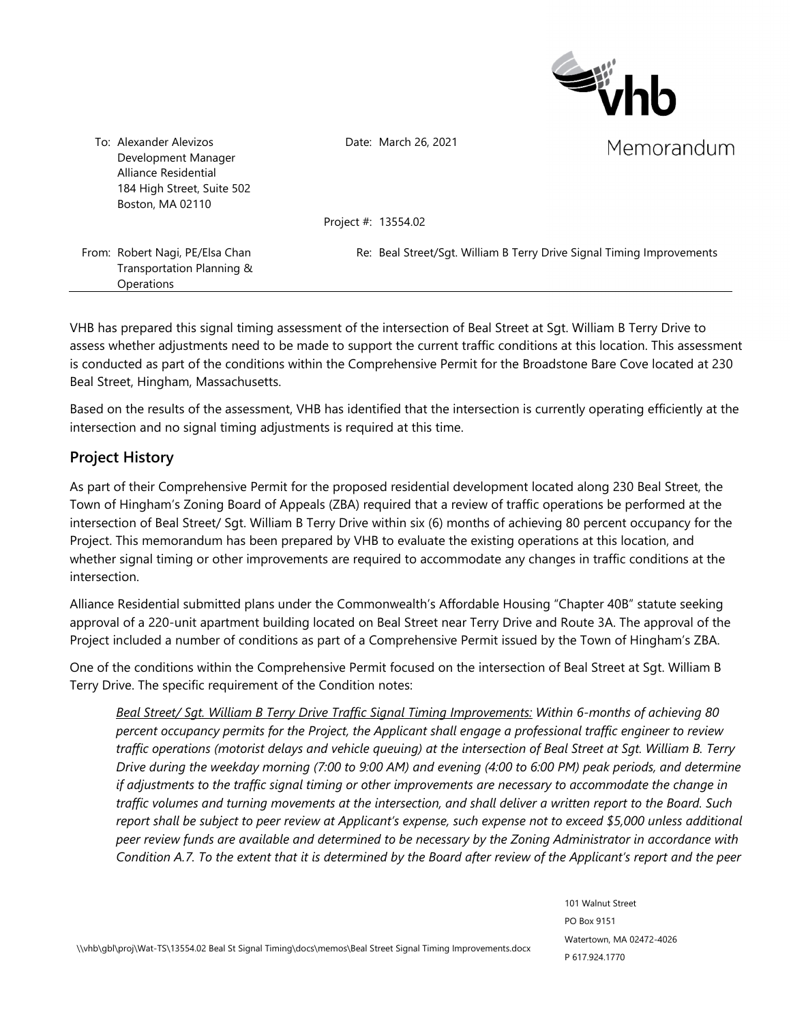

Date: March 26, 2021

Memorandum

Alliance Residential 184 High Street, Suite 502 Boston, MA 02110

Development Manager

To: Alexander Alevizos

Project #: 13554.02

From: Robert Nagi, PE/Elsa Chan Transportation Planning & **Operations** 

Re: Beal Street/Sgt. William B Terry Drive Signal Timing Improvements

VHB has prepared this signal timing assessment of the intersection of Beal Street at Sgt. William B Terry Drive to assess whether adjustments need to be made to support the current traffic conditions at this location. This assessment is conducted as part of the conditions within the Comprehensive Permit for the Broadstone Bare Cove located at 230 Beal Street, Hingham, Massachusetts.

Based on the results of the assessment, VHB has identified that the intersection is currently operating efficiently at the intersection and no signal timing adjustments is required at this time.

# **Project History**

As part of their Comprehensive Permit for the proposed residential development located along 230 Beal Street, the Town of Hingham's Zoning Board of Appeals (ZBA) required that a review of traffic operations be performed at the intersection of Beal Street/ Sgt. William B Terry Drive within six (6) months of achieving 80 percent occupancy for the Project. This memorandum has been prepared by VHB to evaluate the existing operations at this location, and whether signal timing or other improvements are required to accommodate any changes in traffic conditions at the intersection.

Alliance Residential submitted plans under the Commonwealth's Affordable Housing "Chapter 40B" statute seeking approval of a 220-unit apartment building located on Beal Street near Terry Drive and Route 3A. The approval of the Project included a number of conditions as part of a Comprehensive Permit issued by the Town of Hingham's ZBA.

One of the conditions within the Comprehensive Permit focused on the intersection of Beal Street at Sgt. William B Terry Drive. The specific requirement of the Condition notes:

*Beal Street/ Sgt. William B Terry Drive Traffic Signal Timing Improvements: Within 6-months of achieving 80 percent occupancy permits for the Project, the Applicant shall engage a professional traffic engineer to review traffic operations (motorist delays and vehicle queuing) at the intersection of Beal Street at Sgt. William B. Terry Drive during the weekday morning (7:00 to 9:00 AM) and evening (4:00 to 6:00 PM) peak periods, and determine if adjustments to the traffic signal timing or other improvements are necessary to accommodate the change in traffic volumes and turning movements at the intersection, and shall deliver a written report to the Board. Such report shall be subject to peer review at Applicant's expense, such expense not to exceed \$5,000 unless additional peer review funds are available and determined to be necessary by the Zoning Administrator in accordance with Condition A.7. To the extent that it is determined by the Board after review of the Applicant's report and the peer*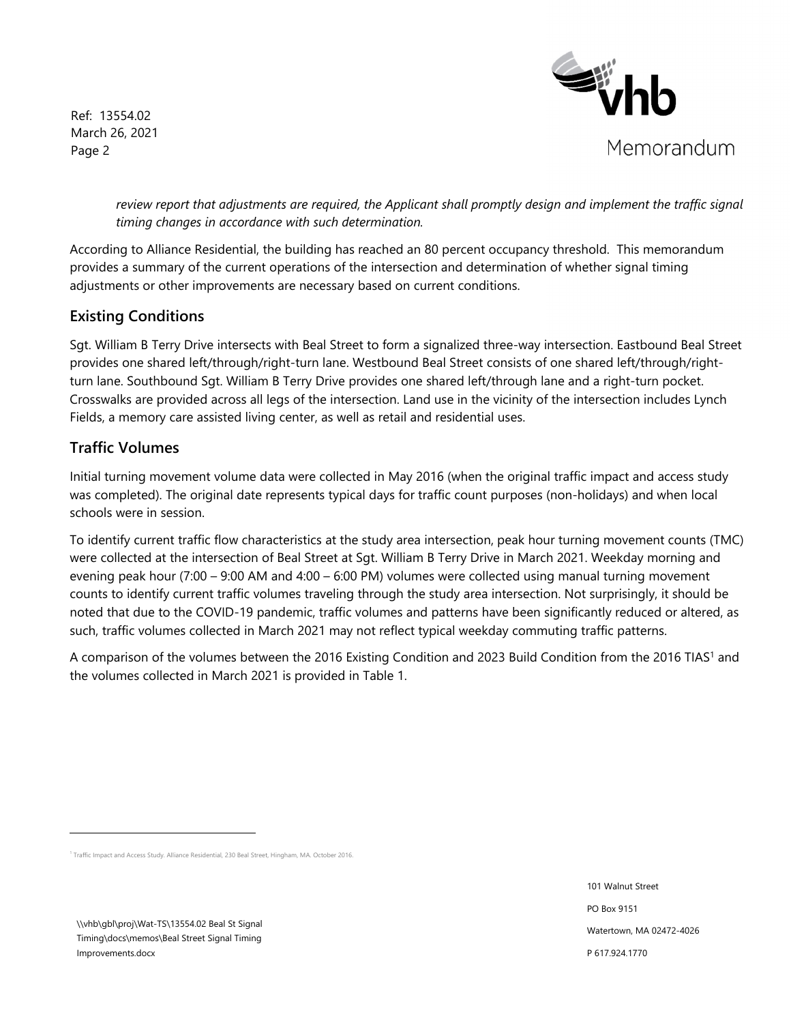Ref: 13554.02 March 26, 2021 Page 2



review report that adjustments are required, the Applicant shall promptly design and implement the traffic signal *timing changes in accordance with such determination.* 

According to Alliance Residential, the building has reached an 80 percent occupancy threshold. This memorandum provides a summary of the current operations of the intersection and determination of whether signal timing adjustments or other improvements are necessary based on current conditions.

# **Existing Conditions**

Sgt. William B Terry Drive intersects with Beal Street to form a signalized three-way intersection. Eastbound Beal Street provides one shared left/through/right-turn lane. Westbound Beal Street consists of one shared left/through/rightturn lane. Southbound Sgt. William B Terry Drive provides one shared left/through lane and a right-turn pocket. Crosswalks are provided across all legs of the intersection. Land use in the vicinity of the intersection includes Lynch Fields, a memory care assisted living center, as well as retail and residential uses.

# **Traffic Volumes**

Initial turning movement volume data were collected in May 2016 (when the original traffic impact and access study was completed). The original date represents typical days for traffic count purposes (non-holidays) and when local schools were in session.

To identify current traffic flow characteristics at the study area intersection, peak hour turning movement counts (TMC) were collected at the intersection of Beal Street at Sgt. William B Terry Drive in March 2021. Weekday morning and evening peak hour (7:00 – 9:00 AM and 4:00 – 6:00 PM) volumes were collected using manual turning movement counts to identify current traffic volumes traveling through the study area intersection. Not surprisingly, it should be noted that due to the COVID-19 pandemic, traffic volumes and patterns have been significantly reduced or altered, as such, traffic volumes collected in March 2021 may not reflect typical weekday commuting traffic patterns.

A comparison of the volumes between the 2016 Existing Condition and 2023 Build Condition from the 2016 TIAS1 and the volumes collected in March 2021 is provided in Table 1.

\\vhb\gbl\proj\Wat-TS\13554.02 Beal St Signal Timing\docs\memos\Beal Street Signal Timing Improvements.docx

101 Walnut Street PO Box 9151 Watertown, MA 02472-4026 P 617.924.1770

<sup>1</sup> Traffic Impact and Access Study. Alliance Residential, 230 Beal Street, Hingham, MA. October 2016.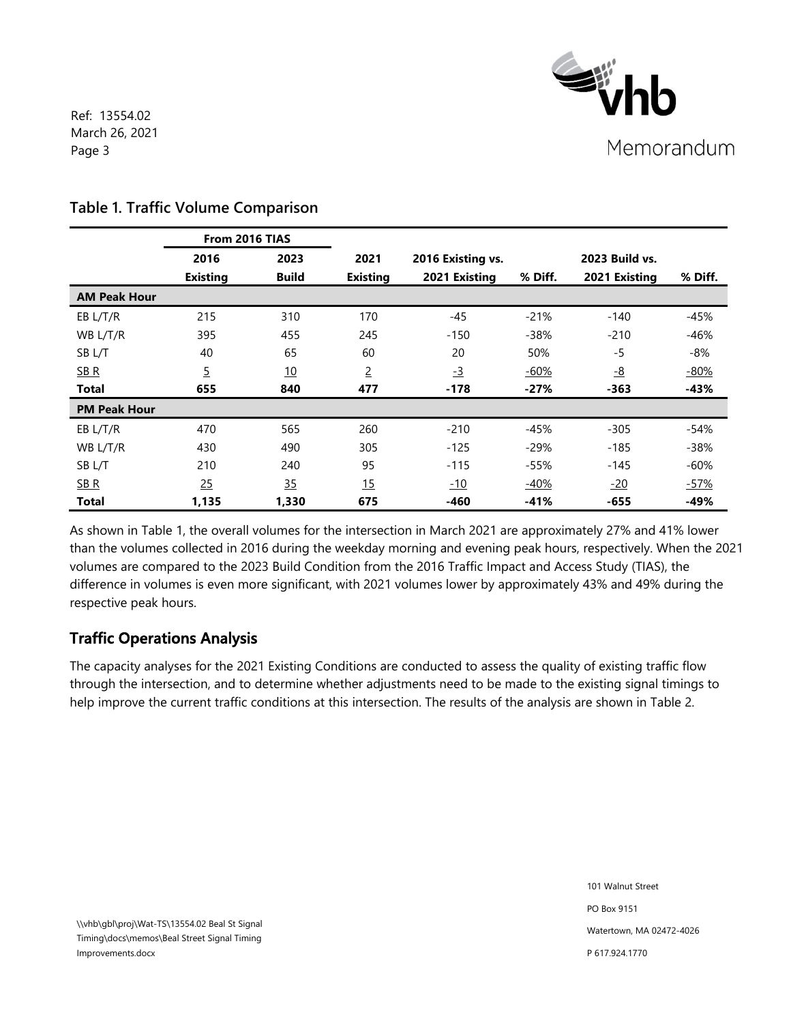

Ref: 13554.02 March 26, 2021 Page 3

|                     | From 2016 TIAS  |              |                 |                   |         |                       |         |
|---------------------|-----------------|--------------|-----------------|-------------------|---------|-----------------------|---------|
|                     | 2016            | 2023         | 2021            | 2016 Existing vs. |         | <b>2023 Build vs.</b> |         |
|                     | <b>Existing</b> | <b>Build</b> | <b>Existing</b> | 2021 Existing     | % Diff. | 2021 Existing         | % Diff. |
| <b>AM Peak Hour</b> |                 |              |                 |                   |         |                       |         |
| EB L/T/R            | 215             | 310          | 170             | $-45$             | $-21%$  | $-140$                | $-45%$  |
| WB L/T/R            | 395             | 455          | 245             | $-150$            | $-38%$  | $-210$                | $-46%$  |
| SB L/T              | 40              | 65           | 60              | 20                | 50%     | -5                    | -8%     |
| $S$ B $R$           | $\overline{5}$  | 10           | $\overline{2}$  | $-3$              | $-60%$  | $-8$                  | $-80%$  |
| <b>Total</b>        | 655             | 840          | 477             | $-178$            | $-27%$  | -363                  | $-43%$  |
| <b>PM Peak Hour</b> |                 |              |                 |                   |         |                       |         |
| EB L/T/R            | 470             | 565          | 260             | $-210$            | -45%    | $-305$                | -54%    |
| WB L/T/R            | 430             | 490          | 305             | $-125$            | $-29%$  | $-185$                | $-38%$  |
| SB <sub>L/T</sub>   | 210             | 240          | 95              | $-115$            | $-55%$  | $-145$                | $-60%$  |
| SB <sub>R</sub>     | 25              | 35           | 15              | $-10$             | $-40%$  | $-20$                 | $-57%$  |
| <b>Total</b>        | 1,135           | 1,330        | 675             | -460              | $-41%$  | $-655$                | $-49%$  |

## **Table 1. Traffic Volume Comparison**

As shown in Table 1, the overall volumes for the intersection in March 2021 are approximately 27% and 41% lower than the volumes collected in 2016 during the weekday morning and evening peak hours, respectively. When the 2021 volumes are compared to the 2023 Build Condition from the 2016 Traffic Impact and Access Study (TIAS), the difference in volumes is even more significant, with 2021 volumes lower by approximately 43% and 49% during the respective peak hours.

# **Traffic Operations Analysis**

The capacity analyses for the 2021 Existing Conditions are conducted to assess the quality of existing traffic flow through the intersection, and to determine whether adjustments need to be made to the existing signal timings to help improve the current traffic conditions at this intersection. The results of the analysis are shown in Table 2.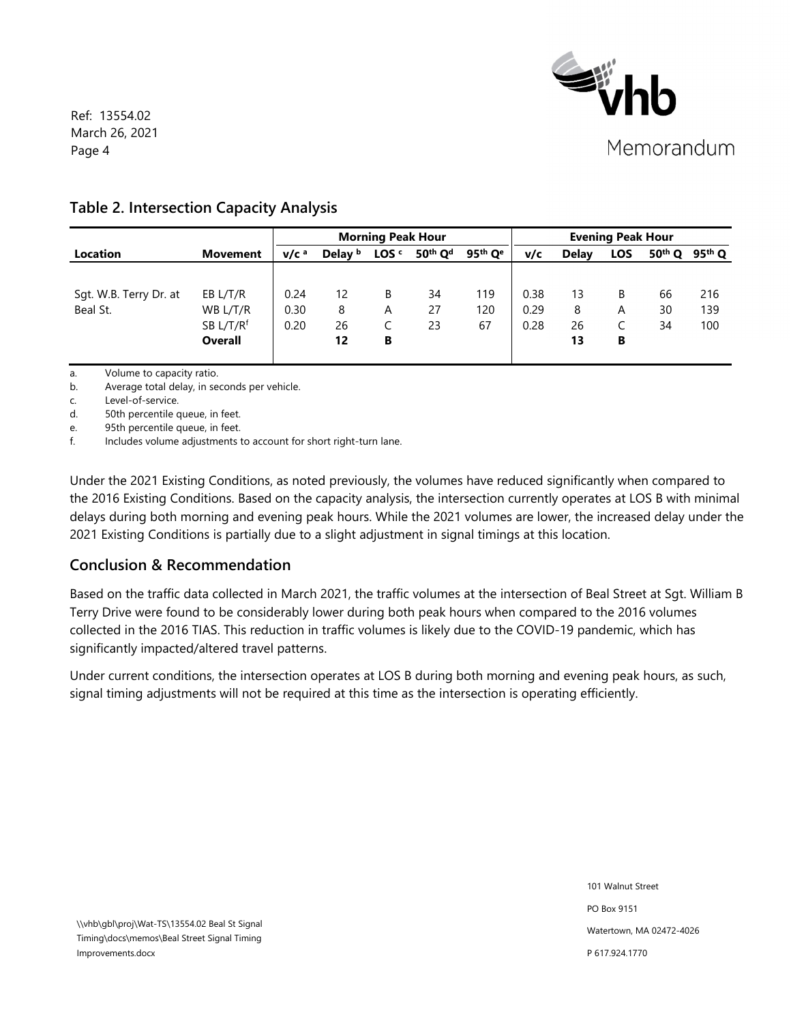

Ref: 13554.02 March 26, 2021 Page 4

## **Table 2. Intersection Capacity Analysis**

|                        |                       |                  |                    | <b>Morning Peak Hour</b> |                                 |                       |      |              | <b>Evening Peak Hour</b> |          |          |
|------------------------|-----------------------|------------------|--------------------|--------------------------|---------------------------------|-----------------------|------|--------------|--------------------------|----------|----------|
| <b>Location</b>        | Movement              | V/C <sup>a</sup> | Delay <sup>b</sup> | LOS <sup>c</sup>         | 50 <sup>th</sup> Q <sup>d</sup> | $95th$ Q <sup>e</sup> | v/c  | <b>Delay</b> | <b>LOS</b>               | $50th$ Q | $95th$ Q |
|                        |                       |                  |                    |                          |                                 |                       |      |              |                          |          |          |
| Sqt. W.B. Terry Dr. at | EB L/T/R              | 0.24             | 12                 | B                        | 34                              | 119                   | 0.38 | 13           | B                        | 66       | 216      |
| Beal St.               | WB L/T/R              | 0.30             | 8                  | A                        | 27                              | 120                   | 0.29 | 8            | A                        | 30       | 139      |
|                        | SB L/T/R <sup>f</sup> | 0.20             | 26                 |                          | 23                              | 67                    | 0.28 | 26           |                          | 34       | 100      |
|                        | <b>Overall</b>        |                  | 12                 | В                        |                                 |                       |      | 13           | В                        |          |          |
|                        |                       |                  |                    |                          |                                 |                       |      |              |                          |          |          |

a. Volume to capacity ratio.

b. Average total delay, in seconds per vehicle.

c. Level-of-service.

d. 50th percentile queue, in feet.

e. 95th percentile queue, in feet.

f. Includes volume adjustments to account for short right-turn lane.

Under the 2021 Existing Conditions, as noted previously, the volumes have reduced significantly when compared to the 2016 Existing Conditions. Based on the capacity analysis, the intersection currently operates at LOS B with minimal delays during both morning and evening peak hours. While the 2021 volumes are lower, the increased delay under the 2021 Existing Conditions is partially due to a slight adjustment in signal timings at this location.

# **Conclusion & Recommendation**

Based on the traffic data collected in March 2021, the traffic volumes at the intersection of Beal Street at Sgt. William B Terry Drive were found to be considerably lower during both peak hours when compared to the 2016 volumes collected in the 2016 TIAS. This reduction in traffic volumes is likely due to the COVID-19 pandemic, which has significantly impacted/altered travel patterns.

Under current conditions, the intersection operates at LOS B during both morning and evening peak hours, as such, signal timing adjustments will not be required at this time as the intersection is operating efficiently.

> 101 Walnut Street PO Box 9151 Watertown, MA 02472-4026 P 617.924.1770

\\vhb\gbl\proj\Wat-TS\13554.02 Beal St Signal Timing\docs\memos\Beal Street Signal Timing Improvements.docx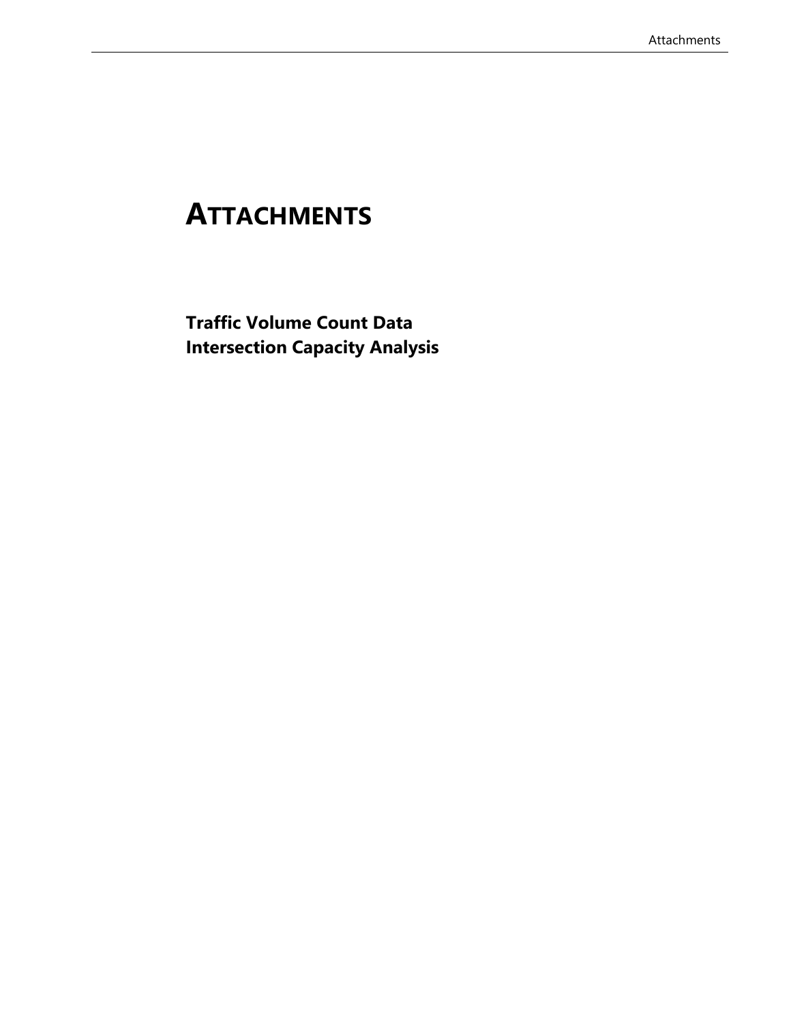# **ATTACHMENTS**

**Traffic Volume Count Data Intersection Capacity Analysis**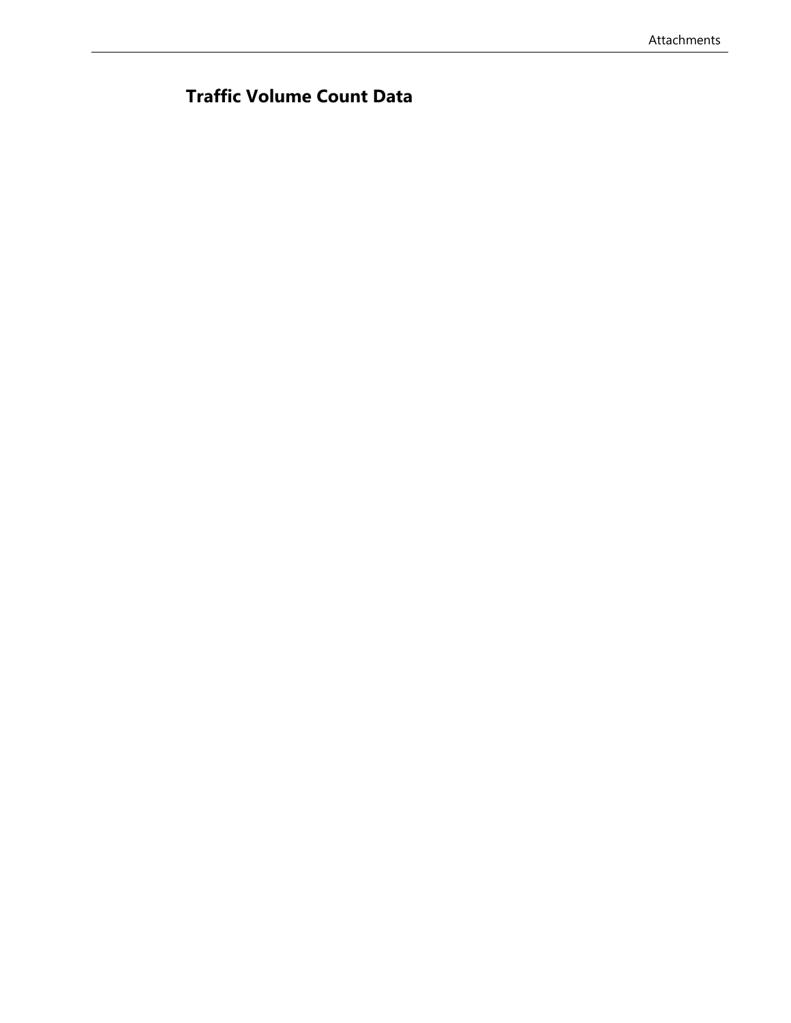# **Traffic Volume Count Data**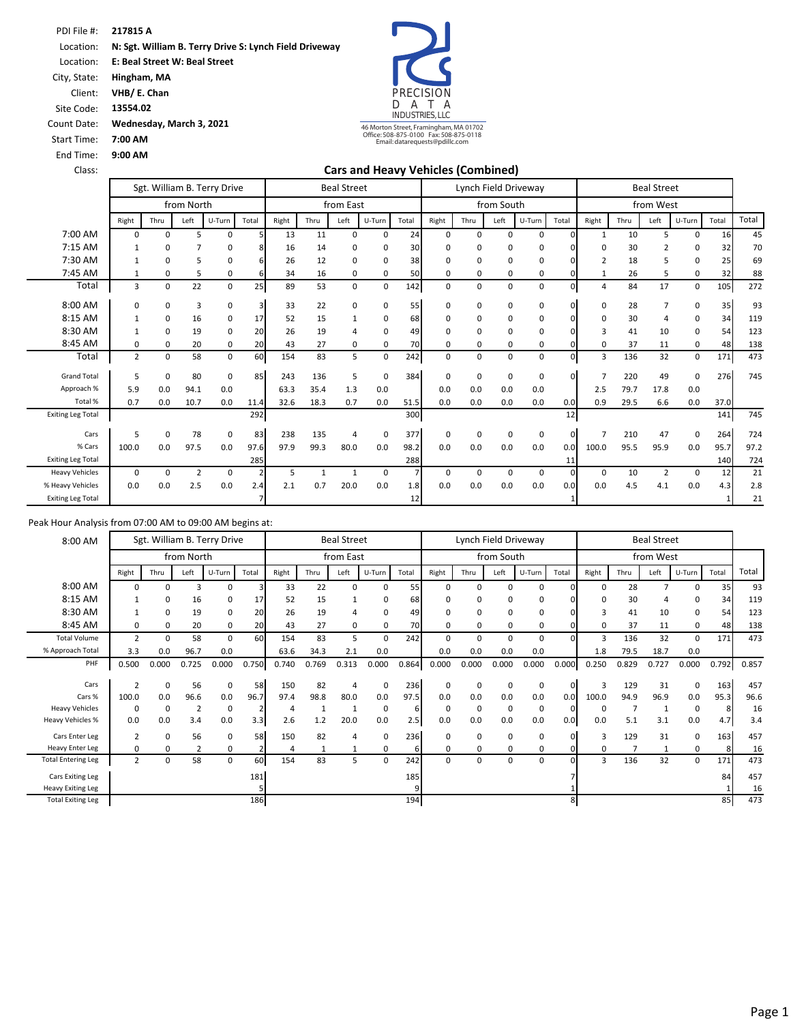PDI File #: Location: Location: **217815 A N: Sgt. William B. Terry Drive S: Lynch Field Driveway** 

**E: Beal Street W: Beal Street** 

City, State: Client: **Hingham, MA VHB/ E. Chan**

Site Code: **13554.02**

Count Date: **Wednesday, March 3, 2021**

Start Time: **7:00 AM**

End Time: **9:00 AM**

Class:

PRECISI<br>D A T D A T A INDUSTRIES, LLC

46 Morton Street, Framingham, MA 01702 Office: 508-875-0100 Fax: 508-875-0118 Email: datarequests@pdillc.com

### **Cars and Heavy Vehicles (Combined)**

|                          |                |             |                | Sgt. William B. Terry Drive |                         |       | <b>Beal Street</b> |                |             |       |             |      |            | Lynch Field Driveway |             |                |      | <b>Beal Street</b> |          |       |       |
|--------------------------|----------------|-------------|----------------|-----------------------------|-------------------------|-------|--------------------|----------------|-------------|-------|-------------|------|------------|----------------------|-------------|----------------|------|--------------------|----------|-------|-------|
|                          |                |             | from North     |                             |                         |       |                    | from East      |             |       |             |      | from South |                      |             |                |      | from West          |          |       |       |
|                          | Right          | Thru        | Left           | U-Turn                      | Total                   | Right | Thru               | Left           | U-Turn      | Total | Right       | Thru | Left       | U-Turn               | Total       | Right          | Thru | Left               | U-Turn   | Total | Total |
| 7:00 AM                  | 0              | 0           | 5              | $\Omega$                    |                         | 13    | 11                 | $\Omega$       | 0           | 24    | 0           | 0    | $\Omega$   | 0                    | $\Omega$    | $\mathbf{1}$   | 10   | 5                  | $\Omega$ | 16    | 45    |
| 7:15 AM                  | $\mathbf{1}$   | 0           |                | 0                           |                         | 16    | 14                 | $\Omega$       | 0           | 30    | 0           | 0    | $\Omega$   | 0                    |             | $\Omega$       | 30   | $\overline{2}$     | 0        | 32    | 70    |
| 7:30 AM                  | $\overline{1}$ | 0           | 5              | 0                           | 6                       | 26    | 12                 | 0              | 0           | 38    | 0           | 0    | 0          | 0                    |             | $\overline{2}$ | 18   | 5                  | 0        | 25    | 69    |
| 7:45 AM                  | 1              | 0           | 5              | 0                           | 61                      | 34    | 16                 | 0              | 0           | 50    | 0           | 0    | 0          | 0                    | 0           |                | 26   | 5                  | 0        | 32    | 88    |
| Total                    | 3              | $\mathbf 0$ | 22             | $\mathbf 0$                 | 25                      | 89    | 53                 | 0              | 0           | 142   | $\mathbf 0$ | 0    | $\Omega$   | 0                    | 0           | $\overline{4}$ | 84   | 17                 | 0        | 105   | 272   |
| 8:00 AM                  | 0              | 0           | 3              | $\mathbf 0$                 | $\overline{\mathbf{3}}$ | 33    | 22                 | $\Omega$       | 0           | 55    | $\Omega$    | 0    | $\Omega$   | 0                    | U           | $\Omega$       | 28   |                    | 0        | 35    | 93    |
| 8:15 AM                  | $\mathbf{1}$   | 0           | 16             | 0                           | 17                      | 52    | 15                 |                | 0           | 68    | $\Omega$    | 0    | $\Omega$   | 0                    |             | 0              | 30   | 4                  | 0        | 34    | 119   |
| 8:30 AM                  | -1             | 0           | 19             | $\Omega$                    | 20                      | 26    | 19                 |                | 0           | 49    | $\Omega$    | 0    | $\Omega$   | 0                    |             | 3              | 41   | 10                 | 0        | 54    | 123   |
| 8:45 AM                  | 0              | 0           | 20             | $\mathbf 0$                 | 20                      | 43    | 27                 | 0              | 0           | 70    | 0           | 0    | 0          | 0                    |             | $\mathbf 0$    | 37   | 11                 | 0        | 48    | 138   |
| Total                    | $\overline{2}$ | $\mathbf 0$ | 58             | $\mathbf 0$                 | 60                      | 154   | 83                 | 5              | $\mathbf 0$ | 242   | 0           | 0    | $\Omega$   | 0                    | 0           | 3              | 136  | 32                 | 0        | 171   | 473   |
| <b>Grand Total</b>       | 5              | $\mathsf 0$ | 80             | 0                           | 85                      | 243   | 136                | 5              | 0           | 384   | $\Omega$    | 0    | 0          | 0                    | $\Omega$    | 7              | 220  | 49                 | 0        | 276   | 745   |
| Approach %               | 5.9            | 0.0         | 94.1           | 0.0                         |                         | 63.3  | 35.4               | 1.3            | 0.0         |       | 0.0         | 0.0  | 0.0        | 0.0                  |             | 2.5            | 79.7 | 17.8               | 0.0      |       |       |
| Total %                  | 0.7            | 0.0         | 10.7           | 0.0                         | 11.4                    | 32.6  | 18.3               | 0.7            | 0.0         | 51.5  | 0.0         | 0.0  | 0.0        | 0.0                  | 0.0         | 0.9            | 29.5 | 6.6                | 0.0      | 37.0  |       |
| <b>Exiting Leg Total</b> |                |             |                |                             | 292                     |       |                    |                |             | 300   |             |      |            |                      | 12          |                |      |                    |          | 141   | 745   |
| Cars                     | 5              | $\mathsf 0$ | 78             | 0                           | 83                      | 238   | 135                | $\overline{a}$ | 0           | 377   | 0           | 0    | 0          | 0                    | $\mathbf 0$ | $\overline{7}$ | 210  | 47                 | 0        | 264   | 724   |
| % Cars                   | 100.0          | 0.0         | 97.5           | 0.0                         | 97.6                    | 97.9  | 99.3               | 80.0           | 0.0         | 98.2  | 0.0         | 0.0  | 0.0        | 0.0                  | 0.0         | 100.0          | 95.5 | 95.9               | 0.0      | 95.7  | 97.2  |
| <b>Exiting Leg Total</b> |                |             |                |                             | 285                     |       |                    |                |             | 288   |             |      |            |                      | 11          |                |      |                    |          | 140   | 724   |
| <b>Heavy Vehicles</b>    | 0              | 0           | $\overline{2}$ | 0                           |                         | 5     |                    |                | 0           |       | $\Omega$    | 0    | $\Omega$   | 0                    | 0           | 0              | 10   | $\overline{2}$     | 0        | 12    | 21    |
| % Heavy Vehicles         | 0.0            | 0.0         | 2.5            | 0.0                         | 2.4                     | 2.1   | 0.7                | 20.0           | 0.0         | 1.8   | 0.0         | 0.0  | 0.0        | 0.0                  | 0.0         | 0.0            | 4.5  | 4.1                | 0.0      | 4.3   | 2.8   |
| <b>Exiting Leg Total</b> |                |             |                |                             |                         |       |                    |                |             | 12    |             |      |            |                      |             |                |      |                    |          |       | 21    |

| 8:00 AM                   |                |             |                         | Sgt. William B. Terry Drive |       |       |       | <b>Beal Street</b> |        |       |          |             |            | Lynch Field Driveway |              |             |       | <b>Beal Street</b> |             |       |       |
|---------------------------|----------------|-------------|-------------------------|-----------------------------|-------|-------|-------|--------------------|--------|-------|----------|-------------|------------|----------------------|--------------|-------------|-------|--------------------|-------------|-------|-------|
|                           |                |             | from North              |                             |       |       |       | from East          |        |       |          |             | from South |                      |              |             |       | from West          |             |       |       |
|                           | Right          | Thru        | Left                    | U-Turn                      | Total | Right | Thru  | Left               | U-Turn | Total | Right    | Thru        | Left       | U-Turn               | Total        | Right       | Thru  | Left               | U-Turn      | Total | Total |
| 8:00 AM                   | 0              | 0           | з                       |                             |       | 33    | 22    | $\Omega$           | 0      | 55    | 0        | $\Omega$    | $\Omega$   | 0                    |              | $\mathbf 0$ | 28    |                    | 0           | 35    | 93    |
| 8:15 AM                   |                | 0           | 16                      | 0                           | 17    | 52    | 15    |                    | 0      | 68    | O        | 0           | $\Omega$   | 0                    |              | $\Omega$    | 30    |                    | 0           | 34    | 119   |
| 8:30 AM                   | $\mathbf{1}$   | 0           | 19                      | 0                           | 20    | 26    | 19    | 4                  | 0      | 49    | 0        | 0           | $\Omega$   | 0                    |              | 3           | 41    | 10                 | 0           | 54    | 123   |
| 8:45 AM                   | $\Omega$       | 0           | 20                      | 0                           | 20    | 43    | 27    | 0                  | 0      | 70    | $\Omega$ | 0           | 0          | 0                    |              | $\mathbf 0$ | 37    | 11                 | 0           | 48    | 138   |
| <b>Total Volume</b>       | $\overline{2}$ | 0           | 58                      | 0                           | 60    | 154   | 83    | 5                  | 0      | 242   | $\Omega$ | 0           | $\Omega$   | 0                    | 0            | 3           | 136   | 32                 | 0           | 171   | 473   |
| % Approach Total          | 3.3            | 0.0         | 96.7                    | 0.0                         |       | 63.6  | 34.3  | 2.1                | 0.0    |       | 0.0      | 0.0         | 0.0        | 0.0                  |              | 1.8         | 79.5  | 18.7               | 0.0         |       |       |
| PHF                       | 0.500          | 0.000       | 0.725                   | 0.000                       | 0.750 | 0.740 | 0.769 | 0.313              | 0.000  | 0.864 | 0.000    | 0.000       | 0.000      | 0.000                | 0.000        | 0.250       | 0.829 | 0.727              | 0.000       | 0.792 | 0.857 |
|                           |                |             |                         |                             |       |       |       |                    |        |       |          |             |            |                      |              |             |       |                    |             |       |       |
| Cars                      | $\overline{2}$ | 0           | 56                      | 0                           | 58    | 150   | 82    | 4                  | 0      | 236   | 0        | 0           | $\Omega$   | 0                    | $\mathbf{0}$ | 3           | 129   | 31                 | 0           | 163   | 457   |
| Cars %                    | 100.0          | 0.0         | 96.6                    | 0.0                         | 96.7  | 97.4  | 98.8  | 80.0               | 0.0    | 97.5  | 0.0      | 0.0         | 0.0        | 0.0                  | 0.0          | 100.0       | 94.9  | 96.9               | 0.0         | 95.3  | 96.6  |
| <b>Heavy Vehicles</b>     | 0              | $\mathbf 0$ | $\overline{\mathbf{z}}$ | 0                           |       | 4     |       | -1                 | 0      | 6     | 0        | $\mathbf 0$ | 0          | 0                    | 0            | 0           |       |                    | 0           | 8     | 16    |
| <b>Heavy Vehicles %</b>   | 0.0            | 0.0         | 3.4                     | 0.0                         | 3.3   | 2.6   | 1.2   | 20.0               | 0.0    | 2.5   | 0.0      | 0.0         | 0.0        | 0.0                  | 0.0          | 0.0         | 5.1   | 3.1                | 0.0         | 4.7   | 3.4   |
| Cars Enter Leg            | $\overline{2}$ | 0           | 56                      | 0                           | 58    | 150   | 82    | 4                  | 0      | 236   | 0        | 0           | $\Omega$   | 0                    | 0            | 3           | 129   | 31                 | 0           | 163   | 457   |
| <b>Heavy Enter Leg</b>    | 0              | 0           |                         | 0                           |       | Δ     |       |                    | 0      |       | 0        | $\Omega$    | 0          | 0                    |              | 0           |       |                    | 0           | 8     | 16    |
| <b>Total Entering Leg</b> | $\overline{2}$ | 0           | 58                      | 0                           | 60    | 154   | 83    | 5                  | 0      | 242   | $\Omega$ | 0           | $\Omega$   | 0                    | <sup>0</sup> | 3           | 136   | 32                 | $\mathbf 0$ | 171   | 473   |
| Cars Exiting Leg          |                |             |                         |                             | 181   |       |       |                    |        | 185   |          |             |            |                      |              |             |       |                    |             | 84    | 457   |
| <b>Heavy Exiting Leg</b>  |                |             |                         |                             |       |       |       |                    |        |       |          |             |            |                      |              |             |       |                    |             |       | 16    |
| <b>Total Exiting Leg</b>  |                |             |                         |                             | 186   |       |       |                    |        | 194   |          |             |            |                      | 8            |             |       |                    |             | 85    | 473   |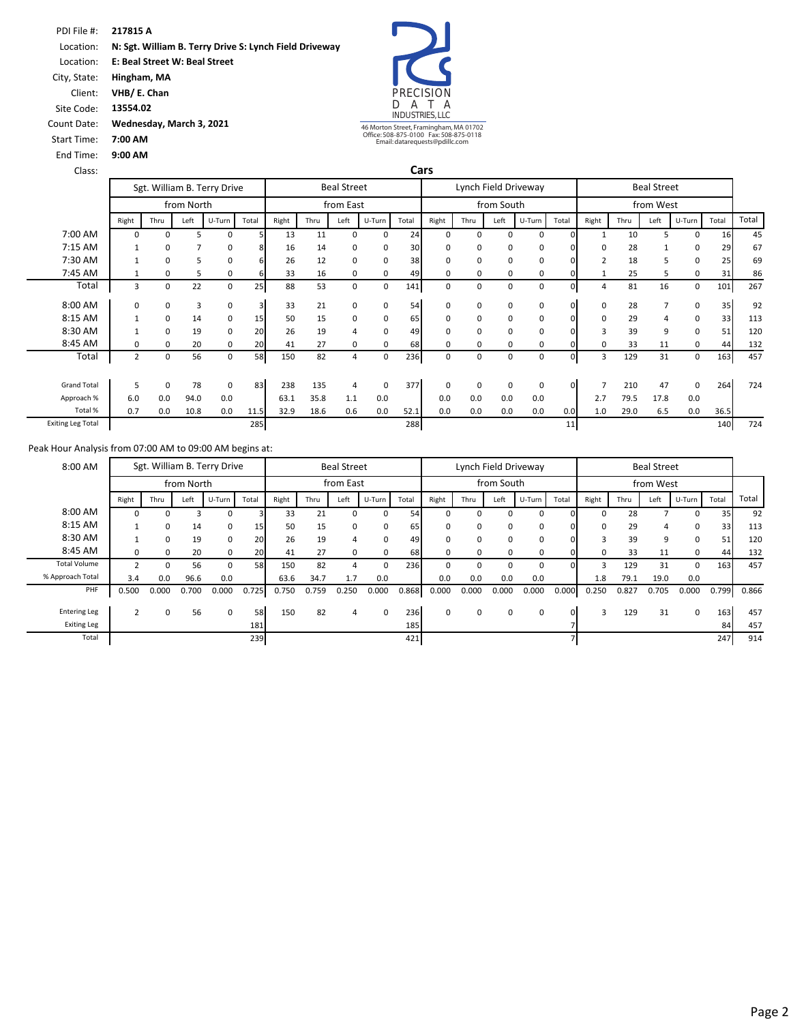PDI File #: **217815 A** Location: Location: City, State: Client: **N: Sgt. William B. Terry Drive S: Lynch Field Driveway E: Beal Street W: Beal Street Hingham, MA VHB/ E. Chan**



46 Morton Street, Framingham, MA 01702 Office: 508-875-0100 Fax: 508-875-0118 Email: datarequests@pdillc.com

**Cars**

Lynch Field Driveway **Beal Street** 

| Site Code:  |  |
|-------------|--|
| Count Date: |  |
| Start Time: |  |

End Time: **9:00 AM 7:00 AM**

**13554.02**

**Wednesday, March 3, 2021**

 $\mathcal{L}$ 

| Class:  |       |      |            |                             |       |       |      |                    |     |
|---------|-------|------|------------|-----------------------------|-------|-------|------|--------------------|-----|
|         |       |      |            | Sgt. William B. Terry Drive |       |       |      | <b>Beal Street</b> |     |
|         |       |      | from North |                             |       |       |      | from East          |     |
|         | Right | Thru | Left       | U-Turn                      | Total | Right | Thru | Left               | U-T |
| 7:00 AM | 0     | 0    |            | 0                           |       | 13    | 11   |                    |     |
| 7:15 AM |       | 0    |            | 0                           | 8     | 16    | 14   | 0                  |     |
| 7:30 AM |       | 0    |            | 0                           | 6     | 26    | 12   |                    |     |

|                          |                |             | from North |        |       |       |      | from East |          |       |          |             | from South |              |          |          |      | from West      |             |       |       |
|--------------------------|----------------|-------------|------------|--------|-------|-------|------|-----------|----------|-------|----------|-------------|------------|--------------|----------|----------|------|----------------|-------------|-------|-------|
|                          | Right          | Thru        | Left       | U-Turn | Total | Right | Thru | Left      | U-Turn   | Total | Right    | Thru        | Left       | U-Turn       | Total    | Right    | Thru | Left           | U-Turn      | Total | Total |
| 7:00 AM                  | 0              | $\Omega$    |            | 0      |       | 13    | 11   | $\Omega$  | $\Omega$ | 24    | 0        | $\Omega$    |            | <sup>0</sup> | $\Omega$ |          | 10   |                | 0           | 16    | 45    |
| 7:15 AM                  |                | 0           |            | 0      | 8     | 16    | 14   | O         | 0        | 30    | 0        | $\Omega$    |            | 0            |          | $\Omega$ | 28   |                | 0           | 29    | 67    |
| 7:30 AM                  |                | 0           |            | 0      | 6     | 26    | 12   | 0         | 0        | 38    | 0        | $\mathbf 0$ |            | 0            |          |          | 18   | 5              | 0           | 25    | 69    |
| 7:45 AM                  |                | 0           |            | 0      |       | 33    | 16   | 0         | 0        | 49    | 0        | 0           |            | 0            |          |          | 25   | 5              | 0           | 31    | 86    |
| Total                    | 3              | 0           | 22         | 0      | 25    | 88    | 53   | 0         | 0        | 141   | 0        | 0           | $\Omega$   | 0            | $\Omega$ | 4        | 81   | 16             | 0           | 101   | 267   |
| 8:00 AM                  | 0              | 0           | 3          | 0      | 3     | 33    | 21   | 0         | 0        | 54    | 0        | 0           |            | 0            | $\Omega$ | 0        | 28   | 7              | 0           | 35    | 92    |
| 8:15 AM                  |                | $\Omega$    | 14         | 0      | 15    | 50    | 15   | O         | 0        | 65    | 0        | 0           |            | 0            | $\Omega$ | 0        | 29   | $\overline{4}$ | 0           | 33    | 113   |
| 8:30 AM                  |                | $\Omega$    | 19         | 0      | 20    | 26    | 19   |           | 0        | 49    | 0        | $\Omega$    |            | 0            | $\Omega$ | 3        | 39   | 9              | 0           | 51    | 120   |
| 8:45 AM                  | 0              | 0           | 20         | 0      | 20    | 41    | 27   | O         | $\Omega$ | 68    | $\Omega$ | $\Omega$    |            | 0            |          | $\Omega$ | 33   | 11             | 0           | 44    | 132   |
| Total                    | $\overline{2}$ | 0           | 56         | 0      | 58    | 150   | 82   | 4         | 0        | 236   | 0        | 0           | $\Omega$   | 0            | $\Omega$ | 3        | 129  | 31             | 0           | 163   | 457   |
| <b>Grand Total</b>       | 5              | $\mathbf 0$ | 78         | 0      | 83    | 238   | 135  | 4         | 0        | 377   | 0        | $\Omega$    | $\Omega$   | 0            | $\Omega$ |          | 210  | 47             | $\mathbf 0$ | 264   | 724   |
| Approach %               | 6.0            | 0.0         | 94.0       | 0.0    |       | 63.1  | 35.8 | 1.1       | 0.0      |       | 0.0      | 0.0         | 0.0        | 0.0          |          | 2.7      | 79.5 | 17.8           | 0.0         |       |       |
| Total %                  | 0.7            | 0.0         | 10.8       | 0.0    | 11.5  | 32.9  | 18.6 | 0.6       | 0.0      | 52.1  | 0.0      | 0.0         | 0.0        | 0.0          | 0.0      | 1.0      | 29.0 | 6.5            | 0.0         | 36.5  |       |
| <b>Exiting Leg Total</b> |                |             |            |        | 285   |       |      |           |          | 288   |          |             |            |              | 11       |          |      |                |             | 140   | 724   |

| 8:00 AM             |                |          |            | Sgt. William B. Terry Drive |       |       |       | <b>Beal Street</b> |          |       |       |       |            | Lynch Field Driveway |       |          |       | <b>Beal Street</b> |        |       |       |
|---------------------|----------------|----------|------------|-----------------------------|-------|-------|-------|--------------------|----------|-------|-------|-------|------------|----------------------|-------|----------|-------|--------------------|--------|-------|-------|
|                     |                |          | from North |                             |       |       |       | from East          |          |       |       |       | from South |                      |       |          |       | from West          |        |       |       |
|                     | Right          | Thru     | Left       | U-Turn                      | Total | Right | Thru  | Left               | U-Turn   | Total | Right | Thru  | Left       | U-Turn               | Total | Right    | Thru  | Left               | U-Turn | Total | Total |
| 8:00 AM             | 0              | $\Omega$ | З          |                             |       | 33    | 21    | 0                  | 0        | 54    |       | 0     | 0          | 0                    |       | $\Omega$ | 28    |                    | 0      | 35    | 92    |
| 8:15 AM             |                | 0        | 14         | 0                           | 15    | 50    | 15    | 0                  | 0        | 65    |       | 0     | 0          | 0                    |       | $\Omega$ | 29    |                    | 0      | 33    | 113   |
| 8:30 AM             |                | 0        | 19         | 0                           | 20    | 26    | 19    | 4                  | 0        | 49    |       | 0     | 0          | 0                    |       | 3        | 39    | q                  | 0      | 51    | 120   |
| 8:45 AM             | 0              | $\Omega$ | 20         | 0                           | 20    | 41    | 27    | $\Omega$           | $\Omega$ | 68    |       | U     | 0          | 0                    |       | O        | 33    | 11                 | 0      | 44    | 132   |
| <b>Total Volume</b> |                | $\Omega$ | 56         |                             | 58    | 150   | 82    |                    | $\Omega$ | 236   |       | 0     | O          | $\Omega$             |       | з        | 129   | 31                 | 0      | 163   | 457   |
| % Approach Total    | 3.4            | 0.0      | 96.6       | 0.0                         |       | 63.6  | 34.7  | 1.7                | 0.0      |       | 0.0   | 0.0   | 0.0        | 0.0                  |       | 1.8      | 79.1  | 19.0               | 0.0    |       |       |
| PHF                 | 0.500          | 0.000    | 0.700      | 0.000                       | 0.725 | 0.750 | 0.759 | 0.250              | 0.000    | 0.868 | 0.000 | 0.000 | 0.000      | 0.000                | 0.000 | 0.250    | 0.827 | 0.705              | 0.000  | 0.799 | 0.866 |
|                     |                |          |            |                             |       |       |       |                    |          |       |       |       |            |                      |       |          |       |                    |        |       |       |
| <b>Entering Leg</b> | $\overline{2}$ | 0        | 56         | $\Omega$                    | 58    | 150   | 82    | $\overline{a}$     | $\Omega$ | 236   | 0     | 0     | 0          | 0                    |       | 3        | 129   | 31                 | 0      | 163   | 457   |
| <b>Exiting Leg</b>  |                |          |            |                             | 181   |       |       |                    |          | 185   |       |       |            |                      |       |          |       |                    |        | 84    | 457   |
| Total               |                |          |            |                             | 239   |       |       |                    |          | 421   |       |       |            |                      |       |          |       |                    |        | 247   | 914   |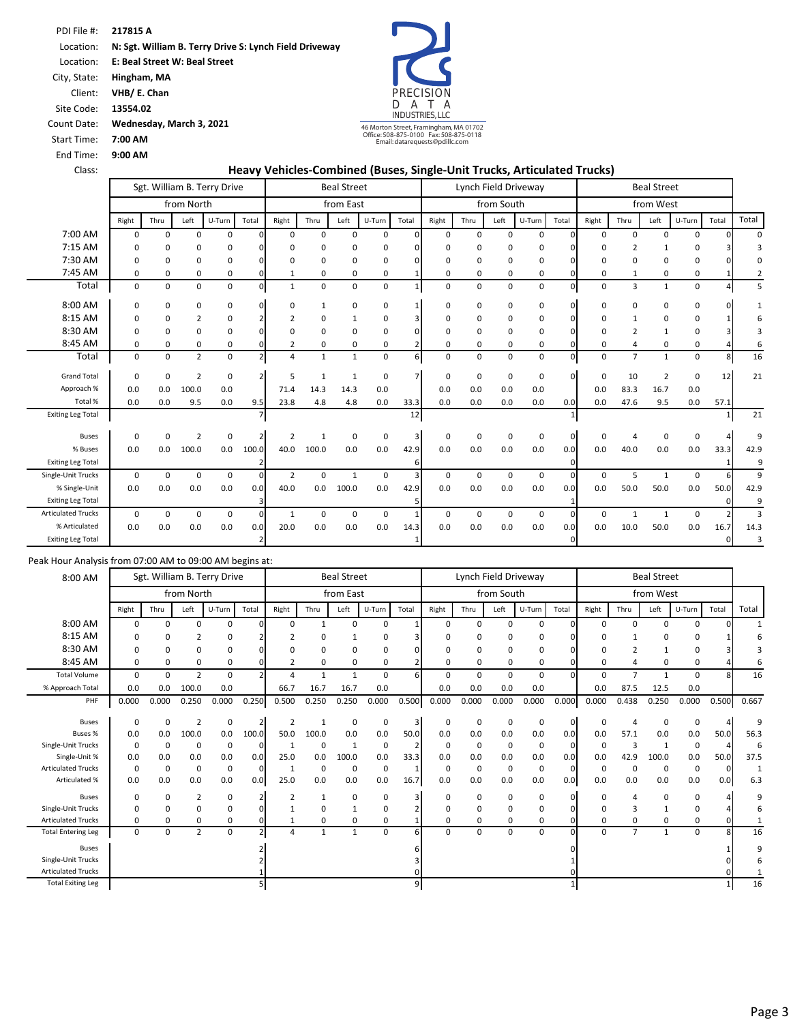Location: **E: Beal Street W: Beal Street** 

City, State: **Hingham, MA** Client: **VHB/ E. Chan**

Site Code: **13554.02**

**7:00 AM** Start Time: End Time: **9:00 AM**

Count Date: **Wednesday, March 3, 2021**



#### Class: **Heavy Vehicles‐Combined (Buses, Single‐Unit Trucks, Articulated Trucks)**

|                           |             |             |                | Sgt. William B. Terry Drive |                | <b>Beal Street</b> |              |              |             |                         |             |          |            | Lynch Field Driveway |              |             |                | <b>Beal Street</b> |              |          |          |
|---------------------------|-------------|-------------|----------------|-----------------------------|----------------|--------------------|--------------|--------------|-------------|-------------------------|-------------|----------|------------|----------------------|--------------|-------------|----------------|--------------------|--------------|----------|----------|
|                           |             |             | from North     |                             |                |                    |              | from East    |             |                         |             |          | from South |                      |              |             |                | from West          |              |          |          |
|                           | Right       | Thru        | Left           | U-Turn                      | Total          | Right              | Thru         | Left         | U-Turn      | Total                   | Right       | Thru     | Left       | U-Turn               | Total        | Right       | Thru           | Left               | U-Turn       | Total    | Total    |
| 7:00 AM                   | $\Omega$    | $\Omega$    | 0              | 0                           |                | 0                  | $\Omega$     | $\Omega$     | $\mathbf 0$ | O                       | $\Omega$    | $\Omega$ | 0          | $\Omega$             | <sup>n</sup> | $\Omega$    | 0              | $\Omega$           | <sup>n</sup> |          | $\Omega$ |
| 7:15 AM                   | 0           | 0           | 0              | 0                           |                | ŋ                  | $\Omega$     | 0            | 0           |                         | $\mathbf 0$ | O        | 0          | $\Omega$             |              | O           | $\overline{2}$ | $\mathbf{1}$       |              |          | З        |
| 7:30 AM                   | 0           | 0           | $\Omega$       | 0                           |                | ŋ                  | $\Omega$     | 0            | 0           |                         | 0           | $\Omega$ | 0          | 0                    |              | 0           | $\Omega$       | 0                  | 0            |          | O        |
| 7:45 AM                   | 0           | 0           | 0              | 0                           |                | 1                  | 0            | 0            | 0           |                         | 0           | $\Omega$ | 0          | 0                    |              | 0           | 1              | 0                  | 0            |          | 2        |
| Total                     | 0           | 0           | 0              | $\pmb{0}$                   | $\mathsf{o}$   |                    | 0            | 0            | $\mathbf 0$ |                         | $\mathbf 0$ | 0        | 0          | $\mathbf 0$          | $\mathbf{0}$ | $\mathbf 0$ | 3              | $\mathbf{1}$       | 0            |          | 5        |
| 8:00 AM                   | $\Omega$    | 0           | 0              | 0                           |                | 0                  | 1            | $\Omega$     | 0           |                         | 0           | $\Omega$ | 0          | 0                    | <sup>0</sup> | 0           | 0              | 0                  | 0            |          | -1       |
| 8:15 AM                   | $\Omega$    | 0           | $\overline{2}$ | 0                           |                | $\overline{2}$     | $\Omega$     |              | 0           |                         | $\Omega$    | $\Omega$ | 0          | 0                    |              | $\Omega$    |                | $\Omega$           | 0            |          |          |
| 8:30 AM                   | 0           | 0           | ŋ              | 0                           |                | O                  | 0            | O            | 0           |                         | $\mathbf 0$ | 0        | 0          | 0                    |              | $\Omega$    | 2              | $\mathbf{1}$       | 0            |          |          |
| 8:45 AM                   | 0           | 0           | $\Omega$       | 0                           |                | 2                  | 0            | 0            | 0           |                         | 0           | $\Omega$ | 0          | 0                    |              | 0           | 4              | 0                  | $\Omega$     |          | 6        |
| Total                     | $\mathbf 0$ | $\mathbf 0$ | $\overline{2}$ | $\pmb{0}$                   |                | 4                  | $\mathbf{1}$ | $\mathbf{1}$ | 0           | 6                       | $\mathbf 0$ | 0        | 0          | 0                    | 0            | $\mathbf 0$ | $\overline{7}$ | $\mathbf{1}$       | 0            | 8        | 16       |
| <b>Grand Total</b>        | $\Omega$    | 0           | $\overline{2}$ | 0                           |                | 5                  | -1           | $\mathbf{1}$ | 0           |                         | $\mathbf 0$ | $\Omega$ | 0          | 0                    | <sup>n</sup> | 0           | 10             | $\overline{2}$     | $\Omega$     | 12       | 21       |
| Approach %                | 0.0         | 0.0         | 100.0          | 0.0                         |                | 71.4               | 14.3         | 14.3         | 0.0         |                         | 0.0         | 0.0      | 0.0        | 0.0                  |              | 0.0         | 83.3           | 16.7               | 0.0          |          |          |
| Total %                   | 0.0         | 0.0         | 9.5            | 0.0                         | 9.5            | 23.8               | 4.8          | 4.8          | 0.0         | 33.3                    | 0.0         | 0.0      | 0.0        | 0.0                  | 0.0          | 0.0         | 47.6           | 9.5                | 0.0          | 57.1     |          |
| <b>Exiting Leg Total</b>  |             |             |                |                             |                |                    |              |              |             | 12                      |             |          |            |                      |              |             |                |                    |              |          | 21       |
| <b>Buses</b>              | $\Omega$    | $\Omega$    | $\overline{2}$ | $\mathbf 0$                 | $\overline{2}$ | $\overline{2}$     |              | $\Omega$     | $\mathbf 0$ | $\overline{\mathbf{3}}$ | 0           | $\Omega$ | 0          | 0                    | $\Omega$     | 0           | 4              | $\mathbf 0$        | $\Omega$     |          | 9        |
| % Buses                   | 0.0         | 0.0         | 100.0          | 0.0                         | 100.0          | 40.0               | 100.0        | 0.0          | 0.0         | 42.9                    | 0.0         | 0.0      | 0.0        | 0.0                  | 0.0          | 0.0         | 40.0           | 0.0                | 0.0          | 33.3     | 42.9     |
| <b>Exiting Leg Total</b>  |             |             |                |                             |                |                    |              |              |             | 6                       |             |          |            |                      | $\Omega$     |             |                |                    |              |          | 9        |
| Single-Unit Trucks        | $\Omega$    | $\Omega$    | $\Omega$       | $\mathbf 0$                 | $\Omega$       | $\overline{2}$     | $\Omega$     | $\mathbf{1}$ | $\mathbf 0$ | 3                       | $\Omega$    | $\Omega$ | $\Omega$   | $\Omega$             | $\Omega$     | $\Omega$    | 5              | $\mathbf{1}$       | $\Omega$     | 6        | 9        |
| % Single-Unit             | 0.0         | 0.0         | 0.0            | 0.0                         | 0.0            | 40.0               | 0.0          | 100.0        | 0.0         | 42.9                    | 0.0         | 0.0      | 0.0        | 0.0                  | 0.0          | 0.0         | 50.0           | 50.0               | 0.0          | 50.0     | 42.9     |
| <b>Exiting Leg Total</b>  |             |             |                |                             |                |                    |              |              |             |                         |             |          |            |                      |              |             |                |                    |              |          | 9        |
| <b>Articulated Trucks</b> | $\Omega$    | $\mathbf 0$ | 0              | 0                           | $\Omega$       | $\mathbf{1}$       | $\mathbf 0$  | $\Omega$     | $\mathbf 0$ |                         | 0           | 0        | 0          | $\mathbf 0$          | 0            | 0           | $\mathbf{1}$   | $\mathbf{1}$       | $\mathbf 0$  |          | 3        |
| % Articulated             | 0.0         | 0.0         | 0.0            | 0.0                         | 0.0            | 20.0               | 0.0          | 0.0          | 0.0         | 14.3                    | 0.0         | 0.0      | 0.0        | 0.0                  | 0.0          | 0.0         | 10.0           | 50.0               | 0.0          | 16.7     | 14.3     |
| <b>Exiting Leg Total</b>  |             |             |                |                             |                |                    |              |              |             | 1                       |             |          |            |                      | $\Omega$     |             |                |                    |              | $\Omega$ | 3        |

| 8:00 AM                   |          |             |                | Sgt. William B. Terry Drive |                |                |                | <b>Beal Street</b> |             |                |             | Lynch Field Driveway |             |        |          |             |                | <b>Beal Street</b> |             |              |              |
|---------------------------|----------|-------------|----------------|-----------------------------|----------------|----------------|----------------|--------------------|-------------|----------------|-------------|----------------------|-------------|--------|----------|-------------|----------------|--------------------|-------------|--------------|--------------|
|                           |          |             | from North     |                             |                |                |                | from East          |             |                |             |                      | from South  |        |          |             |                | from West          |             |              |              |
|                           | Right    | Thru        | Left           | U-Turn                      | Total          | Right          | Thru           | Left               | U-Turn      | Total          | Right       | Thru                 | Left        | U-Turn | Total    | Right       | Thru           | Left               | U-Turn      | Total        | Total        |
| 8:00 AM                   | $\Omega$ | 0           | $\Omega$       | 0                           | <sup>0</sup>   | $\Omega$       | $\mathbf{1}$   | $\Omega$           | 0           |                | 0           | 0                    | $\Omega$    | 0      | $\Omega$ | 0           | $\mathbf 0$    | $\Omega$           | 0           |              | $\mathbf{1}$ |
| 8:15 AM                   | 0        | 0           | $\overline{2}$ | 0                           |                | $\overline{2}$ | 0              |                    | 0           |                | 0           | 0                    | $\Omega$    | 0      |          | 0           |                | O                  | 0           |              |              |
| 8:30 AM                   | $\Omega$ | 0           | $\mathbf 0$    | 0                           | n              | $\Omega$       | 0              | $\Omega$           | 0           |                | 0           | 0                    | $\Omega$    | 0      |          | 0           | $\overline{2}$ |                    | 0           |              |              |
| 8:45 AM                   | $\Omega$ | 0           | $\mathbf 0$    | 0                           |                | 2              | 0              | $\Omega$           | 0           |                | $\Omega$    | 0                    | $\Omega$    | 0      | οı       | 0           |                | $\Omega$           | 0           |              |              |
| <b>Total Volume</b>       | $\Omega$ | $\mathbf 0$ | $\overline{2}$ | 0                           |                | 4              | $\overline{1}$ | $\mathbf{1}$       | $\mathbf 0$ | 6              | $\Omega$    | 0                    | $\Omega$    | 0      | n.       | $\mathbf 0$ | $\overline{7}$ | 1                  | $\mathbf 0$ | $\mathbf{R}$ | 16           |
| % Approach Total          | 0.0      | 0.0         | 100.0          | 0.0                         |                | 66.7           | 16.7           | 16.7               | 0.0         |                | 0.0         | 0.0                  | 0.0         | 0.0    |          | 0.0         | 87.5           | 12.5               | 0.0         |              |              |
| PHF                       | 0.000    | 0.000       | 0.250          | 0.000                       | 0.250          | 0.500          | 0.250          | 0.250              | 0.000       | 0.500          | 0.000       | 0.000                | 0.000       | 0.000  | 0.000    | 0.000       | 0.438          | 0.250              | 0.000       | 0.500        | 0.667        |
|                           |          |             |                |                             |                |                |                |                    |             |                |             |                      |             |        |          |             |                |                    |             |              |              |
| <b>Buses</b>              | $\Omega$ | 0           | $\overline{2}$ | 0                           |                | $\overline{2}$ | $\mathbf{1}$   | 0                  | 0           | $\overline{3}$ | 0           | 0                    | $\mathbf 0$ | 0      | 0        | 0           | $\overline{4}$ | $\Omega$           | 0           |              | 9            |
| Buses %                   | 0.0      | 0.0         | 100.0          | 0.0                         | 100.0          | 50.0           | 100.0          | 0.0                | 0.0         | 50.0           | 0.0         | 0.0                  | 0.0         | 0.0    | 0.0      | 0.0         | 57.1           | 0.0                | 0.0         | 50.0         | 56.3         |
| Single-Unit Trucks        | $\Omega$ | 0           | 0              | $\mathbf 0$                 | $\Omega$       | -1             | 0              | $\mathbf{1}$       | $\mathbf 0$ | $\overline{2}$ | 0           | 0                    | $\mathbf 0$ | 0      | $\Omega$ | $\mathbf 0$ | 3              | $\overline{1}$     | 0           |              | 6            |
| Single-Unit %             | 0.0      | 0.0         | 0.0            | 0.0                         | 0.0            | 25.0           | 0.0            | 100.0              | 0.0         | 33.3           | 0.0         | 0.0                  | 0.0         | 0.0    | 0.0      | 0.0         | 42.9           | 100.0              | 0.0         | 50.0         | 37.5         |
| <b>Articulated Trucks</b> | $\Omega$ | 0           | $\mathbf 0$    | $\mathbf 0$                 | 0              | 1              | 0              | 0                  | 0           |                | $\mathbf 0$ | 0                    | $\mathbf 0$ | 0      | $\Omega$ | $\mathbf 0$ | $\Omega$       | $\Omega$           | 0           | $\Omega$     | $\mathbf{1}$ |
| Articulated %             | 0.0      | 0.0         | 0.0            | 0.0                         | 0.0            | 25.0           | 0.0            | 0.0                | 0.0         | 16.7           | 0.0         | 0.0                  | 0.0         | 0.0    | 0.0      | 0.0         | 0.0            | 0.0                | 0.0         | 0.0          | 6.3          |
| <b>Buses</b>              | 0        | 0           | $\overline{2}$ | 0                           |                | $\overline{2}$ | 1              | 0                  | 0           | 3              | 0           | 0                    | $\Omega$    | 0      | $\Omega$ | 0           | $\overline{4}$ | 0                  | 0           |              | ٩            |
| Single-Unit Trucks        | $\Omega$ | 0           | $\Omega$       | 0                           | ŋ              |                | 0              |                    | $\mathbf 0$ |                | 0           | 0                    | $\Omega$    | 0      | n.       | 0           | 3              |                    | 0           |              |              |
| <b>Articulated Trucks</b> | $\Omega$ | 0           | $\Omega$       | 0                           | 0              |                | 0              | 0                  | 0           |                | $\Omega$    | 0                    | $\Omega$    | 0      | O.       | 0           | $\mathbf 0$    | 0                  | 0           | n            |              |
| <b>Total Entering Leg</b> | $\Omega$ | 0           | $\overline{2}$ | 0                           | $\overline{2}$ | 4              | $\mathbf{1}$   | 1                  | $\mathbf 0$ | 6              | $\Omega$    | 0                    | $\mathbf 0$ | 0      | $\Omega$ | $\mathbf 0$ | $\overline{7}$ | $\mathbf{1}$       | $\mathbf 0$ | R            | 16           |
| <b>Buses</b>              |          |             |                |                             |                |                |                |                    |             |                |             |                      |             |        |          |             |                |                    |             |              | q            |
| Single-Unit Trucks        |          |             |                |                             |                |                |                |                    |             |                |             |                      |             |        |          |             |                |                    |             |              |              |
| <b>Articulated Trucks</b> |          |             |                |                             |                |                |                |                    |             |                |             |                      |             |        |          |             |                |                    |             |              |              |
| <b>Total Exiting Leg</b>  |          |             |                |                             | 5              |                |                |                    |             | 9              |             |                      |             |        |          |             |                |                    |             |              | 16           |
|                           |          |             |                |                             |                |                |                |                    |             |                |             |                      |             |        |          |             |                |                    |             |              |              |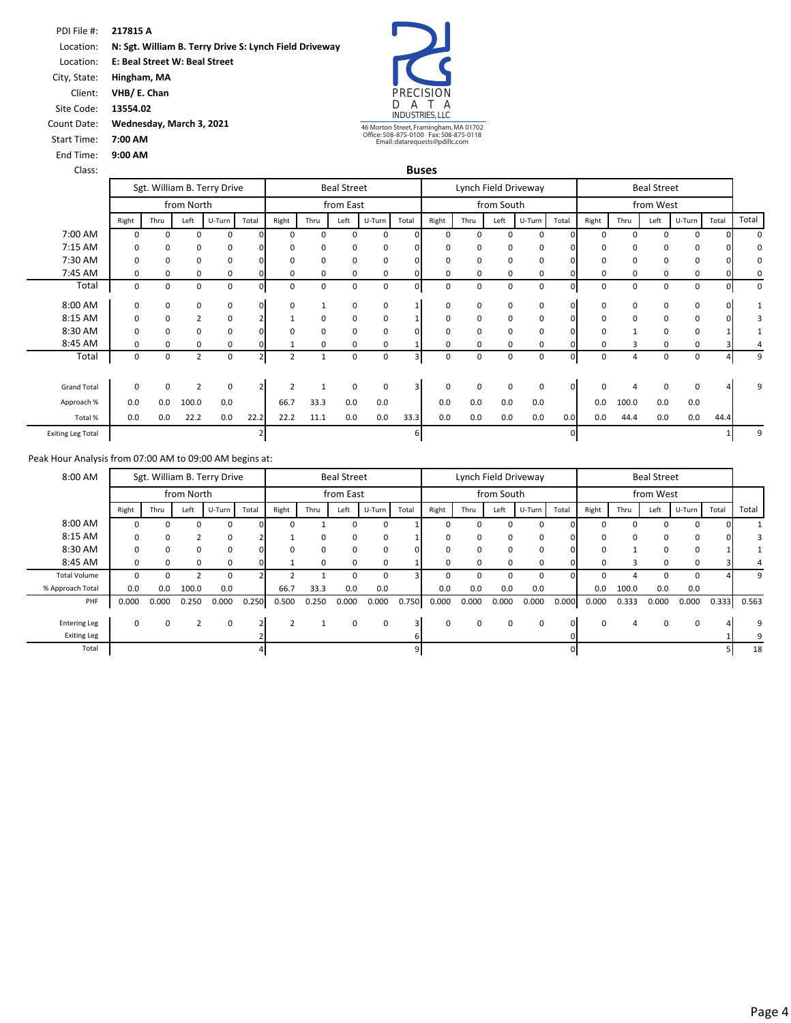PDI File #: **217815 A** Location: **N: Sgt. William B. Terry Drive S: Lynch Field Driveway**  Location: **E: Beal Street W: Beal Street**  City, State: **Hingham, MA**



46 Morton Street, Framingham, MA 01702 Office: 508-875-0100 Fax: 508-875-0118 Email: datarequests@pdillc.com

| Count Date: | Wednesday, March 3, 2021 |
|-------------|--------------------------|
| Start Time: | 7:00 AM                  |

Start Time: **7:00 AM** End Time: **9:00 AM**

Client: **VHB/ E. Chan** Site Code: **13554.02**

| Class:                   |             |          |                |                             |          |                |          |                    |             |                | <b>Buses</b> |             |            |                      |          |             |          |                    |        |              |              |
|--------------------------|-------------|----------|----------------|-----------------------------|----------|----------------|----------|--------------------|-------------|----------------|--------------|-------------|------------|----------------------|----------|-------------|----------|--------------------|--------|--------------|--------------|
|                          |             |          |                | Sgt. William B. Terry Drive |          |                |          | <b>Beal Street</b> |             |                |              |             |            | Lynch Field Driveway |          |             |          | <b>Beal Street</b> |        |              |              |
|                          |             |          | from North     |                             |          |                |          | from East          |             |                |              |             | from South |                      |          |             |          | from West          |        |              |              |
|                          | Right       | Thru     | Left           | U-Turn                      | Total    | Right          | Thru     | Left               | U-Turn      | Total          | Right        | Thru        | Left       | U-Turn               | Total    | Right       | Thru     | Left               | U-Turn | Total        | Total        |
| 7:00 AM                  | $\Omega$    | $\Omega$ | 0              | 0                           | ΩI       | $\Omega$       | $\Omega$ | $\Omega$           | 0           |                | $\Omega$     | $\Omega$    | $\Omega$   | $\Omega$             |          | $\Omega$    | $\Omega$ | $\Omega$           | 0      |              | $\Omega$     |
| 7:15 AM                  | 0           | 0        | 0              | 0                           | $\Omega$ | $\Omega$       | $\Omega$ | 0                  | 0           |                | $\Omega$     | 0           | $\Omega$   | 0                    |          | 0           | $\Omega$ | $\Omega$           | 0      |              | <sup>0</sup> |
| 7:30 AM                  | 0           | 0        | 0              | 0                           | $\Omega$ | 0              | $\Omega$ | 0                  | 0           |                | $\Omega$     | $\Omega$    | $\Omega$   | 0                    |          | $\Omega$    | $\Omega$ | $\Omega$           | 0      |              |              |
| 7:45 AM                  | 0           | 0        | 0              | 0                           |          | 0              | 0        | 0                  | 0           |                | 0            | 0           | 0          | 0                    |          | 0           | 0        | 0                  | 0      |              | $\Omega$     |
| Total                    | 0           | 0        | 0              | 0                           | $\Omega$ | $\Omega$       | 0        | 0                  | $\mathbf 0$ | $\Omega$       | $\Omega$     | 0           | $\Omega$   | 0                    | n.       | 0           | $\Omega$ | $\Omega$           | 0      | <sup>n</sup> | $\Omega$     |
| 8:00 AM                  | 0           | 0        | 0              | 0                           | $\Omega$ | 0              |          | 0                  | 0           |                | $\Omega$     | 0           | 0          | 0                    | ΩI       | 0           | $\Omega$ | 0                  | 0      | ∩            |              |
| 8:15 AM                  | 0           | 0        | 2              | 0                           |          |                | 0        | 0                  | $\mathbf 0$ |                | 0            | 0           | 0          | 0                    |          | 0           | 0        | 0                  | 0      |              |              |
| 8:30 AM                  | $\Omega$    | 0        | 0              | 0                           |          | $\Omega$       | $\Omega$ | $\Omega$           | $\mathbf 0$ |                | $\Omega$     | $\Omega$    | $\Omega$   | 0                    |          | $\Omega$    |          | <sup>0</sup>       | 0      |              |              |
| 8:45 AM                  | 0           | 0        | 0              | 0                           |          |                | 0        | 0                  | 0           |                | $\Omega$     | 0           | 0          | 0                    |          | 0           | 3        | 0                  | 0      |              |              |
| Total                    | $\mathbf 0$ | 0        | $\overline{2}$ | $\mathbf 0$                 |          | $\overline{2}$ | 1        | 0                  | 0           | $\overline{3}$ | 0            | $\mathbf 0$ | 0          | 0                    | ΩI       | $\mathbf 0$ | 4        | 0                  | 0      |              | q            |
|                          |             |          |                |                             |          |                |          |                    |             |                |              |             |            |                      |          |             |          |                    |        |              |              |
| <b>Grand Total</b>       | 0           | 0        | $\overline{2}$ | $\mathbf 0$                 |          |                |          | $\mathbf 0$        | $\mathbf 0$ | 3              | $\Omega$     | $\Omega$    | $\Omega$   | 0                    | ΩI       | $\Omega$    |          | $\Omega$           | 0      |              |              |
| Approach %               | 0.0         | 0.0      | 100.0          | 0.0                         |          | 66.7           | 33.3     | 0.0                | 0.0         |                | 0.0          | 0.0         | 0.0        | 0.0                  |          | 0.0         | 100.0    | 0.0                | 0.0    |              |              |
| Total %                  | 0.0         | 0.0      | 22.2           | 0.0                         | 22.2     | 22.2           | 11.1     | 0.0                | 0.0         | 33.3           | 0.0          | 0.0         | 0.0        | 0.0                  | 0.0      | 0.0         | 44.4     | 0.0                | 0.0    | 44.4         |              |
| <b>Exiting Leg Total</b> |             |          |                |                             |          |                |          |                    |             |                |              |             |            |                      | $\Omega$ |             |          |                    |        |              |              |

|       |       |          | <b>Beal Street</b> |          |          |       |          |            | Lynch Field Driveway |       |       |        | <b>Beal Street</b> |          |       |       |          |              | Sgt. William B. Terry Drive |          | 8:00 AM             |
|-------|-------|----------|--------------------|----------|----------|-------|----------|------------|----------------------|-------|-------|--------|--------------------|----------|-------|-------|----------|--------------|-----------------------------|----------|---------------------|
|       |       |          | from West          |          |          |       |          | from South |                      |       |       |        | from East          |          |       |       |          | from North   |                             |          |                     |
| Total | Total | U-Turn   | Left               | Thru     | Right    | Total | U-Turn   | Left       | Thru                 | Right | Total | U-Turn | Left               | Thru     | Right | Total | U-Turn   | Left         | Thru                        | Right    |                     |
|       |       | $\Omega$ |                    |          |          |       | $\Omega$ | ŋ          |                      |       |       | 0      |                    |          |       |       | $\Omega$ | <sup>0</sup> |                             |          | 8:00 AM             |
|       |       | 0        | ŋ                  | $\Omega$ |          |       | 0        | 0          | <sup>0</sup>         |       |       | 0      | 0                  | 0        |       |       | $\Omega$ |              | 0                           |          | 8:15 AM             |
|       |       | 0        |                    |          |          |       | 0        | ŋ          |                      |       |       | 0      | 0                  | $\Omega$ |       |       | 0        | $\Omega$     | 0                           |          | 8:30 AM             |
|       |       | 0        | 0                  |          | $\Omega$ |       | 0        | $\Omega$   | 0                    |       |       | 0      | $\Omega$           | $\Omega$ |       |       | 0        | $\Omega$     | 0                           | 0        | 8:45 AM             |
|       |       | 0        |                    |          |          |       | 0        |            |                      |       |       | 0      |                    |          |       |       | 0        |              |                             |          | <b>Total Volume</b> |
|       |       | 0.0      | 0.0                | 100.0    | 0.0      |       | 0.0      | 0.0        | 0.0                  | 0.0   |       | 0.0    | 0.0                | 33.3     | 66.7  |       | 0.0      | 100.0        | 0.0                         | 0.0      | % Approach Total    |
| 0.563 | 0.333 | 0.000    | 0.000              | 0.333    | 0.000    | 0.000 | 0.000    | 0.000      | 0.000                | 0.000 | 0.750 | 0.000  | 0.000              | 0.250    | 0.500 | 0.250 | 0.000    | 0.250        | 0.000                       | 0.000    | PHF                 |
|       |       |          |                    |          |          |       |          |            |                      |       |       |        |                    |          |       |       |          |              |                             |          |                     |
|       |       | 0        | 0                  |          | $\Omega$ |       | 0        | $\Omega$   | 0                    |       |       | 0      | $\Omega$           |          |       |       | 0        |              | $\mathbf 0$                 | $\Omega$ | <b>Entering Leg</b> |
|       |       |          |                    |          |          |       |          |            |                      |       |       |        |                    |          |       |       |          |              |                             |          | <b>Exiting Leg</b>  |
| 18    |       |          |                    |          |          |       |          |            |                      |       |       |        |                    |          |       |       |          |              |                             |          | Total               |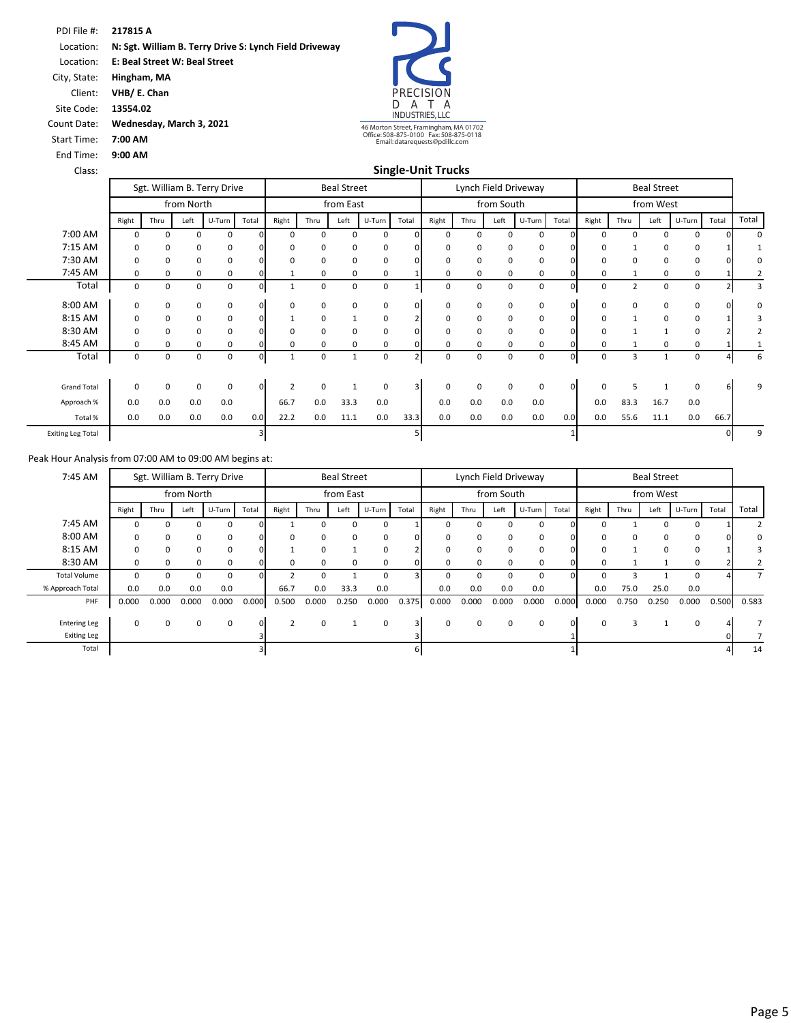PDI File #: **217815 A** Location: **N: Sgt. William B. Terry Drive S: Lynch Field Driveway**  Location: **E: Beal Street W: Beal Street**  City, State: **Hingham, MA** Client: **VHB/ E. Chan**

Count Date: **Wednesday, March 3, 2021**

Start Time: **7:00 AM** End Time: **9:00 AM**

Site Code: **13554.02**



46 Morton Street, Framingham, MA 01702 Office: 508-875-0100 Fax: 508-875-0118 Email: datarequests@pdillc.com

| Class: | <b>Single-Unit Trucks</b> |
|--------|---------------------------|
|        |                           |

|                          |          |      |            | Sgt. William B. Terry Drive |          |          |          | <b>Beal Street</b> |        |                |             |              |            | Lynch Field Driveway |              |             |                | <b>Beal Street</b> |              |       |          |
|--------------------------|----------|------|------------|-----------------------------|----------|----------|----------|--------------------|--------|----------------|-------------|--------------|------------|----------------------|--------------|-------------|----------------|--------------------|--------------|-------|----------|
|                          |          |      | from North |                             |          |          |          | from East          |        |                |             |              | from South |                      |              |             |                | from West          |              |       |          |
|                          | Right    | Thru | Left       | U-Turn                      | Total    | Right    | Thru     | Left               | U-Turn | Total          | Right       | Thru         | Left       | U-Turn               | Total        | Right       | Thru           | Left               | U-Turn       | Total | Total    |
| 7:00 AM                  | 0        | 0    | $\Omega$   | $\mathbf 0$                 |          | $\Omega$ | $\Omega$ | $\Omega$           | 0      | $\Omega$       | $\mathbf 0$ | $\Omega$     | 0          | $\Omega$             | <sup>n</sup> | 0           | $\Omega$       | $\Omega$           | <sup>0</sup> |       | $\Omega$ |
| 7:15 AM                  | 0        | 0    | $\Omega$   | 0                           |          | 0        | 0        | 0                  | 0      | 0              | $\Omega$    | 0            | 0          | 0                    |              | 0           |                | 0                  | 0            |       |          |
| 7:30 AM                  | 0        | 0    | 0          | 0                           |          | 0        | 0        | 0                  | 0      | 0              | $\mathbf 0$ | 0            | 0          | 0                    |              | 0           | 0              | 0                  | 0            |       |          |
| 7:45 AM                  | $\Omega$ | 0    | $\Omega$   | 0                           |          |          | $\Omega$ | 0                  | 0      |                | $\Omega$    | 0            | 0          | 0                    |              | 0           |                | 0                  | 0            |       |          |
| Total                    | 0        | 0    | $\Omega$   | 0                           |          |          | $\Omega$ | $\Omega$           | 0      |                | $\mathbf 0$ | $\Omega$     | 0          | $\Omega$             |              | 0           | $\overline{2}$ | 0                  | 0            |       | 3        |
| 8:00 AM                  | 0        | 0    | 0          | 0                           | $\Omega$ | 0        | 0        | 0                  | 0      | $\mathbf{0}$   | $\mathbf 0$ | $\Omega$     | 0          | 0                    | $\Omega$     | $\mathbf 0$ | 0              | 0                  | 0            |       | $\Omega$ |
| 8:15 AM                  | $\Omega$ | 0    | 0          | 0                           |          |          | 0        | $\mathbf{1}$       | 0      |                | $\mathbf 0$ | $\Omega$     | 0          | 0                    |              | 0           | 1              | 0                  | 0            |       | 3        |
| 8:30 AM                  | 0        | 0    | 0          | 0                           |          | 0        | 0        | 0                  | 0      | $\Omega$       | $\Omega$    | 0            | 0          | 0                    |              | 0           |                |                    | 0            |       | 2        |
| 8:45 AM                  | 0        | 0    | $\Omega$   | 0                           |          | 0        | $\Omega$ | 0                  | 0      |                | $\Omega$    | <sup>0</sup> | 0          | $\Omega$             |              | 0           |                | $\mathbf 0$        | $\Omega$     |       |          |
| Total                    | 0        | 0    | 0          | 0                           |          |          | 0        | $\mathbf{1}$       | 0      | $\overline{2}$ | 0           | $\Omega$     | 0          | 0                    |              | 0           | 3              |                    | 0            |       | 6        |
| <b>Grand Total</b>       | $\Omega$ | 0    | 0          | 0                           | 0        | ς        | $\Omega$ |                    | 0      | 3              | $\Omega$    | $\Omega$     | 0          | 0                    |              | 0           | 5              |                    | $\Omega$     |       | 9        |
| Approach %               | 0.0      | 0.0  | 0.0        | 0.0                         |          | 66.7     | 0.0      | 33.3               | 0.0    |                | 0.0         | 0.0          | 0.0        | 0.0                  |              | 0.0         | 83.3           | 16.7               | 0.0          |       |          |
| Total %                  | 0.0      | 0.0  | 0.0        | 0.0                         | 0.0      | 22.2     | 0.0      | 11.1               | 0.0    | 33.3           | 0.0         | 0.0          | 0.0        | 0.0                  | 0.0          | 0.0         | 55.6           | 11.1               | 0.0          | 66.7  |          |
| <b>Exiting Leg Total</b> |          |      |            |                             |          |          |          |                    |        |                |             |              |            |                      |              |             |                |                    |              |       | 9        |

| 7:45 AM             |          | Sgt. William B. Terry Drive |            |          |       |       |          | <b>Beal Street</b> |        |                         |          |       |            | Lynch Field Driveway |       |          |              | <b>Beal Street</b> |        |       |                |
|---------------------|----------|-----------------------------|------------|----------|-------|-------|----------|--------------------|--------|-------------------------|----------|-------|------------|----------------------|-------|----------|--------------|--------------------|--------|-------|----------------|
|                     |          |                             | from North |          |       |       |          | from East          |        |                         |          |       | from South |                      |       |          |              | from West          |        |       |                |
|                     | Right    | Thru                        | Left       | U-Turn   | Total | Right | Thru     | Left               | U-Turn | Total                   | Right    | Thru  | Left       | U-Turn               | Total | Right    | Thru         | Left               | U-Turn | Total | Total          |
| 7:45 AM             |          | 0                           | $\Omega$   | $\Omega$ |       |       |          |                    | 0      |                         | $\Omega$ | ŋ     |            | $\Omega$             |       | $\Omega$ |              |                    | 0      |       |                |
| 8:00 AM             | $\Omega$ | 0                           | 0          | 0        |       |       | $\Omega$ | $\Omega$           | 0      | $\Omega$                | $\Omega$ | 0     | $\Omega$   | 0                    | ΩI    | 0        | 0            | $\Omega$           | 0      |       | 0              |
| 8:15 AM             |          | 0                           | 0          | 0        |       |       |          |                    | 0      |                         |          | 0     |            | 0                    |       | 0        |              | $\Omega$           | 0      |       |                |
| 8:30 AM             | $\Omega$ | 0                           | $\Omega$   | $\Omega$ |       |       | $\Omega$ | <sup>0</sup>       | 0      | $\Omega$                | $\Omega$ | 0     | n          | $\Omega$             |       | 0        |              |                    | 0      |       |                |
| <b>Total Volume</b> | $\Omega$ | 0                           | 0          | $\Omega$ |       |       |          |                    | 0      | 31                      | $\Omega$ | 0     |            | 0                    | O.    | $\Omega$ |              |                    | 0      |       | $\overline{7}$ |
| % Approach Total    | 0.0      | 0.0                         | 0.0        | 0.0      |       | 66.7  | 0.0      | 33.3               | 0.0    |                         | 0.0      | 0.0   | 0.0        | 0.0                  |       | 0.0      | 75.0         | 25.0               | 0.0    |       |                |
| PHF                 | 0.000    | 0.000                       | 0.000      | 0.000    | 0.000 | 0.500 | 0.000    | 0.250              | 0.000  | 0.375                   | 0.000    | 0.000 | 0.000      | 0.000                | 0.000 | 0.000    | 0.750        | 0.250              | 0.000  | 0.500 | 0.583          |
|                     |          |                             |            |          |       |       |          |                    |        |                         |          |       |            |                      |       |          |              |                    |        |       |                |
| <b>Entering Leg</b> | $\Omega$ | 0                           | 0          | 0        | οI    |       | $\Omega$ |                    | 0      | $\overline{\mathbf{3}}$ | $\Omega$ | 0     | $\Omega$   | 0                    | O.    | $\Omega$ | $\mathbf{a}$ |                    | 0      |       |                |
| <b>Exiting Leg</b>  |          |                             |            |          |       |       |          |                    |        |                         |          |       |            |                      |       |          |              |                    |        |       |                |
| Total               |          |                             |            |          |       |       |          |                    |        | 61                      |          |       |            |                      |       |          |              |                    |        |       | 14             |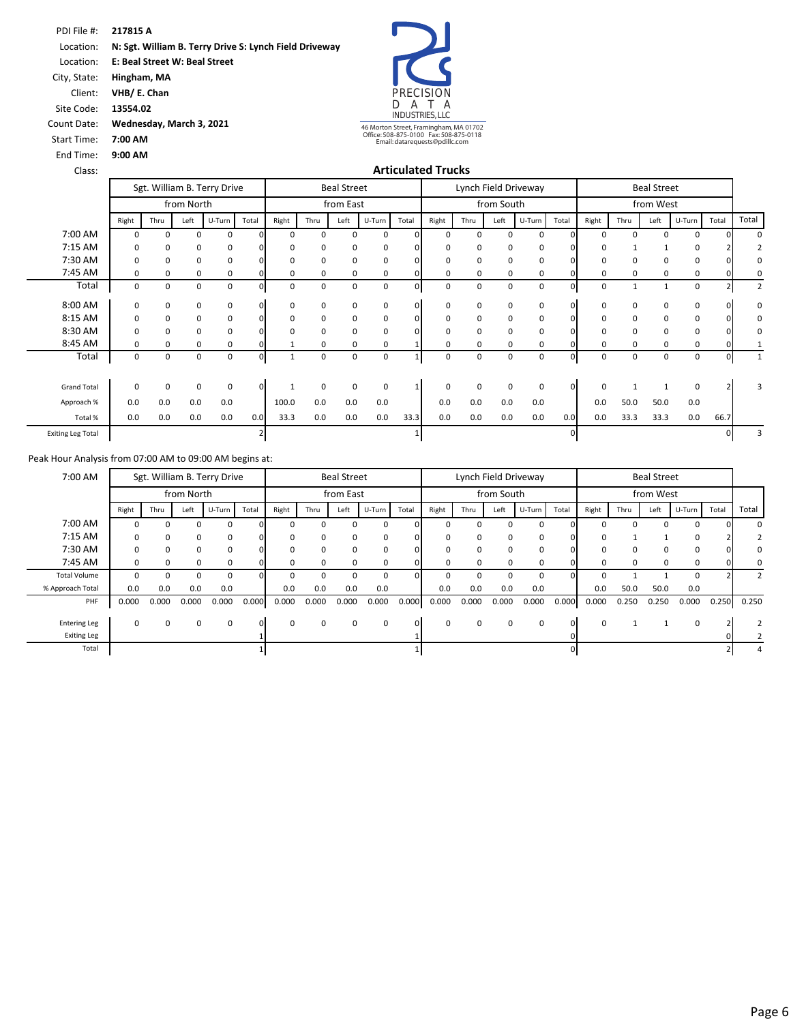PDI File #: **217815 A** Location: **N: Sgt. William B. Terry Drive S: Lynch Field Driveway**  Location: **E: Beal Street W: Beal Street**  City, State: **Hingham, MA**

Count Date: **Wednesday, March 3, 2021**

Client: **VHB/ E. Chan** Site Code: **13554.02**

Start Time: **7:00 AM** End Time: **9:00 AM**



46 Morton Street, Framingham, MA 01702 Office: 508-875-0100 Fax: 508-875-0118 Email: datarequests@pdillc.com

#### Class: **Articulated Trucks**

|                          |          |             |            | Sgt. William B. Terry Drive |                |          |             | <b>Beal Street</b> |             |          |             |          |            | Lynch Field Driveway |          |          |             | <b>Beal Street</b> |          |       |                |
|--------------------------|----------|-------------|------------|-----------------------------|----------------|----------|-------------|--------------------|-------------|----------|-------------|----------|------------|----------------------|----------|----------|-------------|--------------------|----------|-------|----------------|
|                          |          |             | from North |                             |                |          |             | from East          |             |          |             |          | from South |                      |          |          |             | from West          |          |       |                |
|                          | Right    | Thru        | Left       | U-Turn                      | Total          | Right    | Thru        | Left               | U-Turn      | Total    | Right       | Thru     | Left       | U-Turn               | Total    | Right    | Thru        | Left               | U-Turn   | Total | Total          |
| 7:00 AM                  | $\Omega$ | $\Omega$    | $\Omega$   | 0                           | $\Omega$       | $\Omega$ | $\Omega$    | $\Omega$           | 0           | $\Omega$ | 0           | $\Omega$ | 0          | $\Omega$             | $\Omega$ | 0        | $\Omega$    | $\Omega$           | $\Omega$ |       | $\Omega$       |
| 7:15 AM                  | 0        | 0           | 0          | 0                           |                | O        | 0           | $\Omega$           | 0           |          | 0           | 0        | 0          | 0                    |          | 0        |             |                    |          |       |                |
| 7:30 AM                  | 0        | 0           | 0          | 0                           |                | 0        | 0           | 0                  | 0           |          | 0           | 0        | 0          | 0                    |          | 0        | $\mathbf 0$ | 0                  | 0        |       | $\Omega$       |
| 7:45 AM                  | 0        | 0           | 0          | 0                           |                | $\Omega$ | $\Omega$    | 0                  | 0           |          | 0           | $\Omega$ | 0          | 0                    |          | 0        | $\Omega$    | 0                  | 0        |       | 0              |
| Total                    | 0        | $\mathbf 0$ | 0          | $\mathbf 0$                 | $\Omega$       | $\Omega$ | $\mathbf 0$ | $\Omega$           | $\mathbf 0$ | $\Omega$ | 0           | $\Omega$ | 0          | $\mathbf 0$          |          | 0        | 1           |                    | $\Omega$ |       | $\overline{2}$ |
| 8:00 AM                  | 0        | 0           | 0          | $\mathbf 0$                 | $\overline{0}$ | 0        | 0           | $\Omega$           | $\mathbf 0$ | 0        | 0           | 0        | 0          | 0                    | $\Omega$ | 0        | 0           | $\mathbf 0$        | 0        |       | $\Omega$       |
| 8:15 AM                  | 0        | 0           | 0          | 0                           | $\Omega$       | 0        | $\Omega$    | $\Omega$           | 0           | $\Omega$ | 0           | $\Omega$ | 0          | 0                    | O.       | 0        | 0           | 0                  | $\Omega$ |       | 0              |
| 8:30 AM                  | 0        | 0           | 0          | 0                           | $\Omega$       | 0        | 0           | 0                  | 0           |          | 0           | 0        | 0          | $\mathbf 0$          |          | 0        | $\mathbf 0$ | 0                  | 0        |       | 0              |
| 8:45 AM                  | 0        | 0           | 0          | 0                           |                |          | $\Omega$    | 0                  | 0           |          | 0           | 0        | 0          | $\mathbf 0$          |          | 0        | $\Omega$    | 0                  | 0        |       |                |
| Total                    | 0        | 0           | 0          | 0                           | οı             |          | 0           | 0                  | 0           |          | 0           | 0        | 0          | $\mathbf 0$          | n.       | 0        | 0           | 0                  | 0        |       |                |
| <b>Grand Total</b>       | $\Omega$ | $\Omega$    | 0          | $\mathbf 0$                 | $\mathbf{0}$   |          | $\Omega$    | $\Omega$           | 0           |          | $\mathbf 0$ | $\Omega$ | 0          | $\Omega$             | $\Omega$ | $\Omega$ |             |                    | $\Omega$ |       | 3              |
| Approach %               | 0.0      | 0.0         | 0.0        | 0.0                         |                | 100.0    | 0.0         | 0.0                | 0.0         |          | 0.0         | 0.0      | 0.0        | 0.0                  |          | 0.0      | 50.0        | 50.0               | 0.0      |       |                |
| Total %                  | 0.0      | 0.0         | 0.0        | 0.0                         | 0.0            | 33.3     | 0.0         | 0.0                | 0.0         | 33.3     | 0.0         | 0.0      | 0.0        | 0.0                  | 0.0      | 0.0      | 33.3        | 33.3               | 0.0      | 66.7  |                |
| <b>Exiting Leg Total</b> |          |             |            |                             |                |          |             |                    |             |          |             |          |            |                      | $\Omega$ |          |             |                    |          |       |                |

| 7:00 AM             |          | Sgt. William B. Terry Drive |              |        |          |          |          | <b>Beal Street</b> |        |          |          | Lynch Field Driveway |              |        |          |          |          | <b>Beal Street</b> |        |       |                |
|---------------------|----------|-----------------------------|--------------|--------|----------|----------|----------|--------------------|--------|----------|----------|----------------------|--------------|--------|----------|----------|----------|--------------------|--------|-------|----------------|
|                     |          |                             | from North   |        |          |          |          | from East          |        |          |          |                      | from South   |        |          |          |          | from West          |        |       |                |
|                     | Right    | Thru                        | Left         | U-Turn | Total    | Right    | Thru     | Left               | U-Turn | Total    | Right    | Thru                 | Left         | U-Turn | Total    | Right    | Thru     | Left               | U-Turn | Total | Total          |
| 7:00 AM             |          | O                           |              | 0      |          |          |          |                    | 0      |          |          |                      |              | 0      |          | $\Omega$ |          |                    | 0      |       | $\Omega$       |
| 7:15 AM             | 0        | 0                           | 0            | 0      |          | O        | $\Omega$ | $\Omega$           | 0      | $\Omega$ | $\Omega$ | 0                    | <sup>0</sup> | 0      | n        | 0        |          |                    | 0      |       |                |
| 7:30 AM             |          | 0                           | 0            | 0      |          |          | 0        |                    | 0      | $\Omega$ |          | 0                    |              | 0      |          | 0        | 0        |                    |        |       | 0              |
| 7:45 AM             | 0        | 0                           | <sup>0</sup> | 0      |          | O        | $\Omega$ |                    | 0      | 0.       | $\Omega$ | 0                    |              | 0      |          | 0        | $\Omega$ |                    | 0      |       | $\Omega$       |
| <b>Total Volume</b> | O        | 0                           | $\Omega$     | 0      |          |          | 0        |                    | 0      | ΩL       |          | 0                    |              | 0      | οı       | $\Omega$ |          |                    | 0      |       | $\overline{2}$ |
| % Approach Total    | 0.0      | 0.0                         | 0.0          | 0.0    |          | 0.0      | 0.0      | 0.0                | 0.0    |          | 0.0      | 0.0                  | 0.0          | 0.0    |          | 0.0      | 50.0     | 50.0               | 0.0    |       |                |
| PHF                 | 0.000    | 0.000                       | 0.000        | 0.000  | 0.000    | 0.000    | 0.000    | 0.000              | 0.000  | 0.000    | 0.000    | 0.000                | 0.000        | 0.000  | 0.000    | 0.000    | 0.250    | 0.250              | 0.000  | 0.250 | 0.250          |
|                     |          |                             |              |        |          |          |          |                    |        |          |          |                      |              |        |          |          |          |                    |        |       |                |
| <b>Entering Leg</b> | $\Omega$ | 0                           | $\Omega$     | 0      | $\Omega$ | $\Omega$ | $\Omega$ | $\Omega$           | 0      | $\Omega$ | $\Omega$ | 0                    | $\Omega$     | 0      | $\Omega$ | $\Omega$ |          |                    | 0      |       |                |
| <b>Exiting Leg</b>  |          |                             |              |        |          |          |          |                    |        |          |          |                      |              |        |          |          |          |                    |        |       |                |
| Total               |          |                             |              |        |          |          |          |                    |        |          |          |                      |              |        |          |          |          |                    |        |       | 4              |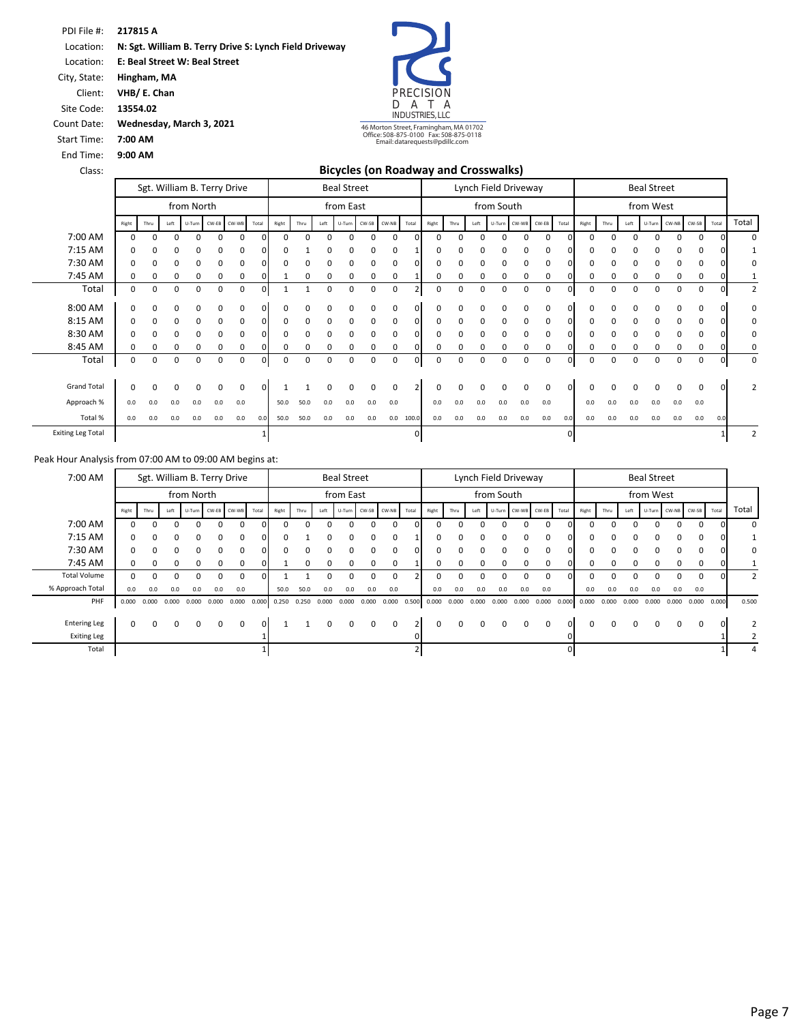**217815 A** PDI File #: **N: Sgt. William B. Terry Drive S: Lynch Field Driveway E: Beal Street W: Beal Street**  Location: Location:

**Hingham, MA** City, State:

**VHB/ E. Chan** Client:

End Time:

**13554.02** Site Code:

**9:00 AM**

**7:00 AM** Start Time:

**Wednesday, March 3, 2021** Count Date:



**Bicycles (on Roadway and Crosswalks)**

| Class:                   |              |      |                             |            |     |                    |          |          |      |          | <b>Bicycles (on Roadway and Crosswalks)</b> |             |     |              |          |      |          |                      |          |     |       |          |      |          |                    |          |          |          |                |
|--------------------------|--------------|------|-----------------------------|------------|-----|--------------------|----------|----------|------|----------|---------------------------------------------|-------------|-----|--------------|----------|------|----------|----------------------|----------|-----|-------|----------|------|----------|--------------------|----------|----------|----------|----------------|
|                          |              |      | Sgt. William B. Terry Drive |            |     |                    |          |          |      |          | <b>Beal Street</b>                          |             |     |              |          |      |          | Lynch Field Driveway |          |     |       |          |      |          | <b>Beal Street</b> |          |          |          |                |
|                          |              |      |                             | from North |     |                    |          |          |      |          | from East                                   |             |     |              |          |      |          | from South           |          |     |       |          |      |          | from West          |          |          |          |                |
|                          | Right        | Thru | Left                        |            |     | U-Turn CW-EB CW-WB | Total    | Right    | Thru | Left     | U-Turn CW-SB CW-NB                          |             |     | Total        | Right    | Thru | Left     | U-Turn CW-WB CW-EB   |          |     | Total | Right    | Thru | Left     | U-Turn CW-NB       |          | CW-SB    | Total    | Total          |
| 7:00 AM                  | $\Omega$     |      |                             |            |     |                    |          | 0        |      |          |                                             | O           | 0   | n            |          |      |          |                      |          | O   |       |          |      |          |                    |          |          |          | $\Omega$       |
| 7:15 AM                  | $\Omega$     |      |                             |            | 0   | 0                  |          |          |      |          |                                             | 0           | 0   |              |          |      |          | $\Omega$             |          | 0   |       |          |      |          |                    |          |          |          |                |
| 7:30 AM                  | $\Omega$     |      | 0                           | U          | 0   | 0                  |          | 0        | 0    | C        | 0                                           | 0           | 0   | <sup>0</sup> |          | 0    | ۵        | $\Omega$             | 0        | 0   |       |          |      |          |                    | n        |          |          | 0              |
| 7:45 AM                  | 0            | 0    | 0                           | 0          | 0   | 0                  |          |          | 0    | $\Omega$ | 0                                           | 0           | 0   |              | n        | 0    | 0        | 0                    | 0        | 0   |       | n        |      |          |                    | $\Omega$ | 0        |          |                |
| Total                    | 0            | 0    | 0                           | 0          | 0   | 0                  | 0        |          |      | 0        | 0                                           | 0           | 0   |              | 0        | 0    | 0        | 0                    | 0        | 0   | 01    | 0        | 0    | 0        | 0                  | 0        | 0        | 0        | $\overline{2}$ |
| 8:00 AM                  | $\Omega$     |      | ŋ                           |            | 0   | 0                  |          | 0        | 0    |          |                                             | 0           | 0   | $\Omega$     |          | O    |          |                      |          | 0   | ΩI    |          |      |          |                    |          |          |          | 0              |
| 8:15 AM                  | <sup>0</sup> |      | 0                           | 0          | 0   | $\Omega$           | $\Omega$ | 0        | 0    |          | 0                                           | 0           | 0   | $\Omega$     |          | 0    |          |                      |          | 0   |       |          |      |          |                    |          |          |          | $\Omega$       |
| 8:30 AM                  | $\Omega$     | 0    | 0                           | 0          | 0   | 0                  |          | 0        | 0    | 0        | 0                                           | 0           | 0   | $\Omega$     |          | 0    | 0        | $\Omega$             | 0        | 0   |       |          |      |          |                    |          |          |          | 0              |
| 8:45 AM                  | $\Omega$     |      |                             |            | 0   | 0                  |          |          | 0    |          |                                             | 0           | 0   |              |          | 0    |          |                      |          | 0   |       |          |      |          |                    |          |          |          | 0              |
| Total                    | 0            | 0    | $\Omega$                    | 0          | 0   | 0                  |          | $\Omega$ | 0    | 0        | 0                                           | 0           | 0   | $\Omega$     | $\Omega$ | 0    | 0        | 0                    | 0        | 0   | n     | $\Omega$ | O    | $\Omega$ | $\Omega$           | $\Omega$ | $\Omega$ |          | 0              |
| <b>Grand Total</b>       | $\Omega$     | 0    | 0                           | $\Omega$   | 0   | $\Omega$           | $\Omega$ |          |      | $\Omega$ | $\Omega$                                    | $\mathbf 0$ | 0   |              | 0        | 0    | $\Omega$ | $\Omega$             | $\Omega$ | 0   | n     | $\Omega$ |      | 0        | $\Omega$           | $\Omega$ | $\Omega$ | $\Omega$ | $\overline{2}$ |
| Approach %               | 0.0          | 0.0  | 0.0                         | 0.0        | 0.0 | 0.0                |          | 50.0     | 50.0 | 0.0      | 0.0                                         | 0.0         | 0.0 |              | 0.0      | 0.0  | 0.0      | 0.0                  | 0.0      | 0.0 |       | 0.0      | 0.0  | 0.0      | 0.0                | 0.0      | 0.0      |          |                |
| Total %                  | 0.0          | 0.0  | 0.0                         | 0.0        | 0.0 | 0.0                | 0.0      | 50.0     | 50.0 | 0.0      | 0.0                                         | 0.0         | 0.0 | 100.0        | 0.0      | 0.0  | 0.0      | 0.0                  | 0.0      | 0.0 | 0.0   | 0.0      | 0.0  | 0.0      | 0.0                | 0.0      | 0.0      | 0.0      |                |
| <b>Exiting Leg Total</b> |              |      |                             |            |     |                    |          |          |      |          |                                             |             |     | $\Omega$     |          |      |          |                      |          |     |       |          |      |          |                    |          |          |          | 2              |

| 7:00 AM             |              |              |              |              |       | Sgt. William B. Terry Drive |          |                 |       |          | <b>Beal Street</b> |       |                    |                |          |          |                     | Lynch Field Driveway |          |                    |          |       |          |       | <b>Beal Street</b> |       |             |             |                |
|---------------------|--------------|--------------|--------------|--------------|-------|-----------------------------|----------|-----------------|-------|----------|--------------------|-------|--------------------|----------------|----------|----------|---------------------|----------------------|----------|--------------------|----------|-------|----------|-------|--------------------|-------|-------------|-------------|----------------|
|                     |              |              |              | from North   |       |                             |          |                 |       |          | from East          |       |                    |                |          |          |                     | from South           |          |                    |          |       |          |       | from West          |       |             |             |                |
|                     | Right        | Thru         | Left         |              |       | U-Turn CW-EB CW-WB          | Total    | Right           | Thru  | Left     |                    |       | U-Turn CW-SB CW-NB | Total          | Right    | Thru     | Left                |                      |          | U-Turn CW-WB CW-EB | Total    | Right | Thru     | Left  | U-Turn CW-NB CW-SB |       |             | Total       | Total          |
| 7:00 AM             | U            | <sup>n</sup> | <sup>0</sup> |              | 0     | 0                           | O.       |                 | n     | n        | U                  | 0     | 0                  | $\cap$         |          | $\Omega$ |                     | n                    | $\Omega$ | $\Omega$           |          | ŋ     | $\Omega$ | O     | U                  | 0     | $\Omega$    |             | $\Omega$       |
| 7:15 AM             | 0            | $\Omega$     | $\Omega$     | $\Omega$     | 0     | 0                           | 0.       | $\Omega$        |       | $\Omega$ | $\Omega$           | 0     | 0                  |                |          |          |                     |                      | $\Omega$ | $\Omega$           | $\Omega$ | 0     | $\Omega$ | 0     | 0                  | 0     | 0           |             |                |
| 7:30 AM             | <sup>o</sup> |              | $\Omega$     |              | 0     | $\Omega$                    |          | $\Omega$        |       | $\Omega$ | 0                  | 0     | 0                  | $\Omega$       |          |          |                     |                      |          | $\Omega$           |          | 0     | 0        | 0     | O.                 | 0     | $\Omega$    |             | 0              |
| 7:45 AM             | 0            | $\Omega$     | $\Omega$     | <sup>0</sup> | 0     | $\mathbf 0$                 |          |                 | 0     | 0        | 0                  | 0     | 0                  |                |          | 0        |                     |                      |          | 0                  |          | 0     | 0        | 0     | <sup>0</sup>       | 0     | $\Omega$    |             |                |
| <b>Total Volume</b> | 0            |              | 0            |              | 0     | 0                           |          |                 |       |          |                    | 0     | 0                  |                |          |          |                     |                      |          | 0                  |          | 0     | 0        | 0     | 0                  | 0     | $\mathbf 0$ |             | 2              |
| % Approach Total    | 0.0          | 0.0          | 0.0          | 0.0          | 0.0   | 0.0                         |          | 50.0            | 50.0  | 0.0      | 0.0                | 0.0   | 0.0                |                | 0.0      | 0.0      | 0.0                 | 0.0                  | 0.0      | 0.0                |          | 0.0   | 0.0      | 0.0   | 0.0                | 0.0   | 0.0         |             |                |
| PHF                 | 0.000        | 0.000        | 0.000        | 0.000        | 0.000 | 0.000                       |          | $0.000$ $0.250$ | 0.250 | 0.000    | 0.000              | 0.000 | 0.000              | 0.500          | 0.000    |          | $0.000 \quad 0.000$ | 0.000                | 0.000    | 0.000              | 0.000    | 0.000 | 0.000    | 0.000 | 0.000              | 0.000 |             | 0.000 0.000 | 0.500          |
|                     |              |              |              |              |       |                             |          |                 |       |          |                    |       |                    |                |          |          |                     |                      |          |                    |          |       |          |       |                    |       |             |             |                |
| <b>Entering Leg</b> | 0            | $\Omega$     | $\Omega$     | $\Omega$     | 0     | $\Omega$                    | $\Omega$ |                 |       | $\Omega$ | 0                  | 0     | $\Omega$           | $\overline{2}$ | $\Omega$ | $\Omega$ | $\Omega$            | $\Omega$             | $\Omega$ | $\Omega$           | $\Omega$ | 0     | $\Omega$ | 0     | $\Omega$           | 0     | 0           |             | $\overline{2}$ |
| <b>Exiting Leg</b>  |              |              |              |              |       |                             |          |                 |       |          |                    |       |                    |                |          |          |                     |                      |          |                    |          |       |          |       |                    |       |             |             |                |
| Total               |              |              |              |              |       |                             |          |                 |       |          |                    |       |                    |                |          |          |                     |                      |          |                    |          |       |          |       |                    |       |             |             |                |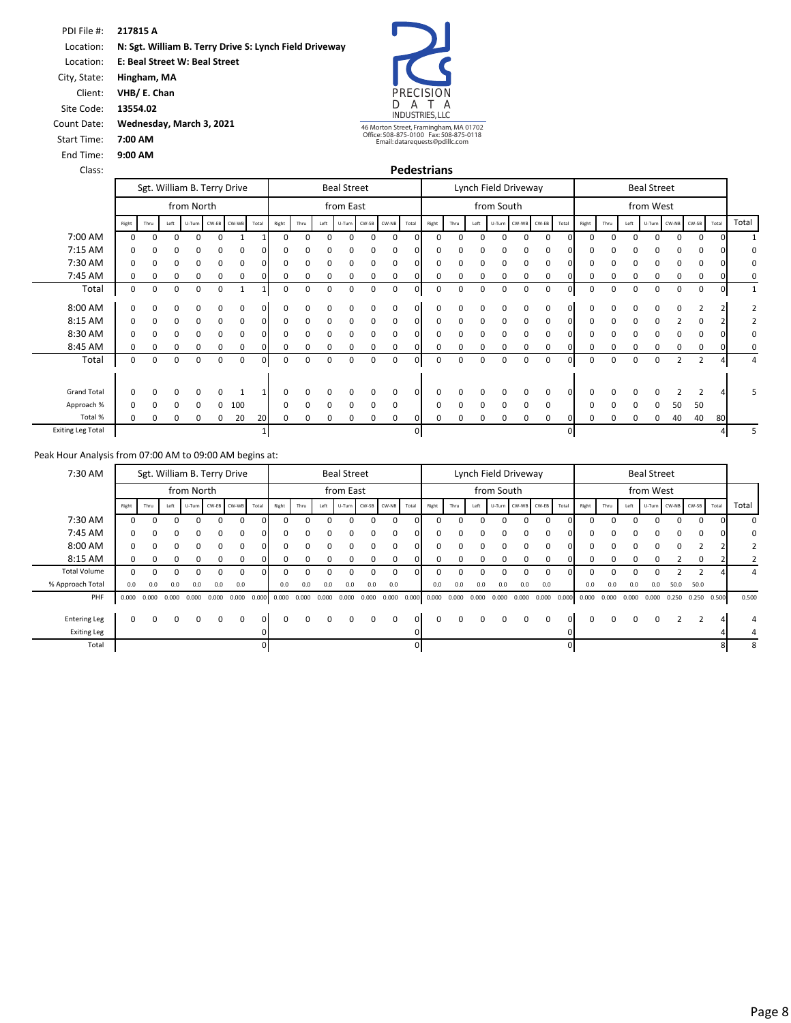**217815 A** PDI File #: **N: Sgt. William B. Terry Drive S: Lynch Field Driveway**  Location:

**E: Beal Street W: Beal Street**  Location:

**Hingham, MA VHB/ E. Chan** City, State:

Client:

**13554.02** Site Code:

**Wednesday, March 3, 2021**

Count Date: Start Time: **7:00 AM**

End Time: Class: **9:00 AM** PRECISION<br>D A T A D A T A INDUSTRIES, LLC

46 Morton Street, Framingham, MA 01702 Office: 508-875-0100 Fax: 508-875-0118 Email: datarequests@pdillc.com

| <b>Pedestrians</b> |  |  |
|--------------------|--|--|
|                    |  |  |

|                          |          |             |      |            |          | Sgt. William B. Terry Drive |       |       |      |             | <b>Beal Street</b> |          |          |              |       |      |          |            | Lynch Field Driveway |          |              |       |      |          | <b>Beal Street</b> |                    |                |       |              |
|--------------------------|----------|-------------|------|------------|----------|-----------------------------|-------|-------|------|-------------|--------------------|----------|----------|--------------|-------|------|----------|------------|----------------------|----------|--------------|-------|------|----------|--------------------|--------------------|----------------|-------|--------------|
|                          |          |             |      | from North |          |                             |       |       |      |             | from East          |          |          |              |       |      |          | from South |                      |          |              |       |      |          | from West          |                    |                |       |              |
|                          | Right    | Thru        | Left |            |          | U-Turn CW-EB CW-WB          | Total | Right | Thru | Left        | U-Turn             | CW-SB    | CW-NB    | Total        | Right | Thru | Left     | U-Turn     | CW-WB CW-EB          |          | Total        | Right | Thru | Left     |                    | U-Turn CW-NB CW-SB |                | Total | Total        |
| 7:00 AM                  | $\Omega$ | $\Omega$    |      |            | n        |                             |       | O     |      |             |                    | $\Omega$ | $\Omega$ | $\Omega$     |       |      |          |            |                      | $\cap$   |              | n     |      |          |                    | $\Omega$           | $\Omega$       |       |              |
| 7:15 AM                  | $\Omega$ |             |      | O          | 0        | $\Omega$                    |       |       |      |             |                    | O        | $\Omega$ | n            |       |      |          |            |                      | $\Omega$ |              |       |      |          |                    | O                  |                |       | 0            |
| 7:30 AM                  | 0        |             |      | 0          | 0        | 0                           |       |       |      |             |                    |          |          | 0            |       |      |          |            |                      |          |              | O     |      |          |                    |                    |                |       | 0            |
| 7:45 AM                  | 0        | 0           | 0    | 0          | 0        | 0                           |       | 0     | O    | O           |                    | $\Omega$ | $\Omega$ |              |       | n    |          |            |                      | $\Omega$ |              | 0     |      | 0        |                    | 0                  | 0              |       | 0            |
| Total                    | 0        | 0           | 0    | 0          | 0        | 1                           |       | 0     | 0    | 0           | 0                  | 0        | 0        | $\mathbf{0}$ | 0     | 0    | 0        | 0          | 0                    | 0        |              | 0     | 0    | 0        | 0                  | 0                  | 0              | 0     | $\mathbf{1}$ |
| 8:00 AM                  | $\Omega$ | n           |      |            |          | $\Omega$                    |       |       |      |             |                    |          |          |              |       |      |          |            |                      |          |              |       |      |          |                    |                    |                |       |              |
| 8:15 AM                  | $\Omega$ | n           | 0    | 0          | $\Omega$ | $\Omega$                    | n     | ŋ     |      | O           |                    | $\Omega$ | $\Omega$ |              |       | n    |          |            |                      | $\Omega$ |              | n     |      | O        |                    |                    |                |       |              |
| 8:30 AM                  | 0        | $\Omega$    | ŋ    | 0          | 0        | 0                           |       |       |      |             |                    | O        |          |              |       |      |          |            |                      |          |              | O     |      |          |                    | n                  |                |       | 0            |
| 8:45 AM                  | 0        | 0           | 0    | 0          | 0        | 0                           |       | 0     |      |             |                    | 0        | $\Omega$ |              |       |      |          |            |                      | $\Omega$ |              | 0     |      |          |                    | O                  | ŋ              |       | 0            |
| Total                    | 0        | $\mathbf 0$ | 0    | 0          | 0        | 0                           | ΩI    | 0     | 0    | $\mathbf 0$ | 0                  | 0        | 0        | $\Omega$     | 0     | 0    | $\Omega$ | 0          | 0                    | 0        |              | 0     | 0    | 0        | 0                  | 2                  | $\overline{2}$ |       | 4            |
| <b>Grand Total</b>       |          |             |      |            | O        |                             |       |       |      |             |                    |          |          |              |       |      |          |            |                      |          |              | n     |      |          |                    |                    |                |       |              |
|                          | $\Omega$ |             |      | 0          |          |                             |       |       |      |             |                    |          |          |              |       |      |          |            |                      | $\Omega$ |              |       |      |          |                    |                    |                |       | 5            |
| Approach %               | $\Omega$ |             |      | 0          | 0        | 100                         |       | ŋ     | n    | $\Omega$    | <sup>0</sup>       | $\Omega$ | $\Omega$ |              |       |      |          | n          |                      | $\Omega$ |              | n     |      | $\Omega$ |                    | 50                 | 50             |       |              |
| Total %                  | 0        | $\Omega$    |      | 0          |          | 20                          | 20    | 0     |      |             |                    |          |          | 0            |       |      |          |            |                      | 0        |              |       |      |          |                    | 40                 | 40             | 80    |              |
| <b>Exiting Leg Total</b> |          |             |      |            |          |                             |       |       |      |             |                    |          |          | $\mathbf{0}$ |       |      |          |            |                      |          | $\mathbf{0}$ |       |      |          |                    |                    |                |       | 5            |

| 7:30 AM             |          |              |             |                 |       | Sgt. William B. Terry Drive |       |       |          |                 | <b>Beal Street</b> |          |                    |              |       |          | Lynch Field Driveway |            |              |                    |              |              |              |       | <b>Beal Street</b> |       |             |       |                |
|---------------------|----------|--------------|-------------|-----------------|-------|-----------------------------|-------|-------|----------|-----------------|--------------------|----------|--------------------|--------------|-------|----------|----------------------|------------|--------------|--------------------|--------------|--------------|--------------|-------|--------------------|-------|-------------|-------|----------------|
|                     |          |              |             | from North      |       |                             |       |       |          |                 | from East          |          |                    |              |       |          |                      | from South |              |                    |              |              |              |       | from West          |       |             |       |                |
|                     | Right    | Thru         | Left        |                 |       | U-Turn CW-EB CW-WB          | Total | Right | Thru     | Left            |                    |          | U-Turn CW-SB CW-NB | Total        | Right | Thru     | Left                 |            |              | U-Turn CW-WB CW-EB | Total        | Right        | Thru         | Left  | U-Turn CW-NB CW-SB |       |             | Total | Total          |
| 7:30 AM             |          | n            | ŋ           | 0               | n     | $\Omega$                    | nΙ    |       |          |                 |                    |          |                    |              |       | $\Omega$ |                      | O          | $\Omega$     | $\Omega$           | ΩI           | ŋ            | $\Omega$     |       |                    | 0     | $\Omega$    |       | 0              |
| 7:45 AM             | $\Omega$ | $\Omega$     | $\Omega$    | $\Omega$        | 0     | 0                           | οı    | 0     |          |                 |                    |          |                    |              |       | $\Omega$ | <sup>0</sup>         | $\Omega$   | $\Omega$     | 0                  | $\Omega$     | 0            | 0            | 0     | 0                  | 0     | $\Omega$    |       | 0              |
| 8:00 AM             | $\Omega$ | <sup>0</sup> | 0           | $\Omega$        | 0     | $\Omega$                    | nΙ    | ŋ     |          |                 |                    |          |                    | <sup>n</sup> |       | ŋ        |                      | $\Omega$   | $\Omega$     | $\Omega$           | O.           | 0            | <sup>o</sup> | n     | <sup>0</sup>       | 0     |             |       | $\overline{2}$ |
| 8:15 AM             | $\Omega$ | n            |             | $\Omega$        | 0     | $\Omega$                    |       |       |          |                 |                    |          |                    |              |       | $\Omega$ | <sup>0</sup>         | 0          | 0            | $\Omega$           | ΩI           | 0            | <sup>0</sup> | 0     | 0                  |       | $\Omega$    |       |                |
| <b>Total Volume</b> | 0        | n            | U           | O               | n     | $\Omega$                    | ∩∎    |       |          |                 |                    |          |                    |              |       | ŋ        |                      |            | <sup>0</sup> | $\Omega$           | n.           | <sup>0</sup> | <sup>n</sup> |       |                    |       | ∍           |       |                |
| % Approach Total    | 0.0      | 0.0          | 0.0         | 0.0             | 0.0   | 0.0                         |       | 0.0   | 0.0      | 0.0             | 0.0                | 0.0      | 0.0                |              | 0.0   | 0.0      | 0.0                  | 0.0        | 0.0          | 0.0                |              | 0.0          | 0.0          | 0.0   | 0.0                | 50.0  | 50.0        |       |                |
| PHF                 | 0.000    | 0.000        |             | $0.000$ $0.000$ | 0.000 | $0.000$ $0.000$             |       | 0.000 | 0.000    | $0.000$ $0.000$ |                    |          | $0.000$ $0.000$    | 0.000        | 0.000 | 0.000    | 0.000                | 0.000      | 0.000        |                    | 0.000 0.000  | 0.000        | 0.000        | 0.000 | 0.000              | 0.250 | 0.250 0.500 |       | 0.500          |
| <b>Entering Leg</b> | 0        | 0            | $\mathbf 0$ | 0               | 0     | 0                           | οı    | 0     | $\Omega$ | $\Omega$        |                    | $\Omega$ | 0                  |              |       | 0        | 0                    | 0          | $\mathbf{0}$ | 0                  | $\Omega$     | 0            | $\mathbf{0}$ | 0     | 0                  |       |             |       |                |
| <b>Exiting Leg</b>  |          |              |             |                 |       |                             |       |       |          |                 |                    |          |                    |              |       |          |                      |            |              |                    |              |              |              |       |                    |       |             |       |                |
| Total               |          |              |             |                 |       |                             |       |       |          |                 |                    |          |                    |              |       |          |                      |            |              |                    | $\mathbf{0}$ |              |              |       |                    |       |             |       | 8              |
|                     |          |              |             |                 |       |                             |       |       |          |                 |                    |          |                    |              |       |          |                      |            |              |                    |              |              |              |       |                    |       |             |       |                |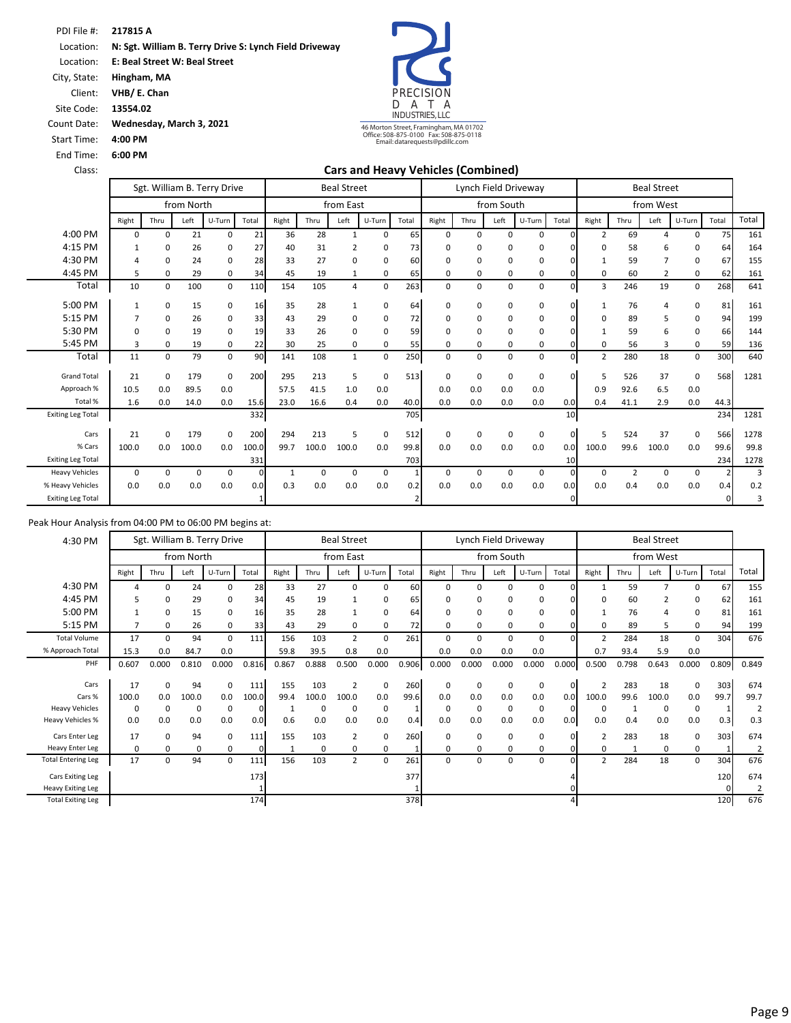Location: **E: Beal Street W: Beal Street** 

City, State: **Hingham, MA**

Client: **VHB/ E. Chan**

Site Code: **13554.02**

Count Date: **Wednesday, March 3, 2021**

Start Time: **4:00 PM**

End Time: **6:00 PM**



Class: **Cars and Heavy Vehicles (Combined)**

|                          |          |          |            | Sgt. William B. Terry Drive |       |       |       | <b>Beal Street</b> |             |                |             |          |            | Lynch Field Driveway |              |                |                | <b>Beal Street</b> |             |       |       |
|--------------------------|----------|----------|------------|-----------------------------|-------|-------|-------|--------------------|-------------|----------------|-------------|----------|------------|----------------------|--------------|----------------|----------------|--------------------|-------------|-------|-------|
|                          |          |          | from North |                             |       |       |       | from East          |             |                |             |          | from South |                      |              |                |                | from West          |             |       |       |
|                          | Right    | Thru     | Left       | U-Turn                      | Total | Right | Thru  | Left               | U-Turn      | Total          | Right       | Thru     | Left       | U-Turn               | Total        | Right          | Thru           | Left               | U-Turn      | Total | Total |
| 4:00 PM                  | $\Omega$ | 0        | 21         | 0                           | 21    | 36    | 28    | 1                  | $\Omega$    | 65             | $\mathbf 0$ | $\Omega$ | $\Omega$   | $\Omega$             | $\Omega$     | 2              | 69             | $\Lambda$          | n           | 75    | 161   |
| 4:15 PM                  | 1        | 0        | 26         | 0                           | 27    | 40    | 31    | $\overline{2}$     | 0           | 73             | $\Omega$    | 0        | O          | 0                    |              | 0              | 58             | 6                  |             | 64    | 164   |
| 4:30 PM                  | $\Delta$ | $\Omega$ | 24         | $\Omega$                    | 28    | 33    | 27    | $\Omega$           | 0           | 60             | $\Omega$    | $\Omega$ | 0          | 0                    |              | 1              | 59             | $\overline{7}$     | $\Omega$    | 67    | 155   |
| 4:45 PM                  | 5        | 0        | 29         | 0                           | 34    | 45    | 19    | 1                  | 0           | 65             | 0           | 0        | 0          | 0                    |              | 0              | 60             | 2                  | 0           | 62    | 161   |
| Total                    | 10       | 0        | 100        | $\mathbf 0$                 | 110   | 154   | 105   | 4                  | $\mathbf 0$ | 263            | $\mathbf 0$ | 0        | 0          | 0                    | $\Omega$     | 3              | 246            | 19                 | 0           | 268   | 641   |
| 5:00 PM                  | 1        | 0        | 15         | 0                           | 16    | 35    | 28    |                    | 0           | 64             | $\mathbf 0$ | 0        | 0          | 0                    | U            | 1              | 76             | 4                  | $\Omega$    | 81    | 161   |
| 5:15 PM                  | 7        | 0        | 26         | 0                           | 33    | 43    | 29    | $\Omega$           | 0           | 72             | $\mathbf 0$ | 0        | 0          | 0                    |              | 0              | 89             | 5                  | 0           | 94    | 199   |
| 5:30 PM                  | $\Omega$ | 0        | 19         | 0                           | 19    | 33    | 26    | $\Omega$           | 0           | 59             | 0           | 0        | $\Omega$   | 0                    |              | $\mathbf{1}$   | 59             | 6                  | 0           | 66    | 144   |
| 5:45 PM                  | 3        | 0        | 19         | 0                           | 22    | 30    | 25    | $\mathbf 0$        | 0           | 55             | 0           | 0        | 0          | 0                    |              | 0              | 56             | 3                  | 0           | 59    | 136   |
| Total                    | 11       | 0        | 79         | 0                           | 90    | 141   | 108   | $\mathbf{1}$       | 0           | 250            | 0           | 0        | $\Omega$   | 0                    | <sup>n</sup> | $\overline{2}$ | 280            | 18                 | 0           | 300   | 640   |
| <b>Grand Total</b>       | 21       | 0        | 179        | 0                           | 200   | 295   | 213   | 5                  | $\Omega$    | 513            | $\mathbf 0$ | $\Omega$ | 0          | 0                    | $\Omega$     | 5              | 526            | 37                 | $\Omega$    | 568   | 1281  |
| Approach %               | 10.5     | 0.0      | 89.5       | 0.0                         |       | 57.5  | 41.5  | 1.0                | 0.0         |                | 0.0         | 0.0      | 0.0        | 0.0                  |              | 0.9            | 92.6           | 6.5                | 0.0         |       |       |
| Total %                  | 1.6      | 0.0      | 14.0       | 0.0                         | 15.6  | 23.0  | 16.6  | 0.4                | 0.0         | 40.0           | 0.0         | 0.0      | 0.0        | 0.0                  | 0.0          | 0.4            | 41.1           | 2.9                | 0.0         | 44.3  |       |
| <b>Exiting Leg Total</b> |          |          |            |                             | 332   |       |       |                    |             | 705            |             |          |            |                      | 10           |                |                |                    |             | 234   | 1281  |
| Cars                     | 21       | 0        | 179        | $\mathbf 0$                 | 200   | 294   | 213   | 5                  | 0           | 512            | $\mathbf 0$ | $\Omega$ | 0          | $\mathbf 0$          | $\Omega$     | 5              | 524            | 37                 | $\Omega$    | 566   | 1278  |
| % Cars                   | 100.0    | 0.0      | 100.0      | 0.0                         | 100.0 | 99.7  | 100.0 | 100.0              | 0.0         | 99.8           | 0.0         | 0.0      | 0.0        | 0.0                  | 0.0          | 100.0          | 99.6           | 100.0              | 0.0         | 99.6  | 99.8  |
| <b>Exiting Leg Total</b> |          |          |            |                             | 331   |       |       |                    |             | 703            |             |          |            |                      | 10           |                |                |                    |             | 234   | 1278  |
| <b>Heavy Vehicles</b>    | $\Omega$ | 0        | 0          | 0                           | C     |       | 0     | $\Omega$           | 0           |                | $\mathbf 0$ | 0        | $\Omega$   | 0                    |              | $\mathbf 0$    | $\overline{2}$ | $\mathbf 0$        | $\mathbf 0$ |       | 3     |
| % Heavy Vehicles         | 0.0      | 0.0      | 0.0        | 0.0                         | 0.0   | 0.3   | 0.0   | 0.0                | 0.0         | 0.2            | 0.0         | 0.0      | 0.0        | 0.0                  | 0.0          | 0.0            | 0.4            | 0.0                | 0.0         | 0.4   | 0.2   |
| <b>Exiting Leg Total</b> |          |          |            |                             |       |       |       |                    |             | $\overline{2}$ |             |          |            |                      | $\mathbf{0}$ |                |                |                    |             | 0     | 3     |

| 4:30 PM                   |       | Sgt. William B. Terry Drive |            |          |          |       |          | <b>Beal Street</b>      |             |       |          |          |            | Lynch Field Driveway |       |                |       | <b>Beal Street</b> |          |       |       |
|---------------------------|-------|-----------------------------|------------|----------|----------|-------|----------|-------------------------|-------------|-------|----------|----------|------------|----------------------|-------|----------------|-------|--------------------|----------|-------|-------|
|                           |       |                             | from North |          |          |       |          | from East               |             |       |          |          | from South |                      |       |                |       | from West          |          |       |       |
|                           | Right | Thru                        | Left       | U-Turn   | Total    | Right | Thru     | Left                    | U-Turn      | Total | Right    | Thru     | Left       | U-Turn               | Total | Right          | Thru  | Left               | U-Turn   | Total | Total |
| 4:30 PM                   |       | $\mathbf 0$                 | 24         | 0        | 28       | 33    | 27       | $\Omega$                | $\Omega$    | 60    | $\Omega$ | 0        | $\Omega$   | $\Omega$             |       |                | 59    |                    | $\Omega$ | 67    | 155   |
| 4:45 PM                   | 5     | $\Omega$                    | 29         | 0        | 34       | 45    | 19       |                         | 0           | 65    | $\Omega$ | 0        | O          | 0                    |       | 0              | 60    |                    | 0        | 62    | 161   |
| 5:00 PM                   |       | 0                           | 15         | 0        | 16       | 35    | 28       |                         | 0           | 64    | 0        | 0        | $\Omega$   | 0                    |       | 1              | 76    |                    | 0        | 81    | 161   |
| 5:15 PM                   |       | 0                           | 26         | 0        | 33       | 43    | 29       | 0                       | 0           | 72    | $\Omega$ | 0        | 0          | 0                    |       | 0              | 89    | 5                  | 0        | 94    | 199   |
| <b>Total Volume</b>       | 17    | 0                           | 94         | 0        | 111      | 156   | 103      | $\overline{2}$          | 0           | 261   | $\Omega$ | 0        | $\Omega$   | 0                    | O.    | $\overline{2}$ | 284   | 18                 | 0        | 304   | 676   |
| % Approach Total          | 15.3  | 0.0                         | 84.7       | 0.0      |          | 59.8  | 39.5     | 0.8                     | 0.0         |       | 0.0      | 0.0      | 0.0        | 0.0                  |       | 0.7            | 93.4  | 5.9                | 0.0      |       |       |
| PHF                       | 0.607 | 0.000                       | 0.810      | 0.000    | 0.816    | 0.867 | 0.888    | 0.500                   | 0.000       | 0.906 | 0.000    | 0.000    | 0.000      | 0.000                | 0.000 | 0.500          | 0.798 | 0.643              | 0.000    | 0.809 | 0.849 |
|                           |       |                             |            |          |          |       |          |                         |             |       |          |          |            |                      |       |                |       |                    |          |       |       |
| Cars                      | 17    | 0                           | 94         | 0        | 111      | 155   | 103      | $\overline{\mathbf{z}}$ | 0           | 260   | 0        | 0        | 0          | 0                    | 0     | $\overline{2}$ | 283   | 18                 | 0        | 303   | 674   |
| Cars %                    | 100.0 | 0.0                         | 100.0      | 0.0      | 100.0    | 99.4  | 100.0    | 100.0                   | 0.0         | 99.6  | 0.0      | 0.0      | 0.0        | 0.0                  | 0.0   | 100.0          | 99.6  | 100.0              | 0.0      | 99.7  | 99.7  |
| <b>Heavy Vehicles</b>     | 0     | 0                           | $\Omega$   | 0        | 0        |       | 0        | 0                       | $\mathbf 0$ |       | 0        | 0        | 0          | 0                    | 0     | 0              |       | 0                  | 0        |       |       |
| <b>Heavy Vehicles %</b>   | 0.0   | 0.0                         | 0.0        | 0.0      | 0.0      | 0.6   | 0.0      | 0.0                     | 0.0         | 0.4   | 0.0      | 0.0      | 0.0        | 0.0                  | 0.0   | 0.0            | 0.4   | 0.0                | 0.0      | 0.3   | 0.3   |
| Cars Enter Leg            | 17    | 0                           | 94         | 0        | 111      | 155   | 103      | $\overline{2}$          | 0           | 260   | 0        | 0        | $\Omega$   | 0                    | 01    | $\overline{2}$ | 283   | 18                 | 0        | 303   | 674   |
| <b>Heavy Enter Leg</b>    | 0     | 0                           | ŋ          | 0        | $\Omega$ |       | $\Omega$ | 0                       | 0           |       | 0        | $\Omega$ | 0          | 0                    |       | 0              |       | 0                  | 0        |       | 2     |
| <b>Total Entering Leg</b> | 17    | 0                           | 94         | $\Omega$ | 111      | 156   | 103      | $\overline{2}$          | $\Omega$    | 261   | $\Omega$ | 0        | 0          | 0                    | n     | $\overline{2}$ | 284   | 18                 | 0        | 304   | 676   |
| Cars Exiting Leg          |       |                             |            |          | 173      |       |          |                         |             | 377   |          |          |            |                      |       |                |       |                    |          | 120   | 674   |
| <b>Heavy Exiting Leg</b>  |       |                             |            |          |          |       |          |                         |             |       |          |          |            |                      |       |                |       |                    |          |       | 2     |
| <b>Total Exiting Leg</b>  |       |                             |            |          | 174      |       |          |                         |             | 378   |          |          |            |                      |       |                |       |                    |          | 120   | 676   |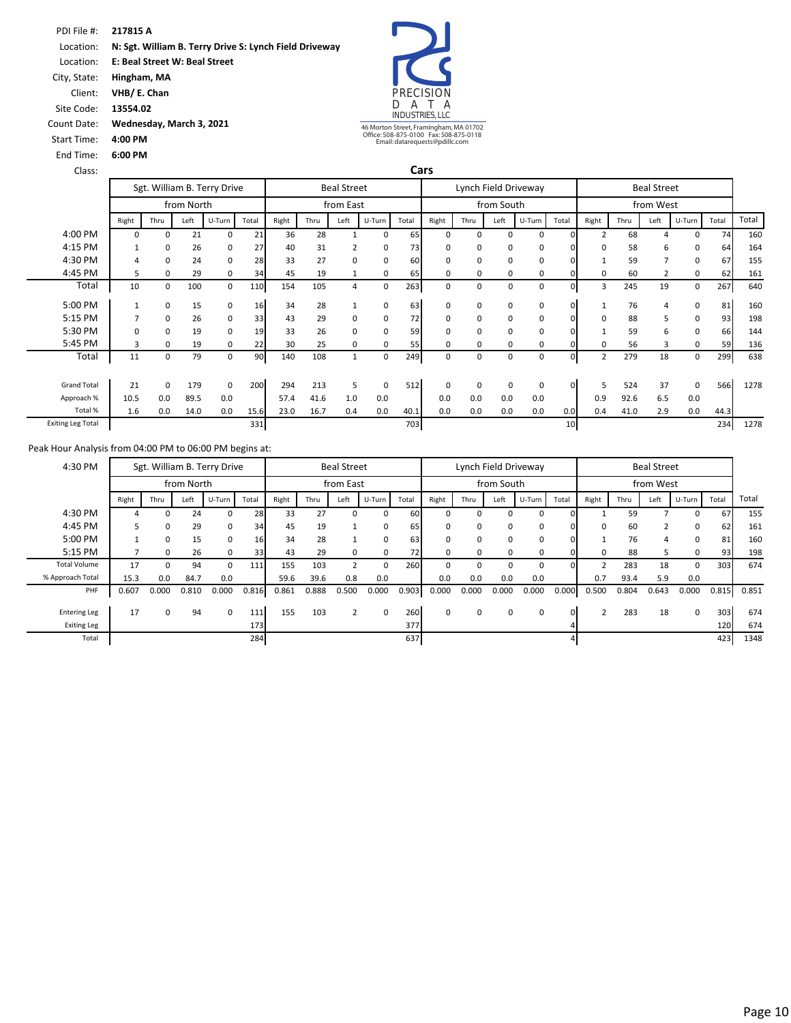Location: **E: Beal Street W: Beal Street** 

City, State: **Hingham, MA**

Client: **VHB/ E. Chan** Site Code: **13554.02**

End Time: **6:00 PM**

Start Time: **4:00 PM**

Count Date: **Wednesday, March 3, 2021**



46 Morton Street, Framingham, MA 01702 Office: 508-875-0100 Fax: 508-875-0118 Email: datarequests@pdillc.com

| Class:                   |          |                             |            |             |       |       |      |                    |        | Cars  |          |          |            |                      |                 |                |      |                    |          |       |       |
|--------------------------|----------|-----------------------------|------------|-------------|-------|-------|------|--------------------|--------|-------|----------|----------|------------|----------------------|-----------------|----------------|------|--------------------|----------|-------|-------|
|                          |          | Sgt. William B. Terry Drive |            |             |       |       |      | <b>Beal Street</b> |        |       |          |          |            | Lynch Field Driveway |                 |                |      | <b>Beal Street</b> |          |       |       |
|                          |          |                             | from North |             |       |       |      | from East          |        |       |          |          | from South |                      |                 |                |      | from West          |          |       |       |
|                          | Right    | Thru                        | Left       | U-Turn      | Total | Right | Thru | Left               | U-Turn | Total | Right    | Thru     | Left       | U-Turn               | Total           | Right          | Thru | Left               | U-Turn   | Total | Total |
| 4:00 PM                  | 0        | 0                           | 21         | 0           | 21    | 36    | 28   |                    | 0      | 65    | $\Omega$ | $\Omega$ | 0          | 0                    |                 | $\overline{2}$ | 68   |                    | 0        | 74    | 160   |
| 4:15 PM                  |          | 0                           | 26         | 0           | 27    | 40    | 31   |                    | 0      | 73    | 0        | $\Omega$ | 0          | 0                    |                 | 0              | 58   | 6                  | 0        | 64    | 164   |
| 4:30 PM                  | 4        | 0                           | 24         | 0           | 28    | 33    | 27   | $\Omega$           | 0      | 60    | 0        | $\Omega$ | 0          | 0                    |                 |                | 59   | $\overline{7}$     | 0        | 67    | 155   |
| 4:45 PM                  | 5        | 0                           | 29         | 0           | 34    | 45    | 19   | 1                  | 0      | 65    | 0        | 0        | 0          | 0                    |                 | 0              | 60   | $\overline{2}$     | 0        | 62    | 161   |
| Total                    | 10       | 0                           | 100        | 0           | 110   | 154   | 105  | 4                  | 0      | 263   | 0        | $\Omega$ | 0          | 0                    | 0               | 3              | 245  | 19                 | 0        | 267   | 640   |
| 5:00 PM                  |          | 0                           | 15         | 0           | 16    | 34    | 28   |                    | 0      | 63    | 0        | 0        | 0          | 0                    |                 | 1              | 76   | 4                  | 0        | 81    | 160   |
| 5:15 PM                  |          | 0                           | 26         | 0           | 33    | 43    | 29   | 0                  | 0      | 72    | 0        | 0        | 0          | 0                    |                 | 0              | 88   | 5                  | 0        | 93    | 198   |
| 5:30 PM                  | $\Omega$ | 0                           | 19         | $\mathbf 0$ | 19    | 33    | 26   | $\Omega$           | 0      | 59    | $\Omega$ | $\Omega$ | 0          | 0                    |                 |                | 59   | 6                  | 0        | 66    | 144   |
| 5:45 PM                  | 3        | 0                           | 19         | 0           | 22    | 30    | 25   | 0                  | 0      | 55    | 0        | 0        | 0          | 0                    |                 | $\Omega$       | 56   | 3                  | 0        | 59    | 136   |
| Total                    | 11       | 0                           | 79         | 0           | 90    | 140   | 108  | 1                  | 0      | 249   | 0        | 0        | 0          | 0                    | 0               | 2              | 279  | 18                 | 0        | 299   | 638   |
| <b>Grand Total</b>       | 21       | 0                           | 179        | $\mathbf 0$ | 200   | 294   | 213  | 5                  | 0      | 512   | 0        | $\Omega$ | 0          | 0                    | $\Omega$        | 5              | 524  | 37                 | $\Omega$ | 566   | 1278  |
| Approach %               | 10.5     | 0.0                         | 89.5       | 0.0         |       | 57.4  | 41.6 | 1.0                | 0.0    |       | 0.0      | 0.0      | 0.0        | 0.0                  |                 | 0.9            | 92.6 | 6.5                | 0.0      |       |       |
| Total %                  | 1.6      | 0.0                         | 14.0       | 0.0         | 15.6  | 23.0  | 16.7 | 0.4                | 0.0    | 40.1  | 0.0      | 0.0      | 0.0        | 0.0                  | 0.0             | 0.4            | 41.0 | 2.9                | 0.0      | 44.3  |       |
| <b>Exiting Leg Total</b> |          |                             |            |             | 331   |       |      |                    |        | 703   |          |          |            |                      | 10 <sup>1</sup> |                |      |                    |          | 234   | 1278  |

| 4:30 PM             |       |             |            | Sgt. William B. Terry Drive |       |       |       | <b>Beal Street</b> |          |       |              |          |            | Lynch Field Driveway |       |                |       | <b>Beal Street</b> |          |       |       |
|---------------------|-------|-------------|------------|-----------------------------|-------|-------|-------|--------------------|----------|-------|--------------|----------|------------|----------------------|-------|----------------|-------|--------------------|----------|-------|-------|
|                     |       |             | from North |                             |       |       |       | from East          |          |       |              |          | from South |                      |       |                |       | from West          |          |       |       |
|                     | Right | Thru        | Left       | U-Turn                      | Total | Right | Thru  | Left               | U-Turn   | Total | Right        | Thru     | Left       | U-Turn               | Total | Right          | Thru  | Left               | U-Turn   | Total | Total |
| 4:30 PM             | 4     | $\Omega$    | 24         | 0                           | 28    | 33    | 27    | 0                  | 0        | 60    |              | $\Omega$ |            | 0                    | OΙ    |                | 59    |                    | $\Omega$ | 67    | 155   |
| 4:45 PM             | 5.    | 0           | 29         | 0                           | 34    | 45    | 19    |                    | 0        | 65    |              | 0        |            | 0                    | οı    | 0              | 60    |                    | 0        | 62    | 161   |
| 5:00 PM             |       | 0           | 15         | 0                           | 16    | 34    | 28    |                    | 0        | 63    |              | $\Omega$ | O          | $\Omega$             | ΩI    |                | 76    |                    | $\Omega$ | 81    | 160   |
| 5:15 PM             |       | 0           | 26         | 0                           | 33    | 43    | 29    | $\Omega$           | 0        | 72    |              | $\Omega$ | O          | 0                    |       | 0              | 88    |                    | 0        | 93    | 198   |
| <b>Total Volume</b> | 17    | $\Omega$    | 94         |                             | 111   | 155   | 103   |                    | $\Omega$ | 260   |              | U        |            | $\Omega$             |       |                | 283   | 18                 | 0        | 303   | 674   |
| % Approach Total    | 15.3  | 0.0         | 84.7       | 0.0                         |       | 59.6  | 39.6  | 0.8                | 0.0      |       | 0.0          | 0.0      | 0.0        | 0.0                  |       | 0.7            | 93.4  | 5.9                | 0.0      |       |       |
| PHF                 | 0.607 | 0.000       | 0.810      | 0.000                       | 0.816 | 0.861 | 0.888 | 0.500              | 0.000    | 0.903 | 0.000        | 0.000    | 0.000      | 0.000                | 0.000 | 0.500          | 0.804 | 0.643              | 0.000    | 0.815 | 0.851 |
|                     |       |             |            |                             |       |       |       |                    |          |       |              |          |            |                      |       |                |       |                    |          |       |       |
| <b>Entering Leg</b> | 17    | $\mathbf 0$ | 94         | $\Omega$                    | 111   | 155   | 103   | $\overline{2}$     | $\Omega$ | 260   | <sup>0</sup> | 0        | $\Omega$   | 0                    | οı    | $\overline{2}$ | 283   | 18                 | 0        | 303   | 674   |
| <b>Exiting Leg</b>  |       |             |            |                             | 173   |       |       |                    |          | 377   |              |          |            |                      |       |                |       |                    |          | 120   | 674   |
| Total               |       |             |            |                             | 284   |       |       |                    |          | 637   |              |          |            |                      |       |                |       |                    |          | 423   | 1348  |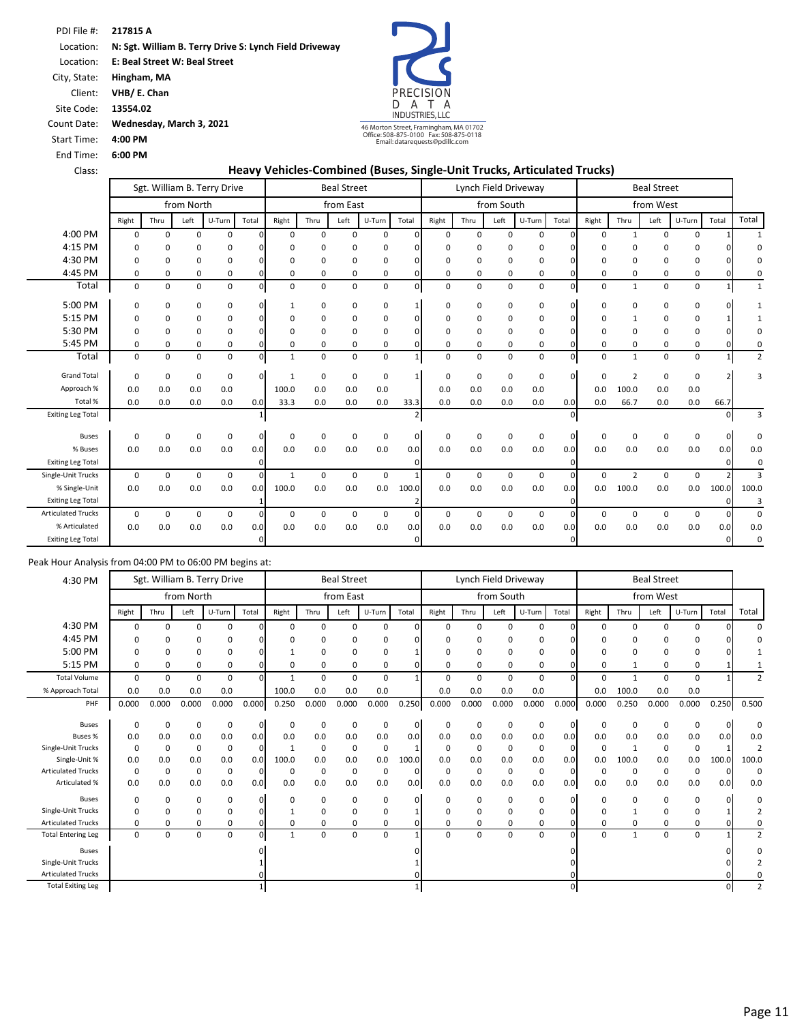Location: **E: Beal Street W: Beal Street** 

City, State: **Hingham, MA**

Client: **VHB/ E. Chan**

Site Code: **13554.02**

Count Date: **Wednesday, March 3, 2021**

Start Time: **4:00 PM**

End Time: **6:00 PM**

PRECISION D A T A INDUSTRIES, LLC 46 Morton Street, Framingham, MA 01702 Office: 508-875-0100 Fax: 508-875-0118 Email: datarequests@pdillc.com

#### Class: **Heavy Vehicles‐Combined (Buses, Single‐Unit Trucks, Articulated Trucks)**

|                           |          |             |             | Sgt. William B. Terry Drive |              |              |          | <b>Beal Street</b> |             |                |             |             |            | Lynch Field Driveway |              |             |                | <b>Beal Street</b> |        |              |                |
|---------------------------|----------|-------------|-------------|-----------------------------|--------------|--------------|----------|--------------------|-------------|----------------|-------------|-------------|------------|----------------------|--------------|-------------|----------------|--------------------|--------|--------------|----------------|
|                           |          |             | from North  |                             |              |              |          | from East          |             |                |             |             | from South |                      |              |             |                | from West          |        |              |                |
|                           | Right    | Thru        | Left        | U-Turn                      | Total        | Right        | Thru     | Left               | U-Turn      | Total          | Right       | Thru        | Left       | U-Turn               | Total        | Right       | Thru           | Left               | U-Turn | Total        | Total          |
| 4:00 PM                   | $\Omega$ | $\Omega$    | $\Omega$    | 0                           | <sup>0</sup> | $\Omega$     | $\Omega$ | $\Omega$           | 0           | $\Omega$       | $\Omega$    | $\Omega$    | 0          | $\mathbf 0$          | $\Omega$     | $\Omega$    | $\mathbf{1}$   | $\Omega$           | 0      |              | $\mathbf{1}$   |
| 4:15 PM                   | $\Omega$ | $\Omega$    | $\Omega$    | 0                           |              | $\Omega$     | $\Omega$ | $\Omega$           | 0           | ŋ              | $\Omega$    | $\Omega$    | $\Omega$   | 0                    |              | $\Omega$    | $\Omega$       | O                  | 0      |              | 0              |
| 4:30 PM                   | 0        | 0           | 0           | 0                           |              | 0            | 0        | $\Omega$           | 0           |                | $\mathbf 0$ | $\Omega$    | $\Omega$   | 0                    |              | $\Omega$    | 0              | O                  | 0      |              | $\Omega$       |
| 4:45 PM                   | 0        | 0           | 0           | 0                           | ŋ            | 0            | 0        | 0                  | 0           | $\Omega$       | 0           | 0           | 0          | 0                    | $\Omega$     | 0           | 0              | 0                  | 0      | 0            | 0              |
| Total                     | 0        | 0           | $\mathbf 0$ | $\mathbf 0$                 | $\mathbf 0$  | 0            | 0        | $\mathbf 0$        | 0           | $\mathbf 0$    | $\mathbf 0$ | 0           | 0          | $\mathbf 0$          | $\mathbf{0}$ | $\mathbf 0$ | $\mathbf{1}$   | $\mathbf 0$        | 0      | $\mathbf{1}$ | $\mathbf{1}$   |
| 5:00 PM                   | 0        | 0           | 0           | 0                           | <sup>0</sup> | 1            | 0        | 0                  | 0           |                | 0           | 0           | 0          | 0                    | $\Omega$     | 0           | 0              | 0                  | 0      |              |                |
| 5:15 PM                   | $\Omega$ | 0           | $\Omega$    | $\mathbf 0$                 |              | 0            | 0        | $\Omega$           | 0           |                | $\mathbf 0$ | 0           | 0          | 0                    | n            | 0           | $\mathbf{1}$   | 0                  | 0      |              |                |
| 5:30 PM                   | $\Omega$ | 0           | $\Omega$    | $\Omega$                    |              | $\Omega$     | $\Omega$ | $\Omega$           | 0           | ŋ              | $\Omega$    | $\Omega$    | 0          | 0                    |              | $\Omega$    | $\Omega$       | O                  | 0      |              |                |
| 5:45 PM                   | 0        | 0           | 0           | 0                           | <sup>n</sup> | 0            | 0        | $\Omega$           | 0           | $\Omega$       | $\mathbf 0$ | 0           | $\Omega$   | 0                    | <sup>0</sup> | $\Omega$    | 0              | 0                  | 0      |              | $\Omega$       |
| Total                     | 0        | 0           | $\mathbf 0$ | $\mathbf 0$                 | $\Omega$     | $\mathbf{1}$ | 0        | 0                  | $\mathbf 0$ | $\mathbf{1}$   | 0           | 0           | 0          | $\mathbf 0$          | $\mathbf{0}$ | $\mathbf 0$ | $\mathbf{1}$   | 0                  | 0      | $\mathbf{1}$ | $\overline{2}$ |
| <b>Grand Total</b>        | $\Omega$ | $\mathbf 0$ | 0           | 0                           | $\Omega$     | 1            | 0        | 0                  | 0           | 1              | $\mathbf 0$ | 0           | 0          | 0                    | $\Omega$     | $\mathbf 0$ | $\overline{2}$ | 0                  | 0      |              | з              |
| Approach %                | 0.0      | 0.0         | 0.0         | 0.0                         |              | 100.0        | 0.0      | 0.0                | 0.0         |                | 0.0         | 0.0         | 0.0        | 0.0                  |              | 0.0         | 100.0          | 0.0                | 0.0    |              |                |
| Total %                   | 0.0      | 0.0         | 0.0         | 0.0                         | 0.0          | 33.3         | 0.0      | 0.0                | 0.0         | 33.3           | 0.0         | 0.0         | 0.0        | 0.0                  | 0.0          | 0.0         | 66.7           | 0.0                | 0.0    | 66.7         |                |
| <b>Exiting Leg Total</b>  |          |             |             |                             |              |              |          |                    |             | $\overline{2}$ |             |             |            |                      | $\mathbf{0}$ |             |                |                    |        |              | 3              |
| <b>Buses</b>              | $\Omega$ | $\mathbf 0$ | $\mathbf 0$ | 0                           | $\Omega$     | 0            | 0        | $\Omega$           | $\mathbf 0$ | $\mathbf 0$    | $\mathbf 0$ | $\Omega$    | 0          | 0                    | $\mathbf{0}$ | 0           | $\Omega$       | $\Omega$           | 0      | 0            | $\Omega$       |
| % Buses                   | 0.0      | 0.0         | 0.0         | 0.0                         | 0.0          | 0.0          | 0.0      | 0.0                | 0.0         | 0.0            | 0.0         | 0.0         | 0.0        | 0.0                  | 0.0          | 0.0         | 0.0            | 0.0                | 0.0    | 0.0          | 0.0            |
| <b>Exiting Leg Total</b>  |          |             |             |                             | $\Omega$     |              |          |                    |             | $\Omega$       |             |             |            |                      | $\Omega$     |             |                |                    |        | $\Omega$     | 0              |
| Single-Unit Trucks        | $\Omega$ | 0           | $\mathbf 0$ | $\mathbf 0$                 | $\Omega$     | 1            | 0        | 0                  | $\mathbf 0$ |                | $\mathbf 0$ | 0           | 0          | $\mathbf 0$          | $\Omega$     | 0           | $\overline{2}$ | 0                  | 0      |              | 3              |
| % Single-Unit             | 0.0      | 0.0         | 0.0         | 0.0                         | 0.0          | 100.0        | 0.0      | 0.0                | 0.0         | 100.0          | 0.0         | 0.0         | 0.0        | 0.0                  | 0.0          | 0.0         | 100.0          | 0.0                | 0.0    | 100.0        | 100.0          |
| <b>Exiting Leg Total</b>  |          |             |             |                             |              |              |          |                    |             | $\overline{2}$ |             |             |            |                      | $\mathbf{0}$ |             |                |                    |        |              | 3              |
| <b>Articulated Trucks</b> | 0        | 0           | $\mathbf 0$ | $\mathbf 0$                 | $\Omega$     | 0            | 0        | 0                  | 0           | 0              | 0           | $\mathbf 0$ | 0          | 0                    | $\Omega$     | 0           | $\mathbf 0$    | $\Omega$           | 0      | $\Omega$     | $\Omega$       |
| % Articulated             | 0.0      | 0.0         | 0.0         | 0.0                         | 0.0          | 0.0          | 0.0      | 0.0                | 0.0         | 0.0            | 0.0         | 0.0         | 0.0        | 0.0                  | 0.0          | 0.0         | 0.0            | 0.0                | 0.0    | 0.0          | 0.0            |
| <b>Exiting Leg Total</b>  |          |             |             |                             | $\Omega$     |              |          |                    |             | οI             |             |             |            |                      | $\Omega$     |             |                |                    |        | $\Omega$     | $\Omega$       |

| 4:30 PM                   |             |             |             | Sgt. William B. Terry Drive |              |              |             | <b>Beal Street</b> |             |       |              | Lynch Field Driveway |            |             |              |          |              | <b>Beal Street</b> |          |       |                |
|---------------------------|-------------|-------------|-------------|-----------------------------|--------------|--------------|-------------|--------------------|-------------|-------|--------------|----------------------|------------|-------------|--------------|----------|--------------|--------------------|----------|-------|----------------|
|                           |             |             | from North  |                             |              |              |             | from East          |             |       |              |                      | from South |             |              |          |              | from West          |          |       |                |
|                           | Right       | Thru        | Left        | U-Turn                      | Total        | Right        | Thru        | Left               | U-Turn      | Total | Right        | Thru                 | Left       | U-Turn      | Total        | Right    | Thru         | Left               | U-Turn   | Total | Total          |
| 4:30 PM                   | $\Omega$    | 0           | $\Omega$    | $\Omega$                    | nι           | 0            | $\Omega$    | $\Omega$           | 0           |       | $\Omega$     | $\Omega$             | $\Omega$   | 0           |              | $\Omega$ | $\Omega$     | <sup>0</sup>       | $\Omega$ |       | $\Omega$       |
| 4:45 PM                   | $\Omega$    | 0           | $\Omega$    | 0                           |              | O            | $\Omega$    |                    | 0           |       | <sup>0</sup> | ŋ                    | O          | 0           |              | 0        | n            | ŋ                  | 0        |       |                |
| 5:00 PM                   | n           | 0           | $\Omega$    | 0                           |              |              | $\mathbf 0$ | n                  | 0           |       | $\Omega$     | 0                    | 0          | $\mathbf 0$ |              | 0        | $\Omega$     | $\Omega$           | 0        |       |                |
| 5:15 PM                   | $\Omega$    | 0           | 0           | 0                           | n            | 0            | 0           | 0                  | 0           |       | 0            | 0                    | 0          | 0           |              | 0        |              | 0                  | 0        |       |                |
| <b>Total Volume</b>       | $\Omega$    | 0           | $\Omega$    | 0                           | n.           | $\mathbf{1}$ | 0           | $\Omega$           | 0           |       | $\Omega$     | $\Omega$             | $\Omega$   | $\mathbf 0$ |              | 0        | $\mathbf{1}$ | $\Omega$           | 0        |       |                |
| % Approach Total          | 0.0         | 0.0         | 0.0         | 0.0                         |              | 100.0        | 0.0         | 0.0                | 0.0         |       | 0.0          | 0.0                  | 0.0        | 0.0         |              | 0.0      | 100.0        | 0.0                | 0.0      |       |                |
| PHF                       | 0.000       | 0.000       | 0.000       | 0.000                       | 0.000        | 0.250        | 0.000       | 0.000              | 0.000       | 0.250 | 0.000        | 0.000                | 0.000      | 0.000       | 0.000        | 0.000    | 0.250        | 0.000              | 0.000    | 0.250 | 0.500          |
|                           |             |             |             |                             |              |              |             |                    |             |       |              |                      |            |             |              |          |              |                    |          |       |                |
| <b>Buses</b>              | $\Omega$    | 0           | $\Omega$    | 0                           | $\mathbf{0}$ | 0            | 0           | $\Omega$           | 0           | 0     | 0            | 0                    | 0          | 0           | 0            | 0        | $\Omega$     | 0                  | 0        | O     | 0              |
| Buses %                   | 0.0         | 0.0         | 0.0         | 0.0                         | 0.0          | 0.0          | 0.0         | 0.0                | 0.0         | 0.0   | 0.0          | 0.0                  | 0.0        | 0.0         | 0.0          | 0.0      | 0.0          | 0.0                | 0.0      | 0.0   | 0.0            |
| Single-Unit Trucks        | $\Omega$    | $\mathbf 0$ | $\Omega$    | 0                           | $\Omega$     | $\mathbf{1}$ | $\mathbf 0$ | $\Omega$           | $\mathbf 0$ |       | $\Omega$     | $\Omega$             | $\Omega$   | $\mathbf 0$ | <sup>0</sup> | 0        |              | 0                  | 0        |       | 2              |
| Single-Unit %             | 0.0         | 0.0         | 0.0         | 0.0                         | 0.0          | 100.0        | 0.0         | 0.0                | 0.0         | 100.0 | 0.0          | 0.0                  | 0.0        | 0.0         | 0.0          | 0.0      | 100.0        | 0.0                | 0.0      | 100.0 | 100.0          |
| <b>Articulated Trucks</b> | $\Omega$    | 0           | $\Omega$    | 0                           | $\Omega$     | 0            | 0           | 0                  | 0           | O     | $\mathbf 0$  | 0                    | 0          | 0           | $\Omega$     | 0        | 0            | 0                  | 0        | O     | 0              |
| Articulated %             | 0.0         | 0.0         | 0.0         | 0.0                         | 0.0          | 0.0          | 0.0         | 0.0                | 0.0         | 0.0   | 0.0          | 0.0                  | 0.0        | 0.0         | 0.0          | 0.0      | 0.0          | 0.0                | 0.0      | 0.0   | 0.0            |
| <b>Buses</b>              | 0           | 0           | $\Omega$    | 0                           | 01           | 0            | 0           | $\Omega$           | 0           |       | 0            | 0                    | 0          | 0           |              | 0        | $\Omega$     | 0                  | 0        |       | 0              |
| Single-Unit Trucks        | $\Omega$    | 0           | $\Omega$    | 0                           | n١           |              | $\mathbf 0$ |                    | 0           |       | $\Omega$     | 0                    | O          | 0           |              | 0        |              | $\Omega$           | 0        |       |                |
| <b>Articulated Trucks</b> | 0           | 0           | $\Omega$    | 0                           | 01           | 0            | 0           | $\Omega$           | 0           |       | $\Omega$     | 0                    | 0          | 0           |              | 0        | $\mathbf 0$  | $\Omega$           | 0        |       | 0              |
| Total Entering Leg        | $\mathbf 0$ | $\mathbf 0$ | $\mathbf 0$ | 0                           | ٥I           | 1            | 0           | 0                  | 0           |       | 0            | 0                    | 0          | 0           |              | 0        | $\mathbf{1}$ | 0                  | 0        |       | $\overline{2}$ |
| <b>Buses</b>              |             |             |             |                             |              |              |             |                    |             |       |              |                      |            |             |              |          |              |                    |          |       | 0              |
| Single-Unit Trucks        |             |             |             |                             |              |              |             |                    |             |       |              |                      |            |             |              |          |              |                    |          |       |                |
| <b>Articulated Trucks</b> |             |             |             |                             |              |              |             |                    |             |       |              |                      |            |             |              |          |              |                    |          |       |                |
| <b>Total Exiting Leg</b>  |             |             |             |                             |              |              |             |                    |             |       |              |                      |            |             |              |          |              |                    |          |       | $\overline{2}$ |
|                           |             |             |             |                             |              |              |             |                    |             |       |              |                      |            |             |              |          |              |                    |          |       |                |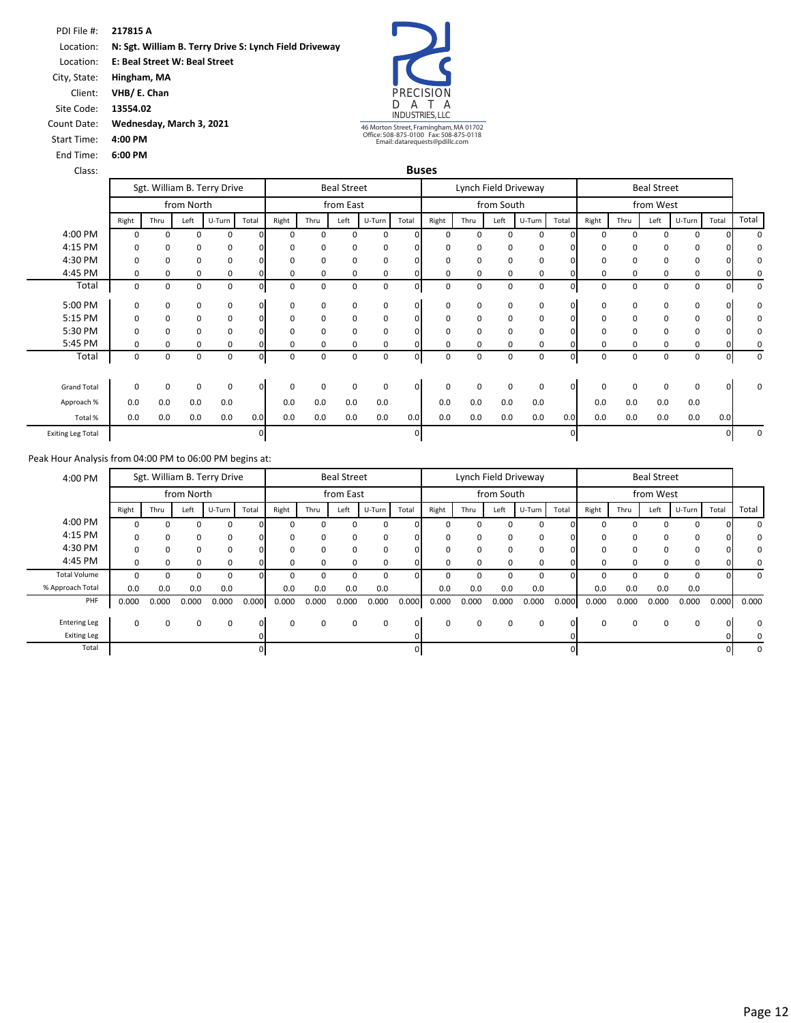Location: **E: Beal Street W: Beal Street** 

City, State: **Hingham, MA** Client: **VHB/ E. Chan**

Site Code: **13554.02**

End Time: **6:00 PM**

Count Date: **Wednesday, March 3, 2021** Start Time: **4:00 PM**



46 Morton Street, Framingham, MA 01702 Office: 508-875-0100 Fax: 508-875-0118 Email: datarequests@pdillc.com

| Class:                   |          |      |             |                             |          |             |             |                    |             |                | <b>Buses</b> |          |            |                      |              |             |          |                    |             |       |       |
|--------------------------|----------|------|-------------|-----------------------------|----------|-------------|-------------|--------------------|-------------|----------------|--------------|----------|------------|----------------------|--------------|-------------|----------|--------------------|-------------|-------|-------|
|                          |          |      |             | Sgt. William B. Terry Drive |          |             |             | <b>Beal Street</b> |             |                |              |          |            | Lynch Field Driveway |              |             |          | <b>Beal Street</b> |             |       |       |
|                          |          |      | from North  |                             |          |             |             | from East          |             |                |              |          | from South |                      |              |             |          | from West          |             |       |       |
|                          | Right    | Thru | Left        | U-Turn                      | Total    | Right       | Thru        | Left               | U-Turn      | Total          | Right        | Thru     | Left       | U-Turn               | Total        | Right       | Thru     | Left               | U-Turn      | Total | Total |
| 4:00 PM                  | $\Omega$ | 0    | $\Omega$    | <sup>0</sup>                |          | $\Omega$    | 0           | $\Omega$           | $\Omega$    |                | $\Omega$     | $\Omega$ | $\Omega$   | 0                    |              | $\Omega$    | $\Omega$ | 0                  | $\Omega$    |       |       |
| 4:15 PM                  | 0        | 0    | $\mathbf 0$ | 0                           | $\Omega$ | 0           | 0           | 0                  | 0           | $\Omega$       | $\Omega$     | 0        | 0          | 0                    |              | 0           | 0        | 0                  | 0           |       | 0     |
| 4:30 PM                  | $\Omega$ | 0    | 0           | 0                           | n        | 0           | 0           | 0                  | 0           |                | $\Omega$     | 0        | 0          | 0                    |              | $\Omega$    | $\Omega$ | 0                  | 0           |       |       |
| 4:45 PM                  | 0        | 0    | 0           | 0                           |          | 0           | 0           | 0                  | 0           |                | 0            | 0        | 0          | 0                    |              | 0           | 0        | 0                  | 0           |       |       |
| Total                    | 0        | 0    | 0           | $\Omega$                    | 0        | 0           | $\mathbf 0$ | 0                  | 0           | $\Omega$       | 0            | 0        | 0          | 0                    | 0            | 0           | 0        | 0                  | $\mathbf 0$ |       | 0     |
| 5:00 PM                  | 0        | 0    | 0           | 0                           | $\Omega$ | 0           | 0           | 0                  | 0           | $\overline{0}$ | 0            | 0        | 0          | 0                    | $\Omega$     | $\mathbf 0$ | 0        | 0                  | 0           |       | 0     |
| 5:15 PM                  | $\Omega$ | 0    | 0           | 0                           | O.       | 0           | 0           | 0                  | 0           | 0              | $\Omega$     | 0        | $\Omega$   | 0                    |              | 0           | 0        | 0                  | 0           |       | 0     |
| 5:30 PM                  | $\Omega$ | 0    | $\mathbf 0$ | 0                           | n        | $\mathbf 0$ | 0           | 0                  | $\mathbf 0$ |                | $\Omega$     | 0        | $\Omega$   | 0                    |              | $\Omega$    | $\Omega$ | 0                  | 0           |       |       |
| 5:45 PM                  | $\Omega$ | 0    | $\Omega$    | 0                           |          | 0           | 0           | 0                  | $\Omega$    |                | $\Omega$     | $\Omega$ | $\Omega$   | 0                    |              | $\Omega$    | 0        | 0                  | 0           |       |       |
| Total                    | 0        | 0    | 0           | $\Omega$                    | 0        | 0           | 0           | 0                  | 0           | 01             | 0            | 0        | 0          | 0                    | 0            | 0           | 0        | 0                  | 0           |       | 0     |
|                          |          |      |             |                             |          |             |             |                    |             |                |              |          |            |                      |              |             |          |                    |             |       |       |
| <b>Grand Total</b>       | 0        | 0    | $\Omega$    | 0                           | $\Omega$ | $\mathbf 0$ | 0           | $\mathbf 0$        | $\mathbf 0$ | $\mathbf{0}$   | $\mathbf 0$  | 0        | $\Omega$   | $\mathbf 0$          | $\Omega$     | $\mathbf 0$ | $\Omega$ | 0                  | $\mathbf 0$ |       | O     |
| Approach %               | 0.0      | 0.0  | 0.0         | 0.0                         |          | 0.0         | 0.0         | 0.0                | 0.0         |                | 0.0          | 0.0      | 0.0        | 0.0                  |              | 0.0         | 0.0      | 0.0                | 0.0         |       |       |
| Total %                  | 0.0      | 0.0  | 0.0         | 0.0                         | 0.0      | 0.0         | 0.0         | 0.0                | 0.0         | 0.0            | 0.0          | 0.0      | 0.0        | 0.0                  | 0.0          | 0.0         | 0.0      | 0.0                | 0.0         | 0.0   |       |
| <b>Exiting Leg Total</b> |          |      |             |                             | 0        |             |             |                    |             |                |              |          |            |                      | $\mathbf{0}$ |             |          |                    |             |       |       |

|          |       |          | <b>Beal Street</b> |          |          |       |          |            | Lynch Field Driveway |          |          |        | <b>Beal Street</b> |          |          |       |        |            | Sgt. William B. Terry Drive |              | 4:00 PM             |
|----------|-------|----------|--------------------|----------|----------|-------|----------|------------|----------------------|----------|----------|--------|--------------------|----------|----------|-------|--------|------------|-----------------------------|--------------|---------------------|
|          |       |          | from West          |          |          |       |          | from South |                      |          |          |        | from East          |          |          |       |        | from North |                             |              |                     |
| Total    | Total | U-Turn   | Left               | Thru     | Right    | Total | U-Turn   | Left       | Thru                 | Right    | Total    | U-Turn | Left               | Thru     | Right    | Total | U-Turn | Left       | Thru                        | Right        |                     |
|          |       | $\Omega$ |                    |          |          |       | 0        | O          |                      |          |          | 0      |                    |          |          |       | 0      | 0          | 0                           |              | 4:00 PM             |
|          |       | 0        | $\Omega$           | $\Omega$ |          |       | 0        | 0          | 0                    |          |          | 0      | 0                  | $\Omega$ |          |       | 0      | $\Omega$   | 0                           |              | 4:15 PM             |
|          |       | 0        |                    |          |          |       | 0        | 0          |                      |          |          | 0      | 0                  | 0        |          |       | 0      | $\Omega$   | 0                           |              | 4:30 PM             |
|          |       | 0        | 0                  | $\Omega$ | $\Omega$ |       | 0        | 0          | 0                    |          |          | 0      | $\Omega$           | $\Omega$ |          |       | 0      | $\Omega$   | $\mathbf 0$                 | <sup>0</sup> | 4:45 PM             |
| $\Omega$ |       | 0        |                    |          |          |       | $\Omega$ |            |                      |          |          | 0      |                    |          |          |       | 0      |            | 0                           |              | <b>Total Volume</b> |
|          |       | 0.0      | 0.0                | 0.0      | 0.0      |       | 0.0      | 0.0        | 0.0                  | 0.0      |          | 0.0    | 0.0                | 0.0      | 0.0      |       | 0.0    | 0.0        | 0.0                         | 0.0          | % Approach Total    |
| 0.000    | 0.000 | 0.000    | 0.000              | 0.000    | 0.000    | 0.000 | 0.000    | 0.000      | 0.000                | 0.000    | 0.000    | 0.000  | 0.000              | 0.000    | 0.000    | 0.000 | 0.000  | 0.000      | 0.000                       | 0.000        | PHF                 |
|          |       |          |                    |          |          |       |          |            |                      |          |          |        |                    |          |          |       |        |            |                             |              |                     |
| $\Omega$ |       | 0        | 0                  | $\Omega$ | $\Omega$ | O.    | 0        | $\Omega$   | 0                    | $\Omega$ | $\Omega$ | 0      | 0                  | $\Omega$ | $\Omega$ | ΩI    | 0      | 0          | $\mathbf 0$                 | $\Omega$     | <b>Entering Leg</b> |
|          |       |          |                    |          |          |       |          |            |                      |          |          |        |                    |          |          |       |        |            |                             |              | <b>Exiting Leg</b>  |
|          |       |          |                    |          |          |       |          |            |                      |          |          |        |                    |          |          |       |        |            |                             |              | Total               |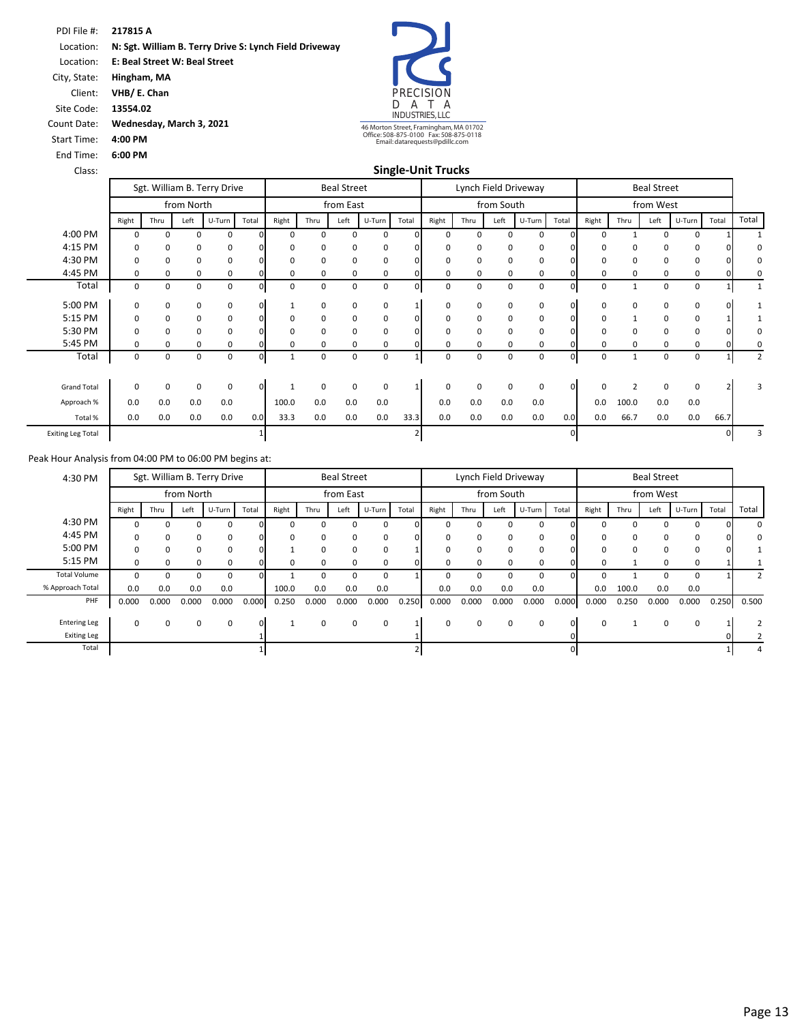Location: **E: Beal Street W: Beal Street** 

City, State: **Hingham, MA** Client: **VHB/ E. Chan**

Site Code: **13554.02**

Count Date: **Wednesday, March 3, 2021**

Start Time: **4:00 PM**

End Time: **6:00 PM**



Class: **Single‐Unit Trucks**

|                          |       |             |             | Sgt. William B. Terry Drive |              |       |      | <b>Beal Street</b> |             |              |          |          |            | Lynch Field Driveway |       |             |                | <b>Beal Street</b> |          |       |                |
|--------------------------|-------|-------------|-------------|-----------------------------|--------------|-------|------|--------------------|-------------|--------------|----------|----------|------------|----------------------|-------|-------------|----------------|--------------------|----------|-------|----------------|
|                          |       |             | from North  |                             |              |       |      | from East          |             |              |          |          | from South |                      |       |             |                | from West          |          |       |                |
|                          | Right | Thru        | Left        | U-Turn                      | Total        | Right | Thru | Left               | U-Turn      | Total        | Right    | Thru     | Left       | U-Turn               | Total | Right       | Thru           | Left               | U-Turn   | Total | Total          |
| 4:00 PM                  | 0     | 0           | $\Omega$    | $\Omega$                    |              | ŋ     | 0    | $\Omega$           | 0           | <sup>o</sup> | $\Omega$ | $\Omega$ | $\Omega$   | 0                    |       | $\Omega$    |                | $\Omega$           | $\Omega$ |       |                |
| 4:15 PM                  | 0     | 0           | 0           | 0                           |              | 0     | 0    | 0                  | 0           |              | 0        | 0        | 0          | 0                    |       | 0           | 0              | 0                  | 0        |       | 0              |
| 4:30 PM                  | 0     | $\mathbf 0$ | 0           | 0                           |              | 0     | 0    | 0                  | 0           |              | $\Omega$ | 0        | 0          | 0                    |       | 0           | $\Omega$       | 0                  | 0        |       | 0              |
| 4:45 PM                  | 0     | 0           | $\Omega$    | 0                           |              | 0     | 0    | 0                  | 0           |              | $\Omega$ | 0        | 0          | 0                    |       | 0           | $\Omega$       | 0                  | 0        |       |                |
| Total                    | 0     | 0           | 0           | 0                           |              | 0     | 0    | 0                  | 0           | 0            | 0        | 0        | 0          | 0                    |       | 0           |                | 0                  | 0        |       |                |
| 5:00 PM                  | 0     | $\mathbf 0$ | $\Omega$    | $\mathbf 0$                 | ΩI           |       | 0    | $\Omega$           | 0           |              | $\Omega$ | 0        | 0          | 0                    |       | $\mathbf 0$ | $\Omega$       | 0                  | 0        |       |                |
| 5:15 PM                  | 0     | $\mathbf 0$ | 0           | 0                           | 0            | 0     | 0    | 0                  | 0           |              | 0        | 0        | 0          | 0                    |       | $\mathbf 0$ |                | 0                  | 0        |       |                |
| 5:30 PM                  | 0     | 0           | $\Omega$    | 0                           |              | 0     | 0    | $\Omega$           | 0           |              | $\Omega$ | $\Omega$ | 0          | 0                    |       | 0           | $\Omega$       | 0                  | 0        |       | 0              |
| 5:45 PM                  | 0     | 0           | 0           | 0                           |              | 0     | 0    | 0                  | 0           |              | 0        | 0        | 0          | 0                    |       | 0           | 0              | 0                  | 0        |       |                |
| Total                    | 0     | 0           | 0           | 0                           | $\mathbf{0}$ |       | 0    | 0                  | $\mathbf 0$ |              | 0        | 0        | 0          | 0                    | 01    | $\mathbf 0$ | $\mathbf{1}$   | 0                  | 0        |       | $\overline{2}$ |
| <b>Grand Total</b>       | 0     | 0           | $\mathbf 0$ | 0                           | $\Omega$     |       | 0    | 0                  | 0           |              | $\Omega$ | 0        | 0          | 0                    |       | 0           | $\overline{2}$ | $\mathbf 0$        | 0        |       | 3              |
| Approach %               | 0.0   | 0.0         | 0.0         | 0.0                         |              | 100.0 | 0.0  | 0.0                | 0.0         |              | 0.0      | 0.0      | 0.0        | 0.0                  |       | 0.0         | 100.0          | 0.0                | 0.0      |       |                |
| Total %                  | 0.0   | 0.0         | 0.0         | 0.0                         | 0.0          | 33.3  | 0.0  | 0.0                | 0.0         | 33.3         | 0.0      | 0.0      | 0.0        | 0.0                  | 0.0   | 0.0         | 66.7           | 0.0                | 0.0      | 66.7  |                |
| <b>Exiting Leg Total</b> |       |             |             |                             |              |       |      |                    |             |              |          |          |            |                      |       |             |                |                    |          |       |                |

| 4:30 PM             |          |       |            | Sgt. William B. Terry Drive |          |       |          | <b>Beal Street</b> |        |       |       | Lynch Field Driveway |            |          |       |          |          | <b>Beal Street</b> |          |       |                |
|---------------------|----------|-------|------------|-----------------------------|----------|-------|----------|--------------------|--------|-------|-------|----------------------|------------|----------|-------|----------|----------|--------------------|----------|-------|----------------|
|                     |          |       | from North |                             |          |       |          | from East          |        |       |       |                      | from South |          |       |          |          | from West          |          |       |                |
|                     | Right    | Thru  | Left       | U-Turn                      | Total    | Right | Thru     | Left               | U-Turn | Total | Right | Thru                 | Left       | U-Turn   | Total | Right    | Thru     | Left               | U-Turn   | Total | Total          |
| 4:30 PM             | $\Omega$ | 0     |            | 0                           |          |       |          |                    | 0      |       |       |                      | $\Omega$   | $\Omega$ |       |          | 0        |                    |          |       | $\Omega$       |
| 4:45 PM             | $\Omega$ | 0     | $\Omega$   | 0                           |          |       | $\Omega$ | 0                  | 0      |       |       | 0                    | $\Omega$   | 0        |       | $\Omega$ | $\Omega$ | 0                  | 0        |       | 0              |
| 5:00 PM             | $\Omega$ | 0     | $\Omega$   | 0                           |          |       |          | 0                  | 0      |       |       | 0                    | $\Omega$   | 0        |       |          | 0        |                    | 0        |       |                |
| 5:15 PM             | $\Omega$ | 0     | $\Omega$   | $\mathbf{0}$                |          |       | $\Omega$ | $\Omega$           | 0      |       |       | 0                    | $\Omega$   | 0        |       | $\Omega$ |          | 0                  | $\Omega$ |       |                |
| <b>Total Volume</b> | $\Omega$ | 0     |            | 0                           |          |       | $\Omega$ |                    | 0      |       |       |                      | $\Omega$   | 0        |       |          |          |                    | 0        |       | $\overline{2}$ |
| % Approach Total    | 0.0      | 0.0   | 0.0        | 0.0                         |          | 100.0 | 0.0      | 0.0                | 0.0    |       | 0.0   | 0.0                  | 0.0        | 0.0      |       | 0.0      | 100.0    | 0.0                | 0.0      |       |                |
| PHF                 | 0.000    | 0.000 | 0.000      | 0.000                       | 0.000    | 0.250 | 0.000    | 0.000              | 0.000  | 0.250 | 0.000 | 0.000                | 0.000      | 0.000    | 0.000 | 0.000    | 0.250    | 0.000              | 0.000    | 0.250 | 0.500          |
| <b>Entering Leg</b> |          |       |            |                             |          |       |          |                    |        |       |       |                      |            |          |       | $\Omega$ |          |                    |          |       |                |
|                     | $\Omega$ | 0     | $\Omega$   | 0                           | $\Omega$ |       | $\Omega$ | 0                  | 0      |       |       | ŋ                    | $\Omega$   | 0        |       |          |          | <sup>0</sup>       | 0        |       |                |
| <b>Exiting Leg</b>  |          |       |            |                             |          |       |          |                    |        |       |       |                      |            |          |       |          |          |                    |          |       |                |
| Total               |          |       |            |                             |          |       |          |                    |        |       |       |                      |            |          |       |          |          |                    |          |       |                |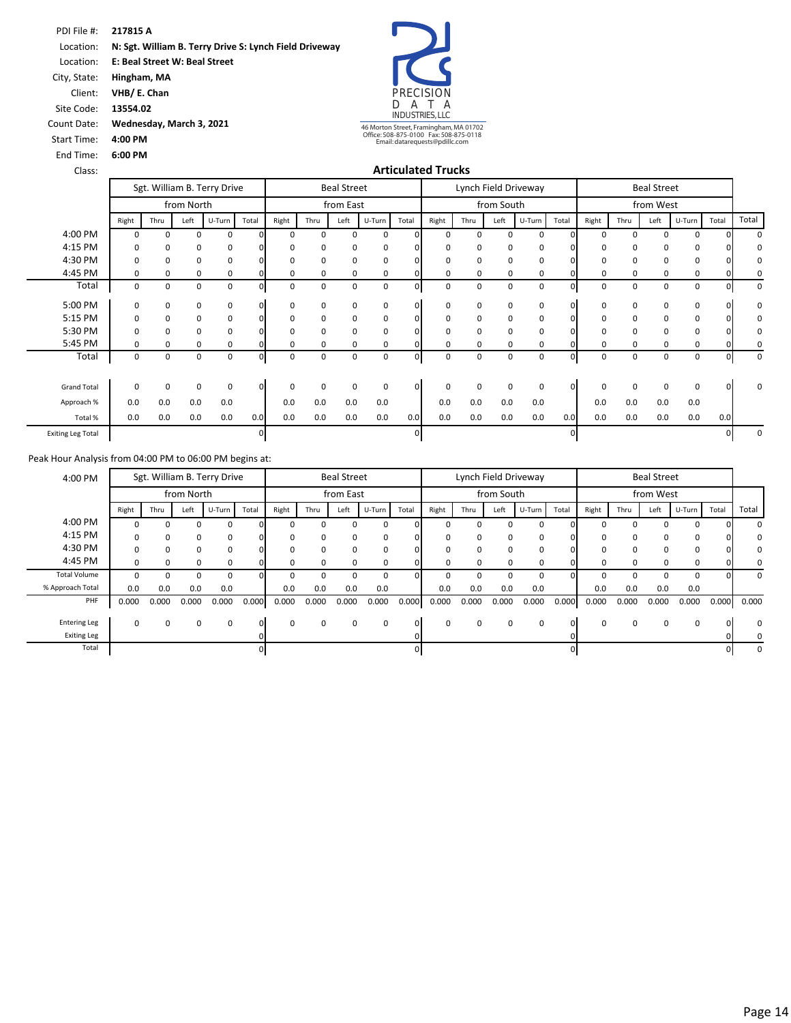Location: **E: Beal Street W: Beal Street** 

City, State: **Hingham, MA** Client: **VHB/ E. Chan**

Site Code: **13554.02**

Count Date: **Wednesday, March 3, 2021**

Start Time: **4:00 PM**

End Time: **6:00 PM**

PRECISION<br>D A T A D A T A INDUSTRIES, LLC

46 Morton Street, Framingham, MA 01702 Office: 508-875-0100 Fax: 508-875-0118 Email: datarequests@pdillc.com

#### Class: **Articulated Trucks**

|                          |          |             |            | Sgt. William B. Terry Drive |          |              |             | <b>Beal Street</b> |        |          |          |          |            | Lynch Field Driveway |              |          |          | <b>Beal Street</b> |        |       |             |
|--------------------------|----------|-------------|------------|-----------------------------|----------|--------------|-------------|--------------------|--------|----------|----------|----------|------------|----------------------|--------------|----------|----------|--------------------|--------|-------|-------------|
|                          |          |             | from North |                             |          |              |             | from East          |        |          |          |          | from South |                      |              |          |          | from West          |        |       |             |
|                          | Right    | Thru        | Left       | U-Turn                      | Total    | Right        | Thru        | Left               | U-Turn | Total    | Right    | Thru     | Left       | U-Turn               | Total        | Right    | Thru     | Left               | U-Turn | Total | Total       |
| 4:00 PM                  | $\Omega$ | 0           | $\Omega$   | 0                           |          | n            | 0           | $\Omega$           | 0      |          | $\Omega$ | $\Omega$ | 0          | 0                    |              | $\Omega$ | $\Omega$ | $\Omega$           | 0      |       | $\Omega$    |
| 4:15 PM                  | 0        | 0           | 0          | 0                           |          | 0            | 0           | 0                  | 0      |          | $\Omega$ | 0        | 0          | 0                    |              | 0        | 0        | 0                  | 0      |       | 0           |
| 4:30 PM                  | $\Omega$ | 0           | 0          | 0                           |          |              | 0           | $\Omega$           | 0      |          | $\Omega$ | 0        | 0          | 0                    |              | 0        | 0        | 0                  | 0      |       | 0           |
| 4:45 PM                  | $\Omega$ | $\mathbf 0$ | $\Omega$   | 0                           |          | 0            | $\mathbf 0$ | $\Omega$           | 0      |          | $\Omega$ | $\Omega$ | 0          | 0                    |              | 0        | 0        | $\Omega$           | 0      |       | 0           |
| Total                    | 0        | 0           | 0          | 0                           |          | 0            | 0           | 0                  | 0      | ŋ        | 0        | 0        | 0          | 0                    |              | 0        | 0        | 0                  | 0      |       | 0           |
| 5:00 PM                  | 0        | 0           | 0          | 0                           | $\Omega$ | 0            | 0           | $\mathbf 0$        | 0      | $\Omega$ | $\Omega$ | 0        | 0          | 0                    |              | 0        | 0        | 0                  | 0      |       | 0           |
| 5:15 PM                  | 0        | $\mathbf 0$ | 0          | 0                           |          | 0            | 0           | 0                  | 0      | 0        | 0        | 0        | 0          | 0                    |              | 0        | 0        | 0                  | 0      |       | 0           |
| 5:30 PM                  | $\Omega$ | 0           | $\Omega$   | 0                           |          |              | 0           | $\Omega$           | 0      |          | ŋ        | $\Omega$ | $\Omega$   | 0                    |              | $\Omega$ | 0        | $\Omega$           | 0      |       | 0           |
| 5:45 PM                  | $\Omega$ | 0           | $\Omega$   | 0                           |          |              | 0           | 0                  | 0      |          | U        | 0        | O          | 0                    |              | $\Omega$ | $\Omega$ | 0                  | 0      |       | 0           |
| Total                    | 0        | 0           | 0          | 0                           |          | 0            | 0           | 0                  | 0      | ŋ        | 0        | 0        | 0          | $\mathbf 0$          |              | 0        | 0        | 0                  | 0      |       | 0           |
| <b>Grand Total</b>       | $\Omega$ | 0           | 0          | 0                           | $\Omega$ | <sup>0</sup> | 0           | $\Omega$           | 0      | $\Omega$ | $\Omega$ | $\Omega$ | $\Omega$   | 0                    | <sup>0</sup> | $\Omega$ | $\Omega$ | 0                  | 0      |       | $\mathbf 0$ |
| Approach %               | 0.0      | 0.0         | 0.0        | 0.0                         |          | 0.0          | 0.0         | 0.0                | 0.0    |          | 0.0      | 0.0      | 0.0        | 0.0                  |              | 0.0      | 0.0      | 0.0                | 0.0    |       |             |
| Total %                  | 0.0      | 0.0         | 0.0        | 0.0                         | 0.0      | 0.0          | 0.0         | 0.0                | 0.0    | 0.0      | 0.0      | 0.0      | 0.0        | 0.0                  | 0.0          | 0.0      | 0.0      | 0.0                | 0.0    | 0.0   |             |
| <b>Exiting Leg Total</b> |          |             |            |                             |          |              |             |                    |        |          |          |          |            |                      |              |          |          |                    |        |       | 0           |

|          |                 | <b>Beal Street</b> |          |          |       |          |            | Lynch Field Driveway |          |          |             | <b>Beal Street</b> |              |          |       | Sgt. William B. Terry Drive |              |             |              | 4:00 PM             |
|----------|-----------------|--------------------|----------|----------|-------|----------|------------|----------------------|----------|----------|-------------|--------------------|--------------|----------|-------|-----------------------------|--------------|-------------|--------------|---------------------|
|          |                 | from West          |          |          |       |          | from South |                      |          |          |             | from East          |              |          |       |                             | from North   |             |              |                     |
| Total    | Total<br>U-Turn | Left               | Thru     | Right    | Total | U-Turn   | Left       | Thru                 | Right    | Total    | U-Turn      | Left               | Thru         | Right    | Total | U-Turn                      | Left         | Thru        | Right        |                     |
|          | $\Omega$        |                    |          |          |       | $\Omega$ | ŋ          |                      |          |          | 0           |                    | <sup>0</sup> |          |       | 0                           | <sup>0</sup> | 0           |              | 4:00 PM             |
|          | 0               | ŋ                  | $\Omega$ | $\Omega$ |       | 0        | 0          | <sup>0</sup>         |          |          | 0           | 0                  | $\Omega$     |          |       | $\Omega$                    | $\Omega$     | $\Omega$    |              | 4:15 PM             |
| n        | 0               |                    |          |          |       | 0        | 0          |                      |          |          | 0           | 0                  | $\Omega$     |          |       | 0                           | $\Omega$     | 0           |              | 4:30 PM             |
|          | 0               | 0                  | $\Omega$ | $\Omega$ |       | 0        | $\Omega$   | 0                    |          |          | 0           | $\Omega$           | $\Omega$     |          |       | 0                           | $\Omega$     | 0           | <sup>0</sup> | 4:45 PM             |
| $\Omega$ | 0               |                    |          |          |       | 0        |            |                      |          |          | $\mathbf 0$ |                    |              |          |       | 0                           |              |             |              | <b>Total Volume</b> |
|          | 0.0             | 0.0                | 0.0      | 0.0      |       | 0.0      | 0.0        | 0.0                  | 0.0      |          | 0.0         | 0.0                | 0.0          | 0.0      |       | 0.0                         | 0.0          | 0.0         | 0.0          | % Approach Total    |
| 0.000    | 0.000<br>0.000  | 0.000              | 0.000    | 0.000    | 0.000 | 0.000    | 0.000      | 0.000                | 0.000    | 0.000    | 0.000       | 0.000              | 0.000        | 0.000    | 0.000 | 0.000                       | 0.000        | 0.000       | 0.000        | PHF                 |
|          |                 |                    |          |          |       |          |            |                      |          |          |             |                    |              |          |       |                             |              |             |              |                     |
| $\Omega$ | 0               | 0                  | $\Omega$ | $\Omega$ | 0     | 0        | $\Omega$   | 0                    | $\Omega$ | $\Omega$ | 0           | 0                  | $\Omega$     | $\Omega$ | ΩI    | 0                           | 0            | $\mathbf 0$ | $\Omega$     | <b>Entering Leg</b> |
|          |                 |                    |          |          |       |          |            |                      |          |          |             |                    |              |          |       |                             |              |             |              | <b>Exiting Leg</b>  |
|          |                 |                    |          |          |       |          |            |                      |          |          |             |                    |              |          |       |                             |              |             |              | Total               |
|          |                 |                    |          |          |       |          |            |                      |          |          |             |                    |              |          |       |                             |              |             |              |                     |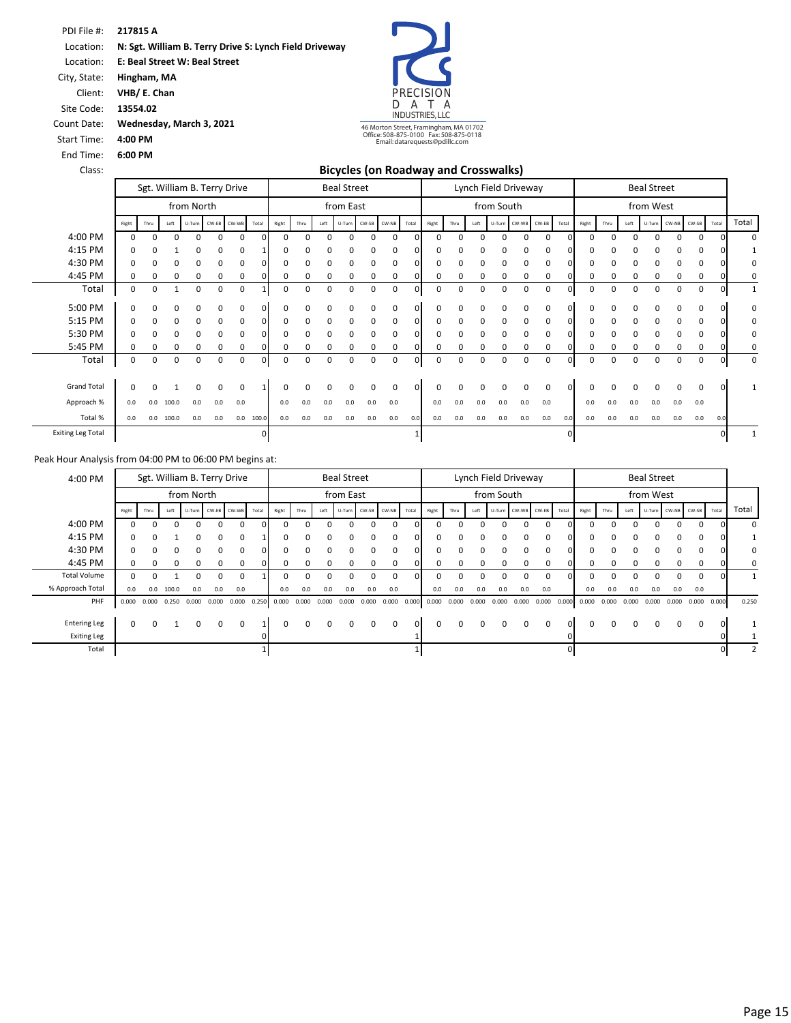Location: **E: Beal Street W: Beal Street** 

City, State: **Hingham, MA**

Client: **VHB/ E. Chan**

Site Code: **13554.02**

Count Date: **Wednesday, March 3, 2021**

Start Time: **4:00 PM**

End Time: **6:00 PM**

PRECISION D A T A INDUSTRIES, LLC 46 Morton Street, Framingham, MA 01702 Office: 508-875-0100 Fax: 508-875-0118 Email: datarequests@pdillc.com

| Class:                   |              |          |              |                             |              |          |              |          |              |      | <b>Bicycles (on Roadway and Crosswalks)</b> |          |          |          |          |              |          |                      |                    |     |              |       |          |          |                    |     |             |          |       |
|--------------------------|--------------|----------|--------------|-----------------------------|--------------|----------|--------------|----------|--------------|------|---------------------------------------------|----------|----------|----------|----------|--------------|----------|----------------------|--------------------|-----|--------------|-------|----------|----------|--------------------|-----|-------------|----------|-------|
|                          |              |          |              | Sgt. William B. Terry Drive |              |          |              |          |              |      | <b>Beal Street</b>                          |          |          |          |          |              |          | Lynch Field Driveway |                    |     |              |       |          |          | <b>Beal Street</b> |     |             |          |       |
|                          |              |          |              | from North                  |              |          |              |          |              |      | from East                                   |          |          |          |          |              |          | from South           |                    |     |              |       |          |          | from West          |     |             |          |       |
|                          | Right        | Thru     | Left         | U-Turn                      | CW-EB        | CW-WB    | Total        | Right    | Thru         | Left | U-Turn CW-SB                                |          | CW-NB    | Total    | Right    | Thru         | Left     |                      | U-Turn CW-WB CW-EB |     | Total        | Right | Thru     | Left     | U-Turn             |     | CW-NB CW-SB | Total    | Total |
| 4:00 PM                  | 0            | $\Omega$ | $\Omega$     | $\Omega$                    | $\Omega$     | 0        | $\Omega$     | $\Omega$ | <sup>0</sup> | 0    | 0                                           | 0        | $\Omega$ | n        | 0        | 0            | $\Omega$ | 0                    | $\mathbf 0$        | 0   | $\Omega$     | 0     | 0        | 0        | $\Omega$           | 0   | $\Omega$    |          |       |
| 4:15 PM                  |              | 0        |              | ŋ                           |              | 0        |              | 0        |              |      |                                             | 0        | 0        |          |          | n            | C        | 0                    | 0                  | 0   |              |       |          |          |                    |     | 0           |          |       |
| 4:30 PM                  | <sup>0</sup> | n        | <sup>0</sup> | $\Omega$                    | $\Omega$     | 0        |              | 0        | ŋ            | 0    | $\Omega$                                    | 0        | 0        |          | 0        | 0            | $\Omega$ | 0                    | 0                  | 0   |              |       | $\Omega$ | O        | $\Omega$           | 0   | $\Omega$    |          |       |
| 4:45 PM                  |              | 0        | 0            | 0                           | 0            | 0        |              | 0        | 0            | 0    | 0                                           | 0        | 0        |          | 0        | 0            | C        | 0                    | 0                  | 0   | ŋ            |       | 0        |          | C                  | 0   | 0           |          |       |
| Total                    | 0            | 0        | 1            | 0                           | 0            | 0        |              | 0        | 0            | 0    | $\mathbf 0$                                 | 0        | 0        | 0        | 0        | 0            | 0        | 0                    | 0                  | 0   | $\mathbf{0}$ | 0     | 0        | 0        | 0                  | 0   | 0           |          |       |
| 5:00 PM                  |              | O        | O            | $\Omega$                    | 0            | 0        |              | 0        | ŋ            | ŋ    | 0                                           | 0        | $\Omega$ |          | O        | O            | ŋ        | 0                    | 0                  | 0   | <sup>0</sup> |       | O        |          | $\Omega$           | 0   | 0           |          |       |
| 5:15 PM                  |              | 0        | 0            | 0                           | 0            | 0        | $\Omega$     | 0        | 0            | 0    | 0                                           | 0        | 0        | 0        | 0        | 0            | 0        | 0                    | $\mathbf 0$        | 0   | $\Omega$     |       | 0        | 0        | 0                  | 0   | 0           |          |       |
| 5:30 PM                  | <sup>0</sup> | 0        | $\Omega$     | $\Omega$                    | $\Omega$     | 0        | <sup>n</sup> | 0        | 0            | 0    | $\Omega$                                    | 0        | 0        | n        | $\Omega$ | 0            | $\Omega$ | 0                    | 0                  | 0   | $\Omega$     |       | $\Omega$ | 0        | $\Omega$           | 0   | $\Omega$    |          |       |
| 5:45 PM                  |              | 0        |              | 0                           |              | 0        |              | 0        |              |      |                                             | 0        | 0        |          | 0        | 0            | 0        | 0                    | 0                  | 0   |              |       | 0        |          |                    |     | 0           |          |       |
| Total                    | 0            | $\Omega$ | $\Omega$     | $\Omega$                    | <sup>0</sup> | 0        |              | 0        | U            | ŋ    | <sup>0</sup>                                | 0        | $\Omega$ |          | 0        | 0            | $\Omega$ | 0                    | 0                  | 0   |              |       | $\Omega$ | $\Omega$ | $\Omega$           | 0   | 0           |          |       |
| <b>Grand Total</b>       | <sup>0</sup> | n        |              | $\Omega$                    | $\Omega$     | $\Omega$ |              | 0        | <sup>n</sup> | 0    | $\Omega$                                    | $\Omega$ | $\Omega$ | $\Omega$ | 0        | <sup>0</sup> |          | ŋ                    | $\Omega$           | 0   | $\Omega$     | 0     | $\Omega$ | $\Omega$ | $\Omega$           | 0   | 0           | $\Omega$ |       |
| Approach %               | 0.0          | 0.0      | 100.0        | 0.0                         | 0.0          | 0.0      |              | 0.0      | 0.0          | 0.0  | 0.0                                         | 0.0      | 0.0      |          | 0.0      | 0.0          | 0.0      | 0.0                  | 0.0                | 0.0 |              | 0.0   | 0.0      | 0.0      | 0.0                | 0.0 | 0.0         |          |       |
| Total %                  | 0.0          | 0.0      | 100.0        | 0.0                         | 0.0          | 0.0      | 100.0        | 0.0      | 0.0          | 0.0  | 0.0                                         | 0.0      | 0.0      | 0.0      | 0.0      | 0.0          | 0.0      | 0.0                  | 0.0                | 0.0 | 0.0          | 0.0   | 0.0      | 0.0      | 0.0                | 0.0 | 0.0         | 0.0      |       |
| <b>Exiting Leg Total</b> |              |          |              |                             |              |          | 0            |          |              |      |                                             |          |          |          |          |              |          |                      |                    |     | $\Omega$     |       |          |          |                    |     |             |          |       |

| 4:00 PM             |       |              |              |              |       | Sgt. William B. Terry Drive |       |                 |          |          | <b>Beal Street</b> |       |                    |          |          |          |                 | Lynch Field Driveway |          |                    |          |       |          |       | <b>Beal Street</b> |       |             |                 |       |
|---------------------|-------|--------------|--------------|--------------|-------|-----------------------------|-------|-----------------|----------|----------|--------------------|-------|--------------------|----------|----------|----------|-----------------|----------------------|----------|--------------------|----------|-------|----------|-------|--------------------|-------|-------------|-----------------|-------|
|                     |       |              |              | from North   |       |                             |       |                 |          |          | from East          |       |                    |          |          |          |                 | from South           |          |                    |          |       |          |       |                    |       |             |                 |       |
|                     | Right | Thru         | Left         |              |       | U-Turn CW-EB CW-WB          | Total | Right           | Thru     | Left     |                    |       | U-Turn CW-SB CW-NB | Total    | Right    | Thru     | Left            |                      |          | U-Turn CW-WB CW-EB | Total    | Right | Thru     | Left  | U-Turn CW-NB CW-SB |       |             | Total           | Total |
| 4:00 PM             |       | <sup>n</sup> | <sup>0</sup> | $\Omega$     | 0     | 0                           | O.    | $\Omega$        | n        | n        | ŋ                  | 0     | 0                  | $\Omega$ |          | $\Omega$ |                 | n                    | $\Omega$ | $\Omega$           |          | ŋ     | $\Omega$ | O     | U                  | 0     | $\Omega$    |                 | 0     |
| 4:15 PM             | 0     | <sup>0</sup> |              | $\Omega$     | 0     | 0                           |       | $\Omega$        | $\Omega$ | 0        | 0                  | 0     | 0                  | $\Omega$ |          |          |                 |                      | $\Omega$ | $\Omega$           | $\Omega$ | 0     | $\Omega$ | 0     | 0                  | 0     | $\mathbf 0$ |                 |       |
| 4:30 PM             | 0     |              | $\Omega$     | $\Omega$     | 0     | 0                           |       | $\Omega$        |          | $\Omega$ | 0                  | 0     | 0                  | $\Omega$ |          |          |                 |                      |          | $\Omega$           |          | 0     | 0        | 0     | 0                  | 0     | $\Omega$    |                 | 0     |
| 4:45 PM             | 0     | $\Omega$     | $\Omega$     | <sup>0</sup> | 0     | 0                           |       | 0               | 0        | $\Omega$ | 0                  | 0     | 0                  | $\Omega$ |          | 0        |                 |                      |          | 0                  |          | 0     | 0        | 0     | <sup>0</sup>       | 0     | $\Omega$    |                 | 0     |
| <b>Total Volume</b> | 0     |              |              |              | 0     | $\mathbf 0$                 |       | 0               |          | 0        | 0                  | 0     | 0                  |          |          |          |                 |                      |          | 0                  |          | 0     | 0        | 0     | 0                  | 0     | $\mathbf 0$ |                 |       |
| % Approach Total    | 0.0   | 0.0          | 100.0        | 0.0          | 0.0   | 0.0                         |       | 0.0             | 0.0      | 0.0      | 0.0                | 0.0   | 0.0                |          | 0.0      | 0.0      | 0.0             | 0.0                  | 0.0      | 0.0                |          | 0.0   | 0.0      | 0.0   | 0.0                | 0.0   | 0.0         |                 |       |
| PHF                 | 0.000 | 0.000        | 0.250        | 0.000        | 0.000 | 0.000                       |       | $0.250$ $0.000$ | 0.000    | 0.000    | 0.000              | 0.000 | 0.000              | 0.000    | 0.000    |          | $0.000$ $0.000$ | 0.000                | 0.000    | 0.000              | 0.000    | 0.000 | 0.000    | 0.000 | 0.000              | 0.000 |             | $0.000$ $0.000$ | 0.250 |
|                     |       |              |              |              |       |                             |       |                 |          |          |                    |       |                    |          |          |          |                 |                      |          |                    |          |       |          |       |                    |       |             |                 |       |
| <b>Entering Leg</b> | 0     | $\Omega$     |              | $\Omega$     | 0     | $\Omega$                    |       | $\Omega$        | $\Omega$ | $\Omega$ | $\Omega$           | 0     | $\Omega$           | $\Omega$ | $\Omega$ | $\Omega$ | $\Omega$        | $\Omega$             | $\Omega$ | $\Omega$           | $\Omega$ | 0     | $\Omega$ | 0     | $\Omega$           | 0     | 0           |                 |       |
| <b>Exiting Leg</b>  |       |              |              |              |       |                             |       |                 |          |          |                    |       |                    |          |          |          |                 |                      |          |                    |          |       |          |       |                    |       |             |                 |       |
| Total               |       |              |              |              |       |                             |       |                 |          |          |                    |       |                    |          |          |          |                 |                      |          |                    |          |       |          |       |                    |       |             |                 |       |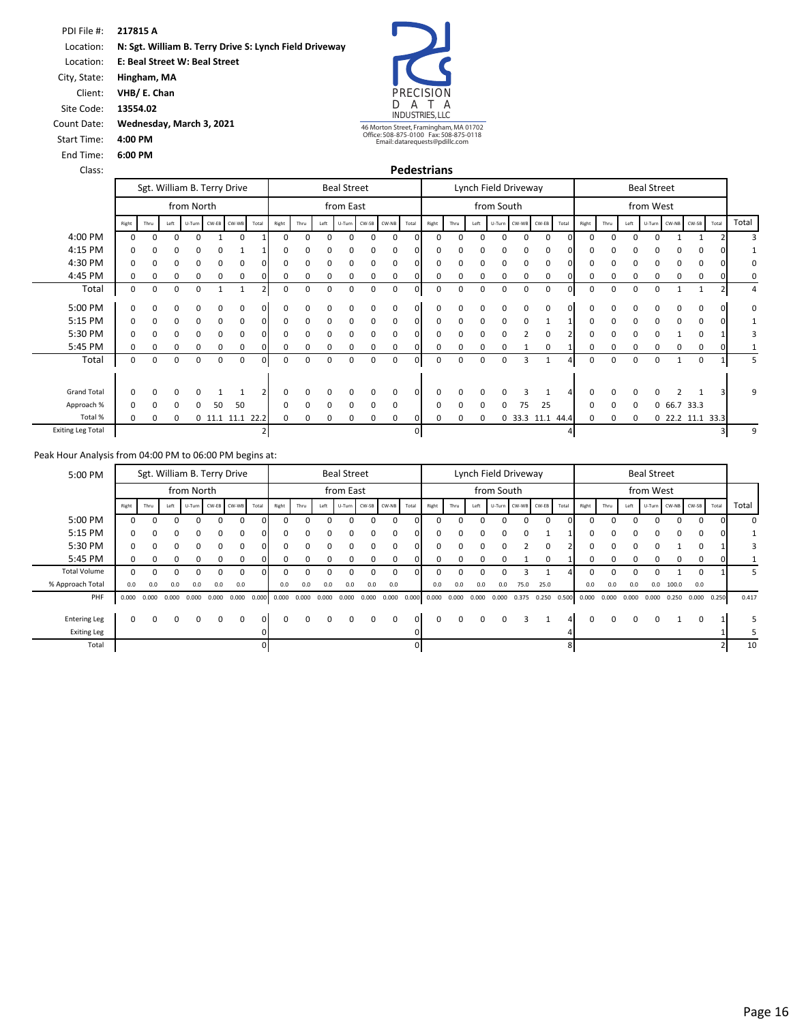Location: **E: Beal Street W: Beal Street** 

City, State: **Hingham, MA**

Client: **VHB/ E. Chan**

Site Code: **13554.02**

Count Date: **Wednesday, March 3, 2021**

Start Time: **4:00 PM**

End Time: **6:00 PM**

PRECISION<br>D A T A D A T A INDUSTRIES, LLC

46 Morton Street, Framingham, MA 01702 Office: 508-875-0100 Fax: 508-875-0118 Email: datarequests@pdillc.com

|                          |              |          |      |              |                | Sgt. William B. Terry Drive |       | <b>Beal Street</b> |              |          |           |              |       |                |       | Lynch Field Driveway |              |             |       |                  |       |             | <b>Beal Street</b> |          |          |               |                    |       |       |
|--------------------------|--------------|----------|------|--------------|----------------|-----------------------------|-------|--------------------|--------------|----------|-----------|--------------|-------|----------------|-------|----------------------|--------------|-------------|-------|------------------|-------|-------------|--------------------|----------|----------|---------------|--------------------|-------|-------|
|                          |              |          |      | from North   |                |                             |       |                    |              |          | from East |              |       |                |       |                      |              | from South  |       |                  |       | from West   |                    |          |          |               |                    |       |       |
|                          | Right        | Thru     | Left |              | U-Turn CW-EB   | CW-WB                       | Total | Right              | Thru         | Left     |           | U-Turn CW-SB | CW-NB | Total          | Right | Thru                 | Left         | U-Turn      | CW-WB | CW-EB            | Total | Right       | Thru               | Left     |          |               | U-Turn CW-NB CW-SB | Total | Total |
| 4:00 PM                  | $\Omega$     | $\Omega$ | 0    | 0            | $\overline{ }$ | $\Omega$                    |       | $\Omega$           | 0            | $\Omega$ | 0         | 0            | 0     | n              | 0     | $\Omega$             | $\Omega$     | $\mathbf 0$ | 0     | $\mathbf 0$      | 0l    | $\mathbf 0$ | 0                  | $\Omega$ | $\Omega$ | $\mathbf{1}$  |                    |       |       |
| 4:15 PM                  | <sup>0</sup> |          | 0    | 0            | 0              |                             |       | O                  |              |          | 0         | 0            | 0     |                | n     |                      |              |             | 0     | 0                |       | $\Omega$    |                    | 0        |          | 0             |                    |       |       |
| 4:30 PM                  | $\Omega$     | ŋ.       | 0    | 0            | 0              | 0                           |       | 0                  | n            | $\Omega$ | 0         | 0            | 0     |                | n     | 0                    | ŋ            | 0           | 0     | 0                |       |             |                    | 0        | 0        | $\Omega$      |                    |       |       |
| 4:45 PM                  | 0            | 0        | 0    | 0            | 0              | 0                           |       | 0                  |              | 0        | 0         | 0            | 0     |                | 0     | 0                    | 0            | 0           | 0     | 0                |       | 0           | 0                  | 0        | 0        | 0             |                    |       |       |
| Total                    | 0            | 0        | 0    | 0            |                |                             |       | 0                  | 0            | 0        | 0         | 0            | 0     |                | 0     | 0                    | 0            | 0           | 0     | 0                | ٥ı    | 0           | 0                  | 0        | 0        |               |                    |       | 4     |
| 5:00 PM                  | $\Omega$     | U        | ŋ    | <sup>0</sup> | 0              | 0                           |       | ŋ                  |              |          | 0         | $\Omega$     | 0     |                | n     | $\Omega$             | ŋ            |             | 0     | 0                |       | O           |                    | 0        | n        | $\Omega$      |                    |       | 0     |
| 5:15 PM                  | $\Omega$     | 0        | 0    | 0            | 0              | $\Omega$                    |       | 0                  | 0            | $\Omega$ | $\Omega$  | 0            | 0     |                | 0     | $\Omega$             | $\Omega$     | 0           | 0     |                  |       | 0           | 0                  | 0        | $\Omega$ | $\Omega$      |                    |       |       |
| 5:30 PM                  | $\Omega$     | 0        | 0    | 0            | 0              | $\Omega$                    |       | ŋ                  | 0            | O        | 0         | $\Omega$     | 0     |                |       | O                    | ŋ            |             |       | 0                |       | 0           | ŋ                  | 0        |          |               |                    |       |       |
| 5:45 PM                  | $\Omega$     | 0        | 0    | 0            | 0              | 0                           |       | 0                  | 0            | $\Omega$ | 0         | 0            | 0     |                | 0     | 0                    | 0            | 0           |       | 0                |       | 0           | 0                  | 0        | 0        | $\Omega$      | <sup>0</sup>       |       |       |
| Total                    | 0            | 0        | 0    | 0            | 0              | 0                           | 0     | 0                  | 0            | 0        | 0         | 0            | 0     | $\Omega$       | 0     | 0                    | 0            | 0           | 3     | 1                |       | 0           | 0                  | 0        | 0        |               | 0                  |       | 5     |
|                          |              |          |      |              |                |                             |       |                    |              |          |           |              |       |                |       |                      |              |             |       |                  |       |             |                    |          | n        |               |                    |       |       |
| <b>Grand Total</b>       | $\Omega$     | n        | O    | <sup>0</sup> |                |                             |       | 0                  |              |          | 0         | $\Omega$     | 0     |                | n     | $\Omega$             | <sup>0</sup> |             | э     |                  |       |             |                    | $\Omega$ |          |               |                    |       | 9     |
| Approach %               | $\Omega$     | n        | 0    | 0            | 50             | 50                          |       | 0                  | <sup>0</sup> | $\Omega$ | $\Omega$  | $\Omega$     | 0     |                | n     | $\Omega$             | $\Omega$     | n           | 75    | 25               |       | $\Omega$    | 0                  | 0        |          | 0, 66.7, 33.3 |                    |       |       |
| Total %                  | $\Omega$     | 0        | 0    |              |                | $0$ 11.1 11.1               | 22.2  | 0                  | 0            | $\Omega$ | 0         | 0            | 0     |                | o     | 0                    | 0            |             |       | 0 33.3 11.1 44.4 |       | 0           | 0                  | 0        |          |               | 0 22.2 11.1 33.3   |       |       |
| <b>Exiting Leg Total</b> |              |          |      |              |                |                             |       |                    |              |          |           |              |       | $\overline{0}$ |       |                      |              |             |       |                  | 4     |             |                    |          |          |               |                    |       | 9     |

| 5:00 PM             | Sgt. William B. Terry Drive |          |          |            |       |                    |       | <b>Beal Street</b> |          |                 |           |          |                    |              | Lynch Field Driveway |          |              |                    |          |                         |       | <b>Beal Street</b> |              |          |          |                    |                 |       |       |
|---------------------|-----------------------------|----------|----------|------------|-------|--------------------|-------|--------------------|----------|-----------------|-----------|----------|--------------------|--------------|----------------------|----------|--------------|--------------------|----------|-------------------------|-------|--------------------|--------------|----------|----------|--------------------|-----------------|-------|-------|
|                     |                             |          |          | from North |       |                    |       |                    |          |                 | from East |          |                    |              |                      |          |              | from South         |          |                         |       |                    |              |          |          |                    |                 |       |       |
|                     | Right                       | Thru     | Left     |            |       | U-Turn CW-EB CW-WB | Total | Right              | Thru     | Left            |           |          | U-Turn CW-SB CW-NB | Total        | Right                | Thru     | Left         | U-Turn CW-WB CW-EB |          |                         | Total | Right              | Thru         | Left     |          | U-Turn CW-NB CW-SB |                 | Total | Total |
| 5:00 PM             |                             | $\Omega$ | $\Omega$ | 0          | 0     | 0                  | ΩI    | 0                  |          |                 |           | $\Omega$ |                    |              |                      | $\Omega$ |              | O                  | $\Omega$ | 0                       | ΩI    | 0                  | 0            |          | ŋ        | 0                  | $\mathbf 0$     |       | 0     |
| 5:15 PM             | $\Omega$                    |          | 0        | 0          | 0     | 0                  |       |                    |          |                 |           |          |                    |              |                      | ŋ        |              | $\Omega$           | 0        |                         |       | 0                  | 0            |          | 0        | 0                  | $\Omega$        |       |       |
| 5:30 PM             | $\Omega$                    | $\Omega$ | $\Omega$ | $\Omega$   | 0     | $\Omega$           | ΩI    | ŋ                  | n        |                 |           | $\Omega$ |                    | <sup>o</sup> |                      | $\Omega$ | $\Omega$     | O                  |          | $\Omega$                |       | 0                  | <sup>o</sup> | n        | U        |                    | $\Omega$        |       | 3     |
| 5:45 PM             | $\Omega$                    |          |          | 0          | 0     | $\Omega$           |       | 0                  |          |                 |           |          |                    |              |                      | 0        | <sup>0</sup> | O                  |          | $\Omega$                |       |                    | n.           | 0        | 0        | 0                  | 0               |       |       |
| <b>Total Volume</b> | ŋ                           | n        | U        | n          | n     | 0                  | n     |                    |          |                 |           |          |                    |              |                      |          |              |                    |          |                         |       |                    | n.           |          |          |                    | $\Omega$        |       | -5    |
| % Approach Total    | 0.0                         | 0.0      | 0.0      | 0.0        | 0.0   | 0.0                |       | 0.0                | 0.0      | 0.0             | 0.0       | 0.0      | 0.0                |              | 0.0                  | 0.0      | 0.0          | 0.0                | 75.0     | 25.0                    |       | 0.0                | 0.0          | 0.0      | 0.0      | 100.0              | 0.0             |       |       |
| PHF                 | 0.000                       | 0.000    | 0.000    | 0.000      | 0.000 | 0.000              | 0.000 | 0.000              | 0.000    | $0.000$ $0.000$ |           |          | $0.000$ $0.000$    | 0.000        | 0.000                | 0.000    | 0.000        | 0.000              |          | $0.375$ $0.250$ $0.500$ |       | 0.000              | 0.000        | 0.000    | 0.000    | 0.250              | $0.000$ $0.250$ |       | 0.417 |
| <b>Entering Leg</b> | 0                           | $\Omega$ | 0        | 0          | 0     | 0                  | οı    | $\Omega$           | $\Omega$ | $\Omega$        |           | $\Omega$ |                    |              |                      | $\Omega$ | $\Omega$     | 0                  |          |                         |       | 0                  | $\mathbf{0}$ | $\Omega$ | $\Omega$ |                    | $\Omega$        |       | 5     |
| <b>Exiting Leg</b>  |                             |          |          |            |       |                    |       |                    |          |                 |           |          |                    |              |                      |          |              |                    |          |                         |       |                    |              |          |          |                    |                 |       |       |
| Total               |                             |          |          |            |       |                    |       |                    |          |                 |           |          |                    |              |                      |          |              |                    |          |                         |       |                    |              |          |          |                    |                 |       | 10    |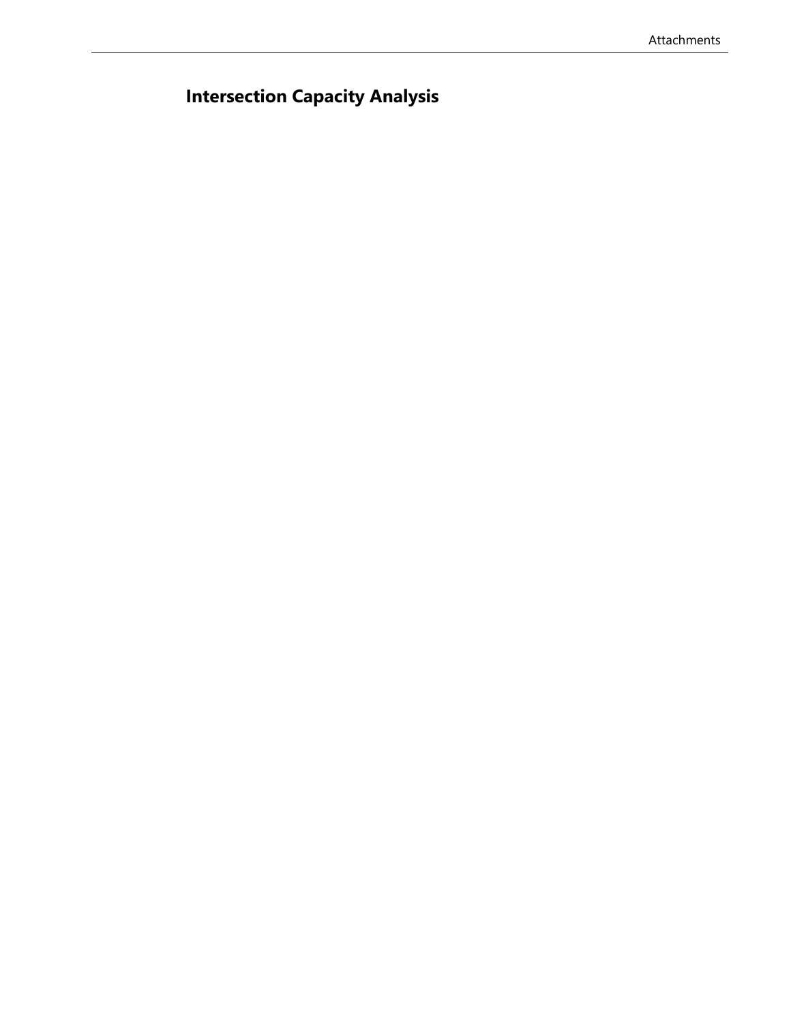# **Intersection Capacity Analysis**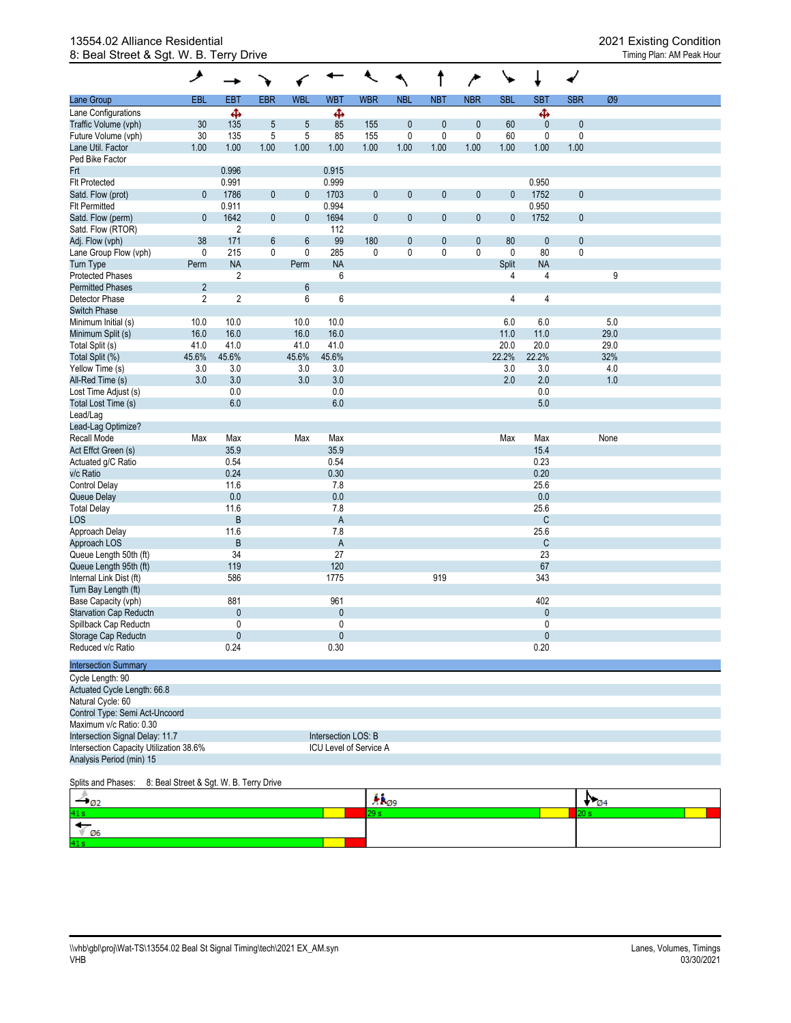#### 13554.02 Alliance Residential 2021 Existing Condition 8: Beal Street & Sgt. W. B. Terry Drive

|                                | حر                      |                | ٦          |                |              |              |              | t            | $\rightarrow$ | ╰           | ↓              | √            |      |  |
|--------------------------------|-------------------------|----------------|------------|----------------|--------------|--------------|--------------|--------------|---------------|-------------|----------------|--------------|------|--|
| Lane Group                     | EBL                     | EBT            | <b>EBR</b> | <b>WBL</b>     | <b>WBT</b>   | <b>WBR</b>   | <b>NBL</b>   | <b>NBT</b>   | <b>NBR</b>    | <b>SBL</b>  | <b>SBT</b>     | <b>SBR</b>   | Ø9   |  |
| Lane Configurations            |                         | ф              |            |                | ф            |              |              |              |               |             | ф              |              |      |  |
| Traffic Volume (vph)           | 30                      | 135            | 5          | 5              | 85           | 155          | $\bf 0$      | 0            | $\mathbf{0}$  | 60          | $\mathbf{0}$   | $\mathbf{0}$ |      |  |
| Future Volume (vph)            | 30                      | 135            | 5          | 5              | 85           | 155          | $\pmb{0}$    | 0            | $\mathbf 0$   | 60          | $\pmb{0}$      | $\pmb{0}$    |      |  |
| Lane Util. Factor              | 1.00                    | 1.00           | 1.00       | 1.00           | 1.00         | 1.00         | 1.00         | 1.00         | 1.00          | 1.00        | 1.00           | 1.00         |      |  |
| Ped Bike Factor                |                         |                |            |                |              |              |              |              |               |             |                |              |      |  |
| Frt                            |                         | 0.996          |            |                | 0.915        |              |              |              |               |             |                |              |      |  |
| <b>Flt Protected</b>           |                         | 0.991          |            |                | 0.999        |              |              |              |               |             | 0.950          |              |      |  |
| Satd. Flow (prot)              | 0                       | 1786           | $\pmb{0}$  | 0              | 1703         | $\pmb{0}$    | $\mathbf 0$  | 0            | 0             | $\mathbf 0$ | 1752           | $\mathbf{0}$ |      |  |
| <b>FIt Permitted</b>           |                         | 0.911          |            |                | 0.994        |              |              |              |               |             | 0.950          |              |      |  |
| Satd. Flow (perm)              | $\mathbf{0}$            | 1642           | 0          | $\mathbf 0$    | 1694         | $\pmb{0}$    | $\mathbf{0}$ | $\mathbf{0}$ | $\pmb{0}$     | $\pmb{0}$   | 1752           | $\mathbf{0}$ |      |  |
| Satd. Flow (RTOR)              |                         | $\overline{2}$ |            |                | 112          |              |              |              |               |             |                |              |      |  |
| Adj. Flow (vph)                | 38                      | 171            | 6          | $6\phantom{1}$ | 99           | 180          | $\mathbf 0$  | 0            | $\pmb{0}$     | 80          | $\mathbf{0}$   | $\mathbf{0}$ |      |  |
| Lane Group Flow (vph)          | 0                       | 215            | 0          | 0              | 285          | $\mathbf{0}$ | 0            | 0            | 0             | 0           | 80             | $\mathbf{0}$ |      |  |
| Turn Type                      | Perm                    | <b>NA</b>      |            | Perm           | <b>NA</b>    |              |              |              |               | Split       | <b>NA</b>      |              |      |  |
| <b>Protected Phases</b>        |                         | $\overline{2}$ |            |                | 6            |              |              |              |               | 4           | 4              |              | 9    |  |
| <b>Permitted Phases</b>        | $\overline{\mathbf{c}}$ |                |            | 6              |              |              |              |              |               |             |                |              |      |  |
| Detector Phase                 | $\overline{2}$          | $\overline{2}$ |            | 6              | 6            |              |              |              |               | 4           | 4              |              |      |  |
| <b>Switch Phase</b>            |                         |                |            |                |              |              |              |              |               |             |                |              |      |  |
| Minimum Initial (s)            | 10.0                    | 10.0           |            | 10.0           | 10.0         |              |              |              |               | 6.0         | 6.0            |              | 5.0  |  |
| Minimum Split (s)              | 16.0                    | 16.0           |            | 16.0           | 16.0         |              |              |              |               | 11.0        | 11.0           |              | 29.0 |  |
| Total Split (s)                | 41.0                    | 41.0           |            | 41.0           | 41.0         |              |              |              |               | 20.0        | 20.0           |              | 29.0 |  |
| Total Split (%)                | 45.6%                   | 45.6%          |            | 45.6%          | 45.6%        |              |              |              |               | 22.2%       | 22.2%          |              | 32%  |  |
| Yellow Time (s)                | 3.0                     | 3.0            |            | 3.0            | 3.0          |              |              |              |               | 3.0         | 3.0            |              | 4.0  |  |
| All-Red Time (s)               | 3.0                     | 3.0            |            | 3.0            | 3.0          |              |              |              |               | 2.0         | 2.0            |              | 1.0  |  |
| Lost Time Adjust (s)           |                         | 0.0            |            |                | 0.0          |              |              |              |               |             | 0.0            |              |      |  |
| Total Lost Time (s)            |                         | 6.0            |            |                | 6.0          |              |              |              |               |             | 5.0            |              |      |  |
| Lead/Lag                       |                         |                |            |                |              |              |              |              |               |             |                |              |      |  |
| Lead-Lag Optimize?             |                         |                |            |                |              |              |              |              |               |             |                |              |      |  |
| Recall Mode                    | Max                     | Max            |            | Max            | Max          |              |              |              |               | Max         | Max            |              | None |  |
| Act Effct Green (s)            |                         | 35.9           |            |                | 35.9         |              |              |              |               |             | 15.4           |              |      |  |
| Actuated g/C Ratio             |                         | 0.54           |            |                | 0.54         |              |              |              |               |             | 0.23           |              |      |  |
| v/c Ratio                      |                         | 0.24           |            |                | 0.30         |              |              |              |               |             | 0.20           |              |      |  |
| <b>Control Delay</b>           |                         | 11.6           |            |                | 7.8          |              |              |              |               |             | 25.6           |              |      |  |
| Queue Delay                    |                         | 0.0            |            |                | 0.0          |              |              |              |               |             | 0.0            |              |      |  |
| <b>Total Delay</b>             |                         | 11.6           |            |                | 7.8          |              |              |              |               |             | 25.6           |              |      |  |
| LOS                            |                         | $\sf B$        |            |                | $\mathsf A$  |              |              |              |               |             | $\mathsf{C}$   |              |      |  |
| Approach Delay                 |                         | 11.6           |            |                | 7.8          |              |              |              |               |             | 25.6           |              |      |  |
| Approach LOS                   |                         | B              |            |                | A            |              |              |              |               |             | C              |              |      |  |
| Queue Length 50th (ft)         |                         | 34             |            |                | 27           |              |              |              |               |             | 23             |              |      |  |
| Queue Length 95th (ft)         |                         | 119            |            |                | 120          |              |              |              |               |             | 67             |              |      |  |
| Internal Link Dist (ft)        |                         | 586            |            |                | 1775         |              |              | 919          |               |             | 343            |              |      |  |
| Turn Bay Length (ft)           |                         |                |            |                |              |              |              |              |               |             |                |              |      |  |
| Base Capacity (vph)            |                         | 881            |            |                | 961          |              |              |              |               |             | 402            |              |      |  |
| <b>Starvation Cap Reductn</b>  |                         | $\mathbf{0}$   |            |                | $\mathbf{0}$ |              |              |              |               |             | $\overline{0}$ |              |      |  |
| Spillback Cap Reductn          |                         | 0              |            |                | $\mathbf{0}$ |              |              |              |               |             | $\mathbf{0}$   |              |      |  |
| Storage Cap Reductn            |                         | $\mathbf{0}$   |            |                | $\mathbf{0}$ |              |              |              |               |             | $\mathbf{0}$   |              |      |  |
| Reduced v/c Ratio              |                         | 0.24           |            |                | 0.30         |              |              |              |               |             | 0.20           |              |      |  |
| <b>Intersection Summary</b>    |                         |                |            |                |              |              |              |              |               |             |                |              |      |  |
| Cycle Length: 90               |                         |                |            |                |              |              |              |              |               |             |                |              |      |  |
| Actuated Cycle Length: 66.8    |                         |                |            |                |              |              |              |              |               |             |                |              |      |  |
| Natural Cycle: 60              |                         |                |            |                |              |              |              |              |               |             |                |              |      |  |
| Control Type: Semi Act-Uncoord |                         |                |            |                |              |              |              |              |               |             |                |              |      |  |
| Maximum v/c Ratio: 0.30        |                         |                |            |                |              |              |              |              |               |             |                |              |      |  |

#### Splits and Phases: 8: Beal Street & Sgt. W. B. Terry Drive

Intersection Capacity Utilization 38.6%

Analysis Period (min) 15

Intersection Signal Delay: 11.7 Intersection LOS: B<br>
Intersection Capacity Utilization 38.6% ICU Level of Service A

| $S1$ and $S2$ and $S3$ and $S4$ and $S5$ and $S6$ and $S7$ and $S8$ and $S9$ and $S1$ and $S1$ and $S1$ and $S1$ and $S1$ and $S1$ |                         |  |  |
|------------------------------------------------------------------------------------------------------------------------------------|-------------------------|--|--|
|                                                                                                                                    | <b>TP</b> <sub>09</sub> |  |  |
|                                                                                                                                    |                         |  |  |
|                                                                                                                                    |                         |  |  |
|                                                                                                                                    |                         |  |  |